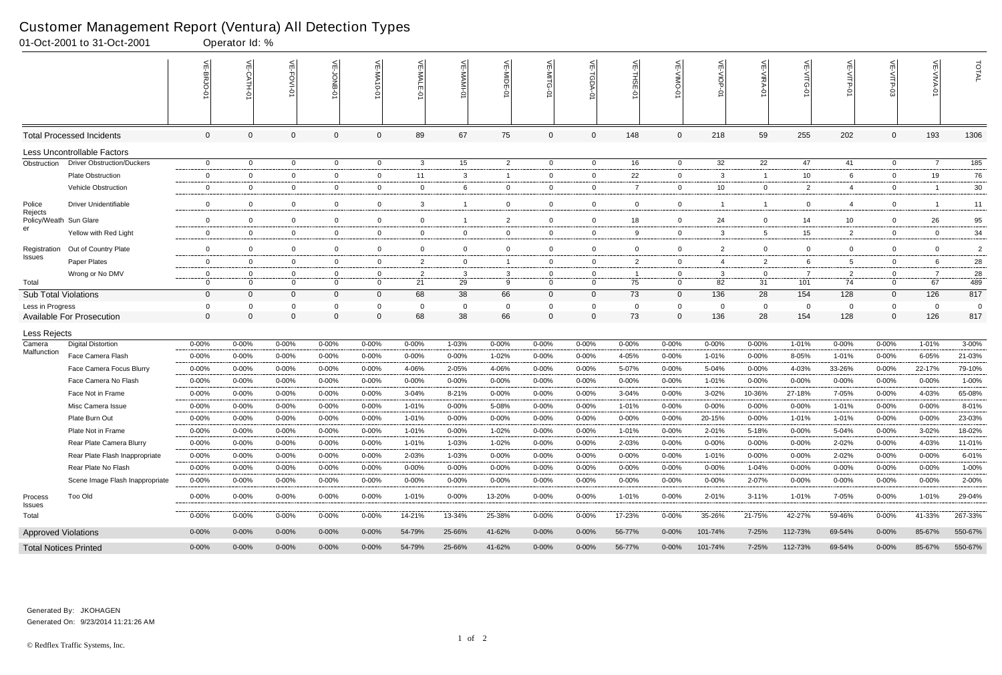|                             | edeterner management report (ventara <i>j m</i> i Beteethen Typee<br>01-Oct-2001 to 31-Oct-2001 |                  | Operator Id: %       |                      |                               |                    |                      |                   |                |                            |                            |                |                      |                    |                         |                 |                |                         |                               |                  |
|-----------------------------|-------------------------------------------------------------------------------------------------|------------------|----------------------|----------------------|-------------------------------|--------------------|----------------------|-------------------|----------------|----------------------------|----------------------------|----------------|----------------------|--------------------|-------------------------|-----------------|----------------|-------------------------|-------------------------------|------------------|
|                             |                                                                                                 | VE-BRJO-01       | VE-CATH-01           | VE-FOVI-0            | VE-JONB-01                    | 븻<br>-NA<br>Ģ<br>Ċ | $\frac{1}{2}$<br>WA- | VE-MAMI-0         | VE-MIDE-<br>ò  | VE-MITG-<br>5              | VE-TGDA-0                  | VE-THSE-01     | VE-VIMO-01           | VE-VIOP            | VE-VIRA-01              | 신               | VE-VITP-0      | VE-VITP-03              | $\overline{\text{VE-NIVA-0}}$ | TOTAL            |
|                             | <b>Total Processed Incidents</b>                                                                | $\overline{0}$   | $\mathbf 0$          | $\mathbf 0$          | $\mathbf 0$                   | $\overline{0}$     | 89                   | 67                | 75             | $\overline{0}$             | $\overline{0}$             | 148            | $\mathbf 0$          | 218                | 59                      | 255             | 202            | $\overline{0}$          | 193                           | 1306             |
|                             | Less Uncontrollable Factors                                                                     |                  |                      |                      |                               |                    |                      |                   |                |                            |                            |                |                      |                    |                         |                 |                |                         |                               |                  |
| Obstruction                 | <b>Driver Obstruction/Duckers</b>                                                               | $\mathbf 0$      | $\overline{0}$       | $\mathbf{0}$         | $\overline{0}$                | $\mathbf{0}$       | 3                    | 15                | $\overline{2}$ | $\overline{0}$             | $\overline{0}$             | 16             | $\overline{0}$       | 32                 | 22                      | 47              | 41             | $\overline{0}$          | $\overline{7}$                | $\overline{185}$ |
|                             | Plate Obstruction                                                                               | 0                | $\overline{0}$       | $\overline{0}$       | $\overline{0}$                | $\mathbf{0}$       | 11                   | $\mathbf{3}$      | -1             | $\overline{0}$             | $\overline{0}$             | 22             | $\overline{0}$       | $\mathbf{3}$       | $\overline{\mathbf{1}}$ | 10 <sup>°</sup> | 6              | $\overline{0}$          | 19                            | 76               |
|                             | Vehicle Obstruction                                                                             | $\mathbf 0$      | $\overline{0}$       | $\overline{0}$       | $\overline{0}$                | $\mathbf{0}$       | $\mathbf 0$          | 6                 | $\overline{0}$ | $\mathbf 0$                | $\overline{0}$             | $\overline{7}$ | $\mathbf 0$          | 10 <sup>°</sup>    | $\overline{0}$          | $\overline{2}$  | $\overline{4}$ | $\overline{0}$          |                               | 30               |
| Police<br>Rejects           | <b>Driver Unidentifiable</b>                                                                    | $\mathbf 0$      | $\mathbf 0$          | $\mathbf 0$          | $\overline{0}$                | $\mathbf 0$        | 3                    | -1                | $\mathbf 0$    | $\mathbf{0}$               | $\mathbf 0$                | $\overline{0}$ | $\mathbf 0$          | $\overline{1}$     | -1                      | $\overline{0}$  | $\overline{4}$ | 0                       |                               | 11               |
|                             | Policy/Weath Sun Glare                                                                          | $\mathbf 0$      | 0                    | $\overline{0}$       | $\overline{0}$                | $\mathbf{0}$       | $\overline{0}$       | -1                | $\overline{2}$ | $\mathbf{0}$               | 0                          | 18             | $\mathbf 0$          | 24                 | $\overline{0}$          | 14              | 10             | $\overline{0}$          | 26                            | 95               |
| er                          | Yellow with Red Light                                                                           | $\overline{0}$   | $\overline{0}$       | $\overline{0}$       | $\overline{0}$                | $\mathbf{0}$       | $\overline{0}$       | $\mathbf 0$       | $\overline{0}$ | $\overline{0}$             | $\mathbf 0$                | 9              | $\mathbf 0$          | $\mathbf{3}$       | 5                       | 15              | $\overline{2}$ | 0                       | $\mathbf 0$                   | 34               |
| Registration                | Out of Country Plate                                                                            | $\mathbf 0$      | $\mathbf 0$          | $\mathbf 0$          | $\overline{0}$                | $\mathbf 0$        | $\overline{0}$       | $\mathbf 0$       | $\mathbf 0$    | $\mathbf 0$                | $\mathbf 0$                | $\mathbf 0$    | $\mathbf 0$          | $\overline{2}$     | $\overline{0}$          | $\mathbf 0$     | $\mathbf 0$    | 0                       | $\mathbf 0$                   | $\overline{c}$   |
| <b>Issues</b>               | Paper Plates                                                                                    | $\mathbf 0$      | $\mathbf 0$          | $\overline{0}$       | $\overline{0}$                | $\mathbf{0}$       | 2                    | $\mathbf 0$       |                | $\mathbf{0}$               | $\overline{0}$             | $\overline{2}$ | $\mathbf 0$          | $\overline{4}$     | $\overline{2}$          | 6               | 5              | $\overline{0}$          | 6                             | 28               |
|                             | Wrong or No DMV                                                                                 | 0                | 0                    | $\overline{0}$       | $\overline{0}$                | 0                  | 2                    | $\mathbf{3}$      | 3              | $\mathbf 0$                | $\mathbf 0$                | - 1            | $\mathbf{0}$         | $\mathbf{3}$       | $\overline{0}$          |                 | 2              | $\mathbf 0$             |                               | 28               |
| Total                       |                                                                                                 | $\mathbf 0$      | $\overline{0}$       | $\overline{0}$       | $\overline{0}$                | $\mathbf{0}$       | 21                   | 29                | 9              | $\mathbf{0}$               | $\overline{0}$             | 75             | $\mathbf{0}$         | 82                 | 31                      | 101             | 74             | $\overline{0}$          | 67                            | 489              |
| <b>Sub Total Violations</b> |                                                                                                 | $\mathbf 0$      | $\mathbf{0}$         | $\Omega$             | $\mathbf 0$                   | $\mathbf{0}$       | 68                   | 38                | 66             | $\overline{0}$             | $\mathbf{0}$               | 73             | $\mathbf{0}$         | 136                | 28                      | 154             | 128            | $\Omega$                | 126                           | 817              |
| Less in Progress            | <b>Available For Prosecution</b>                                                                | 0<br>$\mathbf 0$ | $\Omega$<br>$\Omega$ | $\Omega$<br>$\Omega$ | $\overline{0}$<br>$\mathbf 0$ | $\Omega$           | 0<br>68              | $\mathbf 0$<br>38 | 66             | $\mathbf 0$<br>$\mathbf 0$ | $\mathbf 0$<br>$\mathbf 0$ | 0<br>73        | $\Omega$<br>$\Omega$ | $\mathbf 0$<br>136 | 0<br>28                 | 0<br>154        | 0<br>128       | $\mathbf 0$<br>$\Omega$ | $\mathbf 0$<br>126            | 0<br>817         |
| Less Rejects                |                                                                                                 |                  |                      |                      |                               |                    |                      |                   |                |                            |                            |                |                      |                    |                         |                 |                |                         |                               |                  |
| Camera                      | <b>Digital Distortion</b>                                                                       | $0 - 00%$        | $0 - 00%$            | $0 - 00%$            | $0 - 00%$                     | 0-00%              | $0 - 00\%$           | 1-03%             | $0 - 00%$      | 0-00%                      | $0 - 00%$                  | $0 - 00%$      | $0 - 00%$            | $0 - 00%$          | $0 - 00%$               | 1-01%           | $0 - 00\%$     | 0-00%                   | 1-01%                         | 3-00%            |
| Malfunction                 | Face Camera Flash                                                                               | $0 - 00%$        | $0 - 00%$            | $0 - 00%$            | $0 - 00%$                     | $0 - 00%$          | $0 - 00%$            | $0 - 00\%$        | 1-02%          | $0 - 00%$                  | $0 - 00%$                  | 4-05%          | $0 - 00%$            | 1-01%              | $0 - 00%$               | 8-05%           | 1-01%          | $0 - 00%$               | $6 - 05%$                     | 21-03%           |
|                             | Face Camera Focus Blurry                                                                        | 0-00%            | $0 - 00%$            | 0-00%                | $0 - 00%$                     | $0 - 00%$          | 4-06%                | 2-05%             | 4-06%          | $0 - 00%$                  | 0-00%                      | 5-07%          | $0 - 00%$            | 5-04%              | $0 - 00%$               | 4-03%           | 33-26%         | $0 - 00%$               | 22-17%                        | 79-10%           |
|                             | Face Camera No Flash                                                                            | 0-00%            | $0 - 00%$            | 0-00%                | $0 - 00%$                     | $0 - 00%$          | $0 - 00%$            | $0 - 00%$         | $0 - 00%$      | $0 - 00%$                  | $0 - 00%$                  | $0 - 00%$      | $0 - 00%$            | 1-01%              | $0 - 00%$               | 0-00%           | $0 - 00%$      | 0-00%                   | $0 - 00%$                     | 1-00%            |
|                             | Face Not in Frame                                                                               | $0 - 00%$        | $0 - 00%$            | $0 - 00%$            | 0-00%                         | $0 - 00%$          | $3 - 04%$            | 8-21%             | $0 - 00%$      | $0 - 00%$                  | $0 - 00%$                  | $3 - 04%$      | $0 - 00%$            | $3 - 02%$          | 10-36%                  | 27-18%          | 7-05%          | $0 - 00%$               | 4-03%                         | 65-08%           |
|                             | Misc Camera Issue                                                                               | $0 - 00%$        | $0 - 00%$            | 0-00%                | $0 - 00%$                     | 0-00%              | 1-01%                | $0 - 00%$         | 5-08%          | $0 - 00%$                  | 0-00%                      | 1-01%          | $0 - 00%$            | $0 - 00%$          | $0 - 00%$               | $0 - 00%$       | 1-01%          | $0 - 00\%$              | $0 - 00%$                     | 8-01%            |
|                             | Plate Burn Out                                                                                  | $0 - 00%$        | $0 - 00\%$           | 0-00%                | $0 - 00%$                     | 0-00%              | 1-01%                | $0 - 00%$         | $0 - 00%$      | 0-00%                      | 0-00%                      | 0-00%          | $0 - 00\%$           | 20-15%             | $0 - 00%$               | 1-01%           | 1-01%          | $0 - 00%$               | $0 - 00%$                     | 23-03%           |
|                             | Plate Not in Frame                                                                              | $0 - 00%$        | $0 - 00%$            | $0 - 00%$            | $0 - 00%$                     | $0 - 00\%$         | 1-01%                | $0 - 00%$         | 1-02%          | $0 - 00%$                  | $0 - 00%$                  | 1-01%          | $0 - 00%$            | 2-01%              | 5-18%                   | 0-00%           | 5-04%          | $0 - 00%$               | 3-02%                         | 18-02%           |
|                             | Rear Plate Camera Blurry                                                                        | $0 - 00%$        | $0 - 00%$            | $0 - 00\%$           | $0 - 00%$                     | $0 - 00%$          | 1-01%                | 1-03%             | 1-02%          | $0 - 00%$                  | $0 - 00%$                  | 2-03%          | $0 - 00\%$           | $0 - 00%$          | $0 - 00%$               | $0 - 00%$       | 2-02%          | $0 - 00%$               | 4-03%                         | 11-01%           |
|                             | Rear Plate Flash Inappropriate                                                                  | 0-00%            | $0 - 00%$            | $0 - 00%$            | $0 - 00%$                     | $0 - 00%$          | 2-03%                | 1-03%             | $0 - 00\%$     | 0-00%                      | $0 - 00%$                  | 0-00%          | 0-00%                | 1-01%              | $0 - 00%$               | $0 - 00%$       | 2-02%          | $0 - 00%$               | $0 - 00%$                     | 6-01%            |
|                             | Rear Plate No Flash                                                                             | $0 - 00%$        | $0 - 00%$            | 0-00%                | 0-00%                         | $0 - 00%$          | $0 - 00%$            | $0 - 00\%$        | $0 - 00\%$     | $0 - 00%$                  | $0 - 00%$                  | $0 - 00%$      | 0-00%                | $0 - 00\%$         | 1-04%                   | $0 - 00%$       | $0 - 00\%$     | 0-00%                   | $0 - 00%$                     | 1-00%            |
|                             | Scene Image Flash Inappropriate                                                                 | $0 - 00%$        | $0 - 00\%$           | $0 - 00\%$           | $0 - 00%$                     | $0 - 00%$          | 0-00%                | 0-00%             | $0 - 00\%$     | $0 - 00%$                  | $0 - 00%$                  | $0 - 00\%$     | $0 - 00\%$           | $0 - 00\%$         | 2-07%                   | 0-00%           | 0-00%          | $0 - 00%$               | $0 - 00%$                     | 2-00%            |
| Process<br><b>Issues</b>    | Too Old                                                                                         | $0 - 00%$        | 0-00%                | 0-00%                | $0 - 00%$                     | $0 - 00\%$         | 1-01%                | 0-00%             | 13-20%         | $0 - 00%$                  | $0 - 00\%$                 | 1-01%          | 0-00%                | 2-01%              | $3 - 11%$               | 1-01%           | 7-05%          | $0 - 00%$               | 1-01%                         | 29-04%           |
| Total                       |                                                                                                 | $0 - 00%$        | $0 - 00\%$           | $0 - 00\%$           | $0 - 00%$                     | $0 - 00%$          | 14-21%               | 13-34%            | 25-38%         | $0 - 00\%$                 | $0 - 00\%$                 | 17-23%         | $0 - 00\%$           | 35-26%             | 21-75%                  | 42-27%          | 59-46%         | $0 - 00%$               | 41-33%                        | 267-33%          |
|                             | <b>Approved Violations</b>                                                                      | $0 - 00%$        | $0 - 00\%$           | $0 - 00\%$           | $0 - 00\%$                    | $0 - 00\%$         | 54-79%               | 25-66%            | 41-62%         | $0 - 00\%$                 | $0 - 00\%$                 | 56-77%         | $0 - 00\%$           | 101-74%            | 7-25%                   | 112-73%         | 69-54%         | $0 - 00\%$              | 85-67%                        | 550-67%          |
|                             | <b>Total Notices Printed</b>                                                                    | $0 - 00\%$       | $0 - 00\%$           | $0 - 00\%$           | $0 - 00%$                     | $0 - 00\%$         | 54-79%               | 25-66%            | 41-62%         | $0 - 00\%$                 | $0 - 00\%$                 | 56-77%         | $0 - 00\%$           | 101-74%            | 7-25%                   | 112-73%         | 69-54%         | $0 - 00%$               | 85-67%                        | 550-67%          |

### Customer Management Report (Ventura) All Detection Types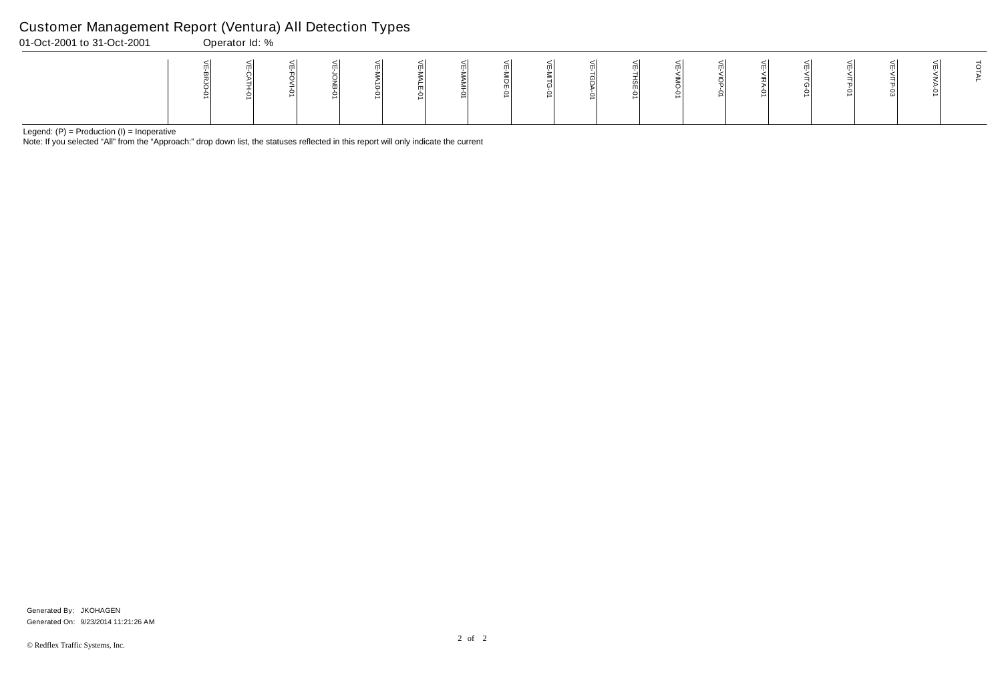Note: If you selected "All" from the "Approach:" drop down list, the statuses reflected in this report will only indicate the current

### Customer Management Report (Ventura) All Detection Types

| 01-Oct-2001 to 31-Oct-2001 | Operator Id: % |  |  |  |  |  |  |  |  |  |
|----------------------------|----------------|--|--|--|--|--|--|--|--|--|
|                            |                |  |  |  |  |  |  |  |  |  |

Generated On: 9/23/2014 11:21:26 AM Generated By: JKOHAGEN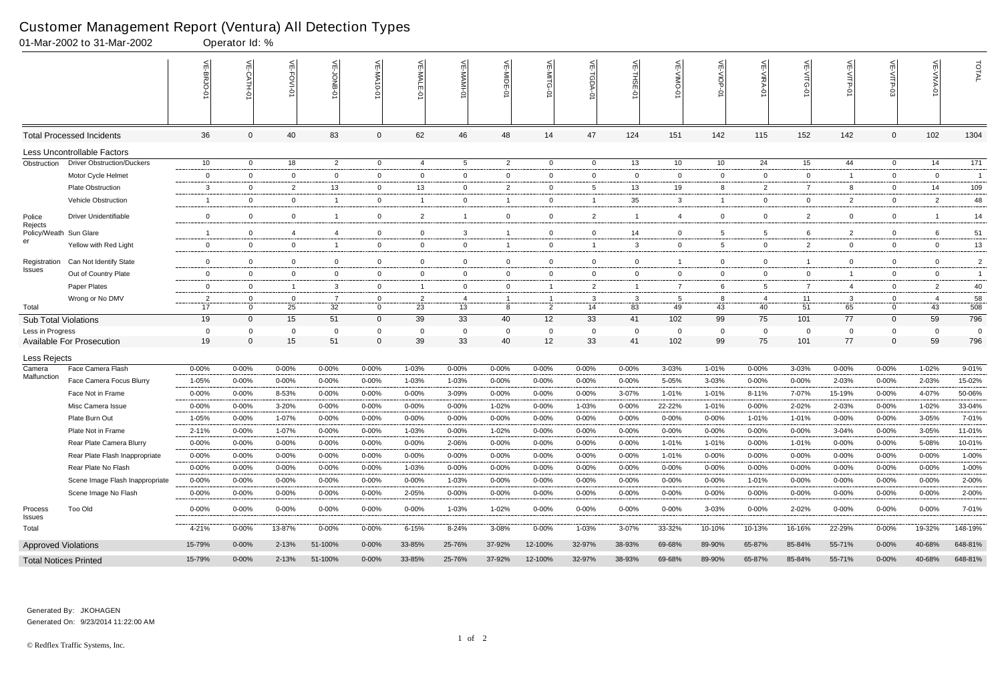### Customer Management Report (Ventura) All Detection Types

|                             | 01-Mar-2002 to 31-Mar-2002        |                 | Operator Id: %            |                   |                      |                |                |                   |                      |                 |                          |                |                 |                    |                   |                               |                   |                  |                      |                 |
|-----------------------------|-----------------------------------|-----------------|---------------------------|-------------------|----------------------|----------------|----------------|-------------------|----------------------|-----------------|--------------------------|----------------|-----------------|--------------------|-------------------|-------------------------------|-------------------|------------------|----------------------|-----------------|
|                             |                                   |                 | $\widetilde{E}$<br>CATH-0 | VE-FOVI-01        | 녽                    | VE-MA10-01     | VE-MAL<br>ò    | 닞                 | VE-MIDE-01           | $\leq$          | $\widetilde{\mathbb{F}}$ | 븻<br>THSE-01   | 닞               | VE-VIOP<br>Q       | <b>NE-NIRA-0</b>  | 늰<br>$\frac{1}{5}$<br>$\circ$ | VE-VITP-01        |                  | VE-VIVA-0            | TOTAL           |
|                             | <b>Total Processed Incidents</b>  | 36              | $\Omega$                  | 40                | 83                   | $\mathbf 0$    | 62             | 46                | 48                   | 14              | 47                       | 124            | 151             | 142                | 115               | 152                           | 142               | $\mathbf 0$      | 102                  | 1304            |
|                             | Less Uncontrollable Factors       |                 |                           |                   |                      |                |                |                   |                      |                 |                          |                |                 |                    |                   |                               |                   |                  |                      |                 |
| Obstruction                 | <b>Driver Obstruction/Duckers</b> | 10 <sup>°</sup> | $\overline{0}$            | 18                | $\overline{2}$       | $\overline{0}$ | 4              | 5                 | $\overline{2}$       | $\overline{0}$  | $\overline{0}$           | 13             | 10              | 10 <sup>°</sup>    | 24                | 15                            | 44                | $\mathbf 0$      | 14                   | $\frac{1}{171}$ |
|                             | Motor Cycle Helmet                | $\mathsf{O}$    | $\Omega$                  | $\overline{0}$    | $\mathbf 0$          | 0              | $\overline{0}$ | $\overline{0}$    | $\overline{0}$       | $\overline{0}$  | $\overline{0}$           | $\mathbf 0$    | 0               | $\overline{0}$     | $\mathbf 0$       | $\mathbf{0}$                  | $\overline{1}$    | $\mathbf 0$      | $\mathbf 0$          | $\overline{1}$  |
|                             | <b>Plate Obstruction</b>          | 3               | 0                         | $\overline{2}$    | 13                   | 0              | 13             | $\overline{0}$    | $\overline{2}$       | 0               | $5\overline{)}$          | 13             | 19              | 8                  | 2                 | 7                             | 8                 | $\mathbf 0$      | 14                   | 109             |
|                             | Vehicle Obstruction               | -1              | $\mathbf 0$               | $\overline{0}$    | $\overline{1}$       | $\overline{0}$ | $\mathbf{1}$   | $\overline{0}$    | -1                   | 0               | $\mathbf{1}$             | 35             | 3               | $\overline{1}$     | 0                 | $\mathbf{0}$                  | $\overline{2}$    | $\mathbf 0$      | $\overline{2}$       | 48              |
| Police                      | <b>Driver Unidentifiable</b>      | $\mathbf 0$     | $\Omega$                  | $\mathbf 0$       | $\overline{1}$       | $\overline{0}$ | 2              | $\overline{1}$    | $\overline{0}$       | $\overline{0}$  | $\overline{2}$           | $\overline{1}$ | 4               | $\overline{0}$     | $\Omega$          | $\overline{2}$                | $\overline{0}$    | $\mathbf 0$      |                      | 14              |
| Rejects<br>Policy/Weath     | Sun Glare                         | -1              | $\Omega$                  | 4                 | $\overline{4}$       | 0              | $\mathbf 0$    | $\mathbf{3}$      |                      | 0               | $\mathbf 0$              | 14             | 0               | 5                  | 5                 | 6                             | $\overline{2}$    | 0                |                      | 51              |
| er                          | Yellow with Red Light             | $\mathsf{O}$    | $\overline{0}$            | $\mathbf 0$       | $\overline{1}$       | $\overline{0}$ | $\overline{0}$ | $\overline{0}$    | -1                   | $\overline{0}$  | $\overline{1}$           | $\mathbf{3}$   | 0               | $5\overline{5}$    | $\mathbf 0$       | $\overline{2}$                | $\overline{0}$    | $\mathbf 0$      | $\mathbf{0}$         | 13              |
| Registration                | Can Not Identify State            | $\mathbf 0$     | $\mathbf 0$               | $\overline{0}$    | $\mathbf{0}$         | $\overline{0}$ | $\mathbf 0$    | $\overline{0}$    | 0                    | $\mathbf 0$     | $\overline{0}$           | $\mathbf 0$    |                 | $\overline{0}$     | $\mathbf 0$       |                               | $\mathbf{0}$      | $\mathbf 0$      | $\overline{0}$       | $\overline{2}$  |
| Issues                      | Out of Country Plate              | $\mathbf 0$     | $\mathbf 0$               | $\overline{0}$    | $\overline{0}$       | 0              | $\mathbf{0}$   | $\overline{0}$    | $\overline{0}$       | 0               | $\overline{0}$           | $\overline{0}$ | 0               | $\overline{0}$     | $\mathbf 0$       | 0                             | -1                | 0                | $\mathbf{0}$         | $\overline{1}$  |
|                             | Paper Plates                      | $\mathbf 0$     | $\mathbf 0$               | $\overline{1}$    | $\mathbf{3}$         | $\overline{0}$ | $\mathbf{1}$   | $\overline{0}$    | $\mathbf 0$          | -1              | $\overline{2}$           | -1             | 7               | 6                  | 5                 | $\overline{7}$                | $\overline{4}$    | $\mathbf 0$      | 2                    | 40              |
|                             | Wrong or No DMV                   | $\overline{2}$  | $\mathbf 0$               | $\overline{0}$    | $\overline{7}$       | $\mathbf 0$    | 2              | $\overline{4}$    |                      |                 | 3                        | $\mathbf{3}$   | 5               | 8                  | -4                | 11                            | $\mathbf{3}$      | 0                | $\overline{4}$       | 58              |
| Total                       |                                   | 17              | $\Omega$                  | 25                | 32                   | $\mathbf 0$    | 23             | 13                | 8                    | $\overline{2}$  | 14                       | 83             | 49              | 43                 | 40                | 51                            | 65                | $\mathbf 0$      | 43                   | 508             |
| <b>Sub Total Violations</b> |                                   | 19              | $\Omega$                  | 15                | 51                   | $\mathbf 0$    | 39             | 33                | 40                   | 12 <sup>2</sup> | 33                       | 41             | 102             | 99                 | 75                | 101                           | 77                | $\mathbf{0}$     | 59                   | 796             |
| Less in Progress            | <b>Available For Prosecution</b>  | 0<br>19         | $\Omega$<br>$\Omega$      | $\mathbf 0$<br>15 | $\overline{0}$<br>51 | 0<br>$\Omega$  | 0<br>39        | $\mathbf 0$<br>33 | $\overline{0}$<br>40 | 0<br>12         | $\mathbf{0}$<br>33       | - 0<br>41      | $\Omega$<br>102 | $\mathbf{0}$<br>99 | $\mathbf 0$<br>75 | $\Omega$<br>101               | $\mathbf 0$<br>77 | 0<br>$\mathbf 0$ | $\overline{0}$<br>59 | $\Omega$<br>796 |
| Less Rejects                |                                   |                 |                           |                   |                      |                |                |                   |                      |                 |                          |                |                 |                    |                   |                               |                   |                  |                      |                 |
| Camera                      | Face Camera Flash                 | 0-00%           | $0 - 00%$                 | $0 - 00%$         | $0 - 00%$            | $0 - 00%$      | 1-03%          | $0 - 00%$         | 0-00%                | $0 - 00%$       | $0 - 00\%$               | $0 - 00%$      | 3-03%           | 1-01%              | $0 - 00%$         | 3-03%                         | $0 - 00%$         | 0-00%            | 1-02%                | 9-01%           |
| Malfunction                 | Face Camera Focus Blurry          | 1-05%           | $0 - 00%$                 | $0 - 00%$         | 0-00%                | $0 - 00%$      | 1-03%          | 1-03%             | $0 - 00%$            | $0 - 00%$       | 0-00%                    | $0 - 00%$      | 5-05%           | 3-03%              | $0 - 00%$         | $0 - 00%$                     | 2-03%             | $0 - 00%$        | 2-03%                | 15-02%          |
|                             | Face Not in Frame                 | 0-00%           | $0 - 00%$                 | 8-53%             | 0-00%                | $0 - 00%$      | $0 - 00%$      | 3-09%             | 0-00%                | 0-00%           | $0 - 00%$                | 3-07%          | 1-01%           | 1-01%              | 8-11%             | 7-07%                         | 15-19%            | 0-00%            | 4-07%                | 50-06%          |
|                             | Misc Camera Issue                 | 0-00%           | $0 - 00%$                 | $3 - 20%$         | $0 - 00%$            | $0 - 00%$      | $0 - 00%$      | $0 - 00%$         | 1-02%                | 0-00%           | 1-03%                    | $0 - 00%$      | 22-22%          | 1-01%              | $0 - 00%$         | 2-02%                         | 2-03%             | $0 - 00%$        | 1-02%                | 33-04%          |
|                             | Plate Burn Out                    | 1-05%           | 0-00%                     | $1 - 07%$         | $0 - 00%$            | 0-00%          | $0 - 00%$      | $0 - 00%$         | 0-00%                | 0-00%           | $0 - 00%$                | $0 - 00\%$     | $0 - 00%$       | $0 - 00%$          | 1-01%             | $1 - 01%$                     | 0-00%             | $0 - 00%$        | 3-05%                | 7-01%           |
|                             | Plate Not in Frame                | 2-11%           | 0-00%                     | 1-07%             | 0-00%                | 0-00%          | 1-03%          | $0 - 00%$         | 1-02%                | $0 - 00%$       | $0 - 00\%$               | $0 - 00%$      | 0-00%           | $0 - 00%$          | $0 - 00%$         | $0 - 00%$                     | 3-04%             | $0 - 00%$        | 3-05%                | 11-01%          |
|                             | Rear Plate Camera Blurry          | $0 - 00%$       | $0 - 00%$                 | $0 - 00%$         | 0-00%                | 0-00%          | $0 - 00\%$     | 2-06%             | 0-00%                | $0 - 00%$       | $0 - 00\%$               | $0 - 00%$      | 1-01%           | 1-01%              | 0-00%             | 1-01%                         | $0 - 00\%$        | 0-00%            | 5-08%                | 10-01%          |
|                             | Rear Plate Flash Inappropriate    | $0 - 00%$       | $0 - 00%$                 | $0 - 00%$         | $0 - 00%$            | $0 - 00%$      | $0 - 00\%$     | $0 - 00%$         | $0 - 00%$            | $0 - 00%$       | $0 - 00\%$               | $0 - 00%$      | 1-01%           | $0 - 00\%$         | $0 - 00\%$        | $0 - 00%$                     | $0 - 00%$         | $0 - 00%$        | $0 - 00\%$           | 1-00%           |
|                             | Rear Plate No Flash               | $0 - 00%$       | $0 - 00\%$                | $0 - 00\%$        | 0-00%                | $0 - 00%$      | 1-03%          | $0 - 00%$         | 0-00%                | $0 - 00\%$      | $0 - 00\%$               | $0 - 00\%$     | 0-00%           | $0 - 00\%$         | $0 - 00\%$        | 0-00%                         | $0 - 00\%$        | $0 - 00%$        | $0 - 00%$            | 1-00%           |
|                             | Scene Image Flash Inappropriate   | $0 - 00%$       | $0 - 00%$                 | $0 - 00%$         | $0 - 00%$            | 0-00%          | $0 - 00\%$     | 1-03%             | $0 - 00%$            | $0 - 00%$       | 0-00%                    | $0 - 00%$      | $0 - 00%$       | $0 - 00\%$         | 1-01%             | $0 - 00%$                     | $0 - 00%$         | 0-00%            | $0 - 00%$            | 2-00%           |
|                             | Scene Image No Flash              | $0 - 00%$       | 0-00%                     | $0 - 00%$         | 0-00%                | 0-00%          | 2-05%          | 0-00%             | 0-00%                | 0-00%           | 0-00%                    | $0 - 00%$      | $0 - 00%$       | 0-00%              | 0-00%             | 0-00%                         | $0 - 00%$         | 0-00%            | 0-00%                | 2-00%           |
| Process<br><b>Issues</b>    | <b>Too Old</b>                    | $0 - 00%$       | $0 - 00\%$                | $0 - 00\%$        | $0 - 00\%$           | $0 - 00%$      | $0 - 00\%$     | 1-03%             | 1-02%                | $0 - 00\%$      | $0 - 00\%$               | $0 - 00%$      | $0 - 00%$       | 3-03%              | $0 - 00\%$        | 2-02%                         | $0 - 00\%$        | 0-00%            | $0 - 00\%$           | 7-01%           |
| Total                       |                                   | 4-21%           | $0 - 00\%$                | 13-87%            | $0 - 00%$            | 0-00%          | 6-15%          | 8-24%             | 3-08%                | $0 - 00\%$      | $1 - 03%$                | 3-07%          | 33-32%          | 10-10%             | 10-13%            | 16-16%                        | 22-29%            | 0-00%            | 19-32%               | 148-19%         |
| <b>Approved Violations</b>  |                                   | 15-79%          | $0 - 00\%$                | $2 - 13%$         | 51-100%              | $0 - 00\%$     | 33-85%         | 25-76%            | 37-92%               | 12-100%         | 32-97%                   | 38-93%         | 69-68%          | 89-90%             | 65-87%            | 85-84%                        | 55-71%            | $0 - 00\%$       | 40-68%               | 648-81%         |
|                             | <b>Total Notices Printed</b>      | 15-79%          | $0 - 00\%$                | $2 - 13%$         | 51-100%              | $0 - 00\%$     | 33-85%         | 25-76%            | 37-92%               | 12-100%         | 32-97%                   | 38-93%         | 69-68%          | 89-90%             | 65-87%            | 85-84%                        | 55-71%            | $0 - 00\%$       | 40-68%               | 648-81%         |

Generated On: 9/23/2014 11:22:00 AM Generated By: JKOHAGEN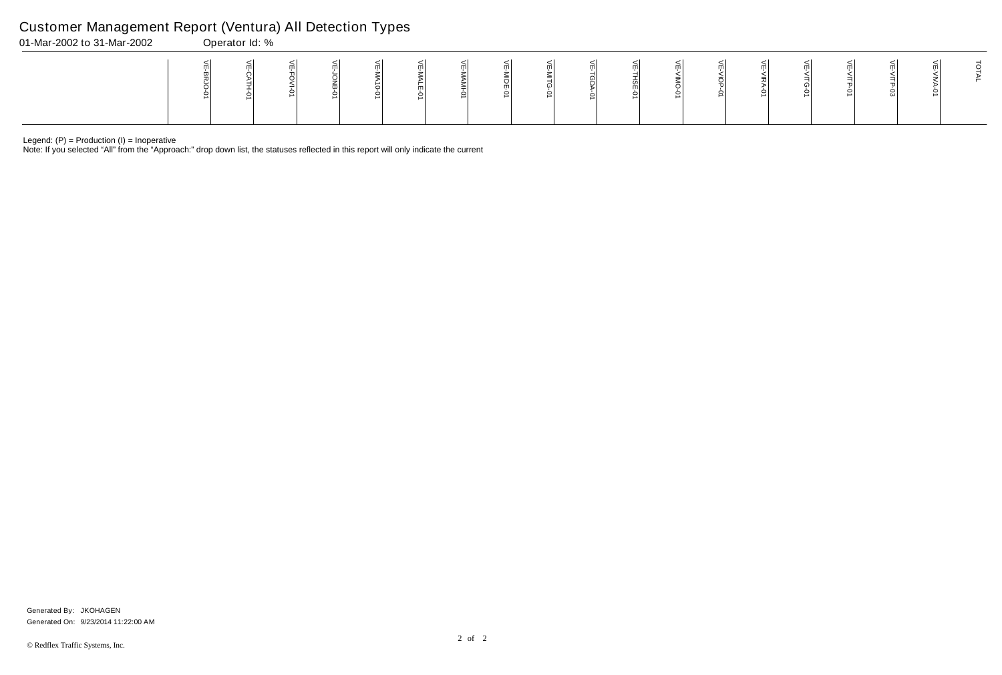Note: If you selected "All" from the "Approach:" drop down list, the statuses reflected in this report will only indicate the current

# Customer Management Report (Ventura) All Detection Types

| 01-Mar-2002 to 31-Mar-2002 | Operator Id: % |  |  |  |  |  |  |  |  |  |
|----------------------------|----------------|--|--|--|--|--|--|--|--|--|
|                            |                |  |  |  |  |  |  |  |  |  |

Generated On: 9/23/2014 11:22:00 AM Generated By: JKOHAGEN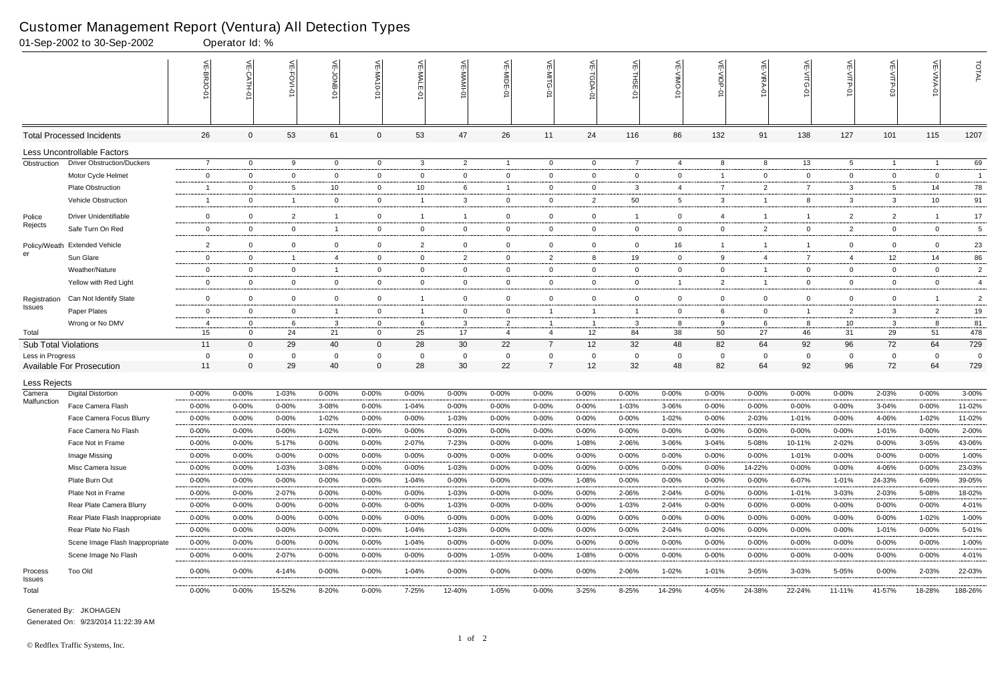|                             | 01-Sep-2002 to 30-Sep-2002        |                | Operator Id: %   |                |                 |                |                |                |                |                     |                   |                         |             |                |                  |                   |                 |                 |                |                |
|-----------------------------|-----------------------------------|----------------|------------------|----------------|-----------------|----------------|----------------|----------------|----------------|---------------------|-------------------|-------------------------|-------------|----------------|------------------|-------------------|-----------------|-----------------|----------------|----------------|
|                             |                                   |                | $\leq$<br>CATH-0 | VE-FOVI-01     | ਜ               | VE-MA10-01     | VE-MAL<br>ò    | 닞              | VE-MIDE-01     | $\leq$              | $\widetilde{\pi}$ | 븻<br>ş                  | ے           | VE-VIOP<br>Q   | <b>NE-NIRA-0</b> | 늰<br>ධ<br>$\circ$ | VE-VITP-01      |                 | VE-VIVA-0      | TOTAL          |
|                             | <b>Total Processed Incidents</b>  | 26             | $\Omega$         | 53             | 61              | 0              | 53             | 47             | 26             | 11                  | 24                | 116                     | 86          | 132            | 91               | 138               | 127             | 101             | 115            | 1207           |
|                             | Less Uncontrollable Factors       |                |                  |                |                 |                |                |                |                |                     |                   |                         |             |                |                  |                   |                 |                 |                |                |
| Obstruction                 | <b>Driver Obstruction/Duckers</b> | $\overline{7}$ | $\overline{0}$   | 9              | $\overline{0}$  | $\overline{0}$ | 3              | $\overline{2}$ | $\overline{1}$ | $\overline{0}$      | $\overline{0}$    | $\overline{7}$          | 4           | 8              | 8                | 13                | $5\overline{)}$ | $\overline{1}$  | -1             | 69             |
|                             | Motor Cycle Helmet                | $\mathbf 0$    | $\Omega$         | $\overline{0}$ | $\mathbf 0$     | $\mathbf 0$    | $\overline{0}$ | $\mathbf 0$    | $\overline{0}$ | $\overline{0}$      | $\overline{0}$    | $\mathbf 0$             | $\Omega$    | $\overline{1}$ | $\mathbf 0$      | $\mathbf{0}$      | $\mathbf 0$     | $\mathbf{0}$    | $\mathbf{0}$   | $\overline{1}$ |
|                             | <b>Plate Obstruction</b>          | -1             | 0                | 5              | 10 <sup>°</sup> | 0              | 10             | 6              | - 1            | 0                   | $\mathbf 0$       | 3                       | 4           | $\overline{7}$ | 2                | 7                 | 3               | 5               | 14             | 78             |
|                             | Vehicle Obstruction               | -1             | $\mathbf 0$      | $\overline{1}$ | $\mathbf{0}$    | $\mathbf 0$    | $\mathbf{1}$   | $\mathbf{3}$   | 0              | 0                   | $\overline{2}$    | 50                      | 5           | $\mathbf{3}$   | -1               | 8                 | $\mathbf{3}$    | $\mathbf{3}$    | 10             | 91             |
| Police                      | <b>Driver Unidentifiable</b>      | $\mathbf 0$    | $\Omega$         | $\overline{2}$ | $\overline{1}$  | $\overline{0}$ | $\overline{1}$ | $\overline{1}$ | $\overline{0}$ | $\overline{0}$      | $\mathbf 0$       | $\overline{1}$          | 0           | 4              | -1               |                   | $\overline{2}$  | $\overline{2}$  |                | 17             |
| Rejects                     | Safe Turn On Red                  | 0              | $\Omega$         | $\overline{0}$ | $\overline{1}$  | $\mathbf 0$    | $\overline{0}$ | $\mathbf 0$    | 0              | 0                   | $\overline{0}$    | $\mathbf 0$             | $\Omega$    | $\overline{0}$ | $\overline{2}$   | $\mathbf{0}$      | $\overline{2}$  | $\mathbf 0$     | $\overline{0}$ | 5              |
| Policy/Weath                | <b>Extended Vehicle</b>           | $\overline{2}$ | $\overline{0}$   | $\mathbf 0$    | $\mathbf 0$     | $\overline{0}$ | $\overline{2}$ | $\mathbf 0$    | $\mathbf 0$    | 0                   | $\mathbf 0$       | $\mathbf 0$             | 16          | $\overline{1}$ | -1               |                   | $\mathbf 0$     | $\mathbf 0$     | $\overline{0}$ | 23             |
| er                          | Sun Glare                         | $\mathbf 0$    | $\mathbf 0$      | $\overline{1}$ | 4               | $\overline{0}$ | $\overline{0}$ | $\overline{2}$ | $\mathbf 0$    | 2                   | 8                 | 19                      | 0           | 9              | 4                | $\overline{7}$    | $\overline{4}$  | 12 <sup>2</sup> | 14             | 86             |
|                             | Weather/Nature                    | $\mathbf{0}$   | $\Omega$         | $\mathbf 0$    | $\overline{1}$  | 0              | $\overline{0}$ | $\overline{0}$ | $\overline{0}$ | $\mathbf 0$         | $\mathbf 0$       | $\mathbf 0$             | 0           | $\mathbf{0}$   | $\overline{1}$   | $\mathbf{0}$      | $\overline{0}$  | $\mathbf 0$     | $\mathbf{0}$   | $\overline{2}$ |
|                             | Yellow with Red Light             | $\mathbf 0$    | $\Omega$         | $\overline{0}$ | $\mathbf 0$     | $\mathbf 0$    | $\overline{0}$ | $\mathbf 0$    | 0              | $\mathbf 0$         | $\overline{0}$    | $\mathbf 0$             |             | $\overline{2}$ | $\overline{1}$   | $\overline{0}$    | $\mathbf{0}$    | $\mathbf 0$     | $\overline{0}$ | $\overline{4}$ |
| Registration                | Can Not Identify State            | $\mathbf 0$    | $\mathbf 0$      | $\mathbf 0$    | $\mathbf 0$     | $\mathbf 0$    | $\overline{1}$ | $\mathbf 0$    | $\overline{0}$ | $\mathbf 0$         | $\mathbf 0$       | $\mathbf 0$             | $\mathbf 0$ | $\mathbf 0$    | $\mathbf 0$      | $\mathbf{0}$      | $\mathbf 0$     | $\mathbf 0$     |                | $\overline{c}$ |
| <b>Issues</b>               | Paper Plates                      | $\mathbf 0$    | 0                | $\mathbf 0$    | $\overline{1}$  | $\mathbf 0$    | $\mathbf{1}$   | $\overline{0}$ | $\overline{0}$ | -1                  | $\overline{1}$    | $\overline{\mathbf{1}}$ | 0           | 6              | $\mathbf 0$      |                   | $\overline{2}$  | 3               | $\overline{2}$ | 19             |
|                             | Wrong or No DMV                   | $\overline{4}$ | $\Omega$         | 6              | $\mathbf{3}$    | 0              | 6              | $\mathbf{3}$   | $\overline{2}$ |                     | $\overline{1}$    | -3                      | 8           | 9              | -6               | 8                 | 10              | 3               | -8             | 81             |
| Total                       |                                   | 15             | $\Omega$         | 24             | 21              | $\mathbf 0$    | 25             | 17             | $\overline{4}$ | $\overline{4}$      | 12 <sup>2</sup>   | 84                      | 38          | 50             | 27               | 46                | 31              | 29              | 51             | 478            |
| <b>Sub Total Violations</b> |                                   | 11             | $\Omega$         | 29             | 40              | $\Omega$       | 28             | 30             | 22             | $\overline{7}$      | 12 <sup>°</sup>   | 32                      | 48          | 82             | 64               | 92                | 96              | 72              | 64             | 729            |
| Less in Progress            |                                   | 0              | $\Omega$         | -0             | $\overline{0}$  | $\Omega$       | 0              | $\mathbf{0}$   | $\overline{0}$ | 0<br>$\overline{7}$ | 0                 | - 0                     | 0           | $\overline{0}$ | $\mathbf 0$      | 0                 | 0               | $\mathbf{0}$    | $\Omega$       | $\overline{0}$ |
|                             | <b>Available For Prosecution</b>  | 11             | $\Omega$         | 29             | 40              | 0              | 28             | 30             | 22             |                     | 12                | 32                      | 48          | 82             | 64               | 92                | 96              | 72              | 64             | 729            |
| Less Rejects                |                                   |                |                  |                |                 |                |                |                |                |                     |                   |                         |             |                |                  |                   |                 |                 |                |                |
| Camera<br>Malfunction       | <b>Digital Distortion</b>         | 0-00%          | $0 - 00%$        | 1-03%          | 0-00%           | $0 - 00%$      | $0 - 00\%$     | $0 - 00%$      | 0-00%          | 0-00%               | $0 - 00\%$        | $0 - 00%$               | 0-00%       | $0 - 00%$      | $0 - 00%$        | $0 - 00%$         | $0 - 00%$       | 2-03%           | $0 - 00%$      | 3-00%          |
|                             | Face Camera Flash                 | $0 - 00%$      | $0 - 00%$        | $0 - 00%$      | 3-08%           | $0 - 00%$      | 1-04%          | $0 - 00%$      | $0 - 00%$      | $0 - 00%$           | $0 - 00\%$        | 1-03%                   | 3-06%       | $0 - 00%$      | $0 - 00%$        | $0 - 00%$         | $0 - 00%$       | 3-04%           | $0 - 00%$      | 11-02%         |
|                             | Face Camera Focus Blurry          | $0 - 00%$      | 0-00%            | $0 - 00\%$     | $1 - 02%$       | 0-00%          | $0 - 00%$      | 1-03%          | 0-00%          | 0-00%               | $0 - 00%$         | $0 - 00\%$              | 1-02%       | $0 - 00%$      | 2-03%            | $1 - 01%$         | 0-00%           | 4-06%           | $1 - 02%$      | 11-02%         |
|                             | Face Camera No Flash              | 0-00%          | 0-00%            | $0 - 00\%$     | 1-02%           | $0 - 00%$      | $0 - 00\%$     | $0 - 00%$      | 0-00%          | $0 - 00%$           | $0 - 00%$         | $0 - 00%$               | 0-00%       | $0 - 00%$      | $0 - 00%$        | $0 - 00%$         | $0 - 00%$       | 1-01%           | 0-00%          | 2-00%          |
|                             | Face Not in Frame                 | $0 - 00%$      | $0 - 00%$        | 5-17%          | 0-00%           | $0 - 00%$      | 2-07%          | 7-23%          | $0 - 00%$      | $0 - 00%$           | 1-08%             | 2-06%                   | 3-06%       | 3-04%          | 5-08%            | 10-11%            | 2-02%           | 0-00%           | 3-05%          | 43-06%         |
|                             | Image Missing                     | $0 - 00%$      | $0 - 00%$        | $0 - 00\%$     | $0 - 00%$       | $0 - 00%$      | $0 - 00\%$     | $0 - 00\%$     | $0 - 00%$      | $0 - 00%$           | $0 - 00\%$        | $0 - 00%$               | $0 - 00%$   | $0 - 00\%$     | $0 - 00\%$       | 1-01%             | $0 - 00%$       | $0 - 00%$       | $0 - 00\%$     | 1-00%          |
|                             | Misc Camera Issue                 | $0 - 00%$      | $0 - 00\%$       | 1-03%          | 3-08%           | $0 - 00%$      | $0 - 00\%$     | 1-03%          | 0-00%          | $0 - 00%$           | $0 - 00\%$        | $0 - 00\%$              | $0 - 00%$   | $0 - 00\%$     | 14-22%           | $0 - 00%$         | $0 - 00\%$      | 4-06%           | $0 - 00%$      | 23-03%         |
|                             | Plate Burn Out                    | $0 - 00%$      | $0 - 00%$        | $0 - 00%$      | $0 - 00%$       | $0 - 00%$      | 1-04%          | $0 - 00\%$     | $0 - 00%$      | $0 - 00%$           | 1-08%             | $0 - 00%$               | $0 - 00%$   | $0 - 00\%$     | 0-00%            | 6-07%             | 1-01%           | 24-33%          | 6-09%          | 39-05%         |
|                             | Plate Not in Frame                | $0 - 00%$      | $0 - 00\%$       | 2-07%          | 0-00%           | $0 - 00%$      | 0-00%          | 1-03%          | $0 - 00%$      | 0-00%               | 0-00%             | 2-06%                   | 2-04%       | 0-00%          | 0-00%            | 1-01%             | 3-03%           | 2-03%           | 5-08%          | 18-02%         |
|                             | Rear Plate Camera Blurry          | 0-00%          | $0 - 00\%$       | $0 - 00\%$     | $0 - 00%$       | 0-00%          | $0 - 00\%$     | 1-03%          | 0-00%          | $0 - 00%$           | $0 - 00\%$        | 1-03%                   | 2-04%       | $0 - 00\%$     | $0 - 00%$        | $0 - 00%$         | $0 - 00%$       | 0-00%           | $0 - 00%$      | 4-01%          |
|                             | Rear Plate Flash Inappropriate    | $0 - 00%$      | 0-00%            | $0 - 00%$      | $0 - 00%$       | $0 - 00%$      | $0 - 00\%$     | $0 - 00%$      | $0 - 00%$      | $0 - 00%$           | $0 - 00\%$        | $0 - 00%$               | $0 - 00%$   | $0 - 00\%$     | $0 - 00\%$       | $0 - 00%$         | $0 - 00%$       | $0 - 00%$       | 1-02%          | 1-00%          |
|                             | Rear Plate No Flash               | $0 - 00%$      | $0 - 00%$        | $0 - 00\%$     | $0 - 00%$       | $0 - 00%$      | 1-04%          | 1-03%          | $0 - 00%$      | $0 - 00%$           | 0-00%             | $0 - 00%$               | 2-04%       | $0 - 00\%$     | 0-00%            | $0 - 00%$         | $0 - 00%$       | 1-01%           | $0 - 00%$      | 5-01%          |
|                             | Scene Image Flash Inappropriate   | $0 - 00%$      | $0 - 00%$        | $0 - 00%$      | $0 - 00%$       | $0 - 00%$      | 1-04%          | $0 - 00\%$     | $0 - 00%$      | 0-00%               | $0 - 00\%$        | $0 - 00%$               | $0 - 00%$   | $0 - 00%$      | $0 - 00\%$       | $0 - 00%$         | $0 - 00%$       | $0 - 00%$       | $0 - 00%$      | $1 - 00%$      |
|                             | Scene Image No Flash              | $0 - 00%$      | $0 - 00\%$       | 2-07%          | 0-00%           | $0 - 00%$      | $0 - 00\%$     | 0-00%          | 1-05%          | 0-00%               | 1-08%             | $0 - 00\%$              | $0 - 00%$   | 0-00%          | $0 - 00\%$       | 0-00%             | $0 - 00%$       | 0-00%           | $0 - 00\%$     | 4-01%          |
| Process<br><b>Issues</b>    | Too Old                           | $0 - 00\%$     | $0 - 00\%$       | 4-14%          | $0 - 00%$       | $0 - 00\%$     | 1-04%          | $0 - 00%$      | $0 - 00%$      | $0 - 00\%$          | $0 - 00\%$        | 2-06%                   | 1-02%       | 1-01%          | $3 - 05%$        | 3-03%             | 5-05%           | 0-00%           | 2-03%          | 22-03%         |
| Total                       |                                   | $0 - 00\%$     | $0 - 00\%$       | 15-52%         | 8-20%           | $0 - 00\%$     | 7-25%          | 12-40%         | 1-05%          | $0 - 00\%$          | $3 - 25%$         | 8-25%                   | 14-29%      | 4-05%          | 24-38%           | 22-24%            | 11-11%          | 41-57%          | 18-28%         | 188-26%        |

Generated On: 9/23/2014 11:22:39 AM Generated By: JKOHAGEN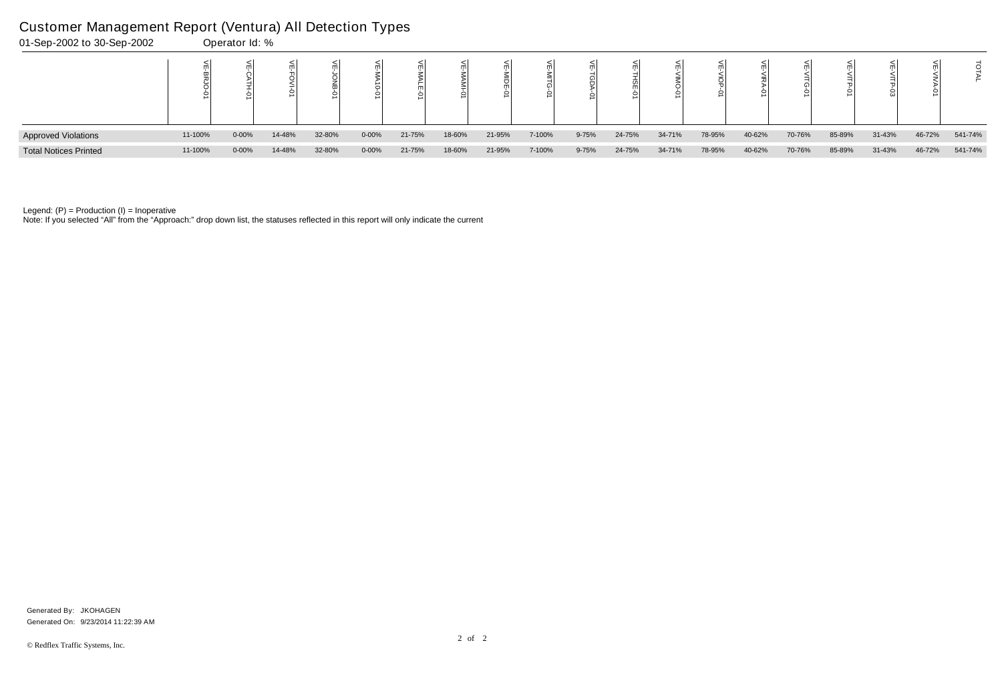| 01-Sep-2002 to 30-Sep-2002   |         | Operator Id: % |        |        |               |        |        |         |        |           |        |        |        |        |        |        |        |        |         |
|------------------------------|---------|----------------|--------|--------|---------------|--------|--------|---------|--------|-----------|--------|--------|--------|--------|--------|--------|--------|--------|---------|
|                              |         |                |        |        | ਠੋ<br>$\circ$ |        | ml     | $\circ$ |        |           |        |        |        |        |        |        |        |        |         |
| <b>Approved Violations</b>   | 11-100% | $0 - 00%$      | 14-48% | 32-80% | $0 - 00%$     | 21-75% | 18-60% | 21-95%  | 7-100% | $9 - 75%$ | 24-75% | 34-71% | 78-95% | 40-62% | 70-76% | 85-89% | 31-43% | 46-72% | 541-74% |
| <b>Total Notices Printed</b> | 11-100% | $0 - 00%$      | 14-48% | 32-80% | $0 - 00%$     | 21-75% | 18-60% | 21-95%  | 7-100% | $9 - 75%$ | 24-75% | 34-71% | 78-95% | 40-62% | 70-76% | 85-89% | 31-43% | 46-72% | 541-74% |

Note: If you selected "All" from the "Approach:" drop down list, the statuses reflected in this report will only indicate the current

### Customer Management Report (Ventura) All Detection Types

Generated On: 9/23/2014 11:22:39 AM Generated By: JKOHAGEN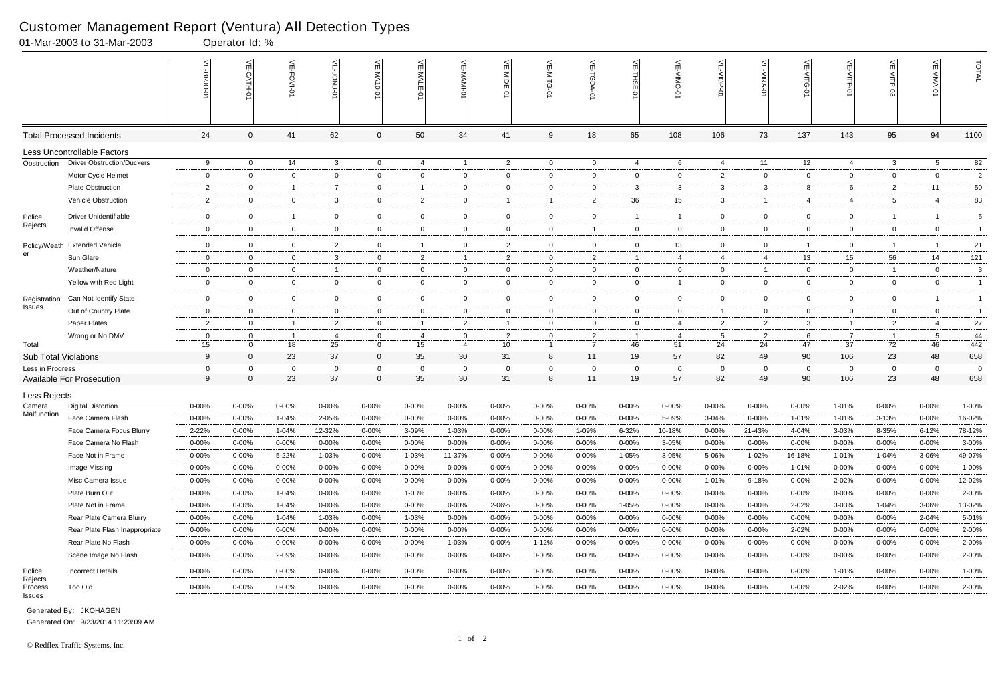|                       | 01-Mar-2003 to 31-Mar-2003        |                | Operator Id: % |                |                |                     |                |                |                |                |                    |                |                |                 |                |                |                |                |                |                |
|-----------------------|-----------------------------------|----------------|----------------|----------------|----------------|---------------------|----------------|----------------|----------------|----------------|--------------------|----------------|----------------|-----------------|----------------|----------------|----------------|----------------|----------------|----------------|
|                       |                                   |                | $\leq$         | 븬<br>FOVI-01   | ਜ              | $\leq$<br>$10 - 01$ | VE-MAL         |                | VE-MIDE-01     |                | ⋚<br><b>TGDA-0</b> | VE-THSE-01     | 븻<br>-VIINO    | VE-VIOP-<br>ė   | VE-VIRA-01     | VE-VITG-01     | VE-VITP-01     | $VE-V1TP-03$   | VE-VIVA-01     | TOTAL          |
|                       | <b>Total Processed Incidents</b>  | 24             | $\Omega$       | 41             | 62             | 0                   | 50             | 34             | 41             | 9              | 18                 | 65             | 108            | 106             | 73             | 137            | 143            | 95             | 94             | 1100           |
|                       | Less Uncontrollable Factors       |                |                |                |                |                     |                |                |                |                |                    |                |                |                 |                |                |                |                |                |                |
| Obstruction           | <b>Driver Obstruction/Duckers</b> | 9              | $\mathbf{0}$   | 14             | $\mathbf{3}$   | $\mathbf{0}$        | 4              | $\overline{1}$ | $\overline{2}$ | $\overline{0}$ | $\overline{0}$     | 4              | 6              | 4               | 11             | 12             | $\overline{4}$ | 3              | 5              | 82             |
|                       | Motor Cycle Helmet                | $\overline{0}$ | $\Omega$       | $\overline{0}$ | $\mathbf 0$    | $\mathbf 0$         | $\mathbf 0$    | $\overline{0}$ | $\mathbf 0$    | 0              | $\mathbf{0}$       | $\overline{0}$ | 0              | $\overline{2}$  | $\overline{0}$ | $\mathbf{0}$   | $\mathbf 0$    | $\overline{0}$ | $\mathbf 0$    | $\overline{c}$ |
|                       | <b>Plate Obstruction</b>          | $\overline{2}$ | 0              | $\overline{1}$ | $\overline{7}$ | $\mathbf 0$         | -1             | $\overline{0}$ | 0              | 0              | $\mathbf{0}$       | 3              | 3              | $\mathbf{3}$    | -3             | 8              | 6              | $\overline{2}$ | 11             | 50             |
|                       | Vehicle Obstruction               | $\overline{2}$ | $\Omega$       | $\mathbf 0$    | 3              | $\mathbf{0}$        | $\overline{2}$ | $\mathbf 0$    |                |                | $\overline{2}$     | 36             | 15             | $\mathbf{3}$    |                | 4              | $\overline{4}$ | 5              | $\overline{4}$ | 83             |
| Police                | <b>Driver Unidentifiable</b>      | $\overline{0}$ | $\mathbf 0$    | $\overline{1}$ | $\mathbf 0$    | $\mathbf{0}$        | $\overline{0}$ | $\overline{0}$ | $\mathbf 0$    | 0              | $\mathbf 0$        |                |                | $\mathbf 0$     | $\overline{0}$ | $\mathbf{0}$   | $\mathbf 0$    | $\overline{1}$ |                | 5              |
| Rejects               | Invalid Offense                   | $\overline{0}$ | $\Omega$       | $\overline{0}$ | $\mathbf{0}$   | $\mathbf 0$         | $\overline{0}$ | $\overline{0}$ | 0              | $\mathbf{0}$   | $\overline{1}$     | $\overline{0}$ | $\mathbf{0}$   | $\overline{0}$  | $\overline{0}$ | $\overline{0}$ | $\mathbf 0$    | $\overline{0}$ | $\overline{0}$ | $\overline{1}$ |
| Policy/Weath          | <b>Extended Vehicle</b>           | $\mathbf 0$    | $\Omega$       | $\overline{0}$ | $\overline{2}$ | $\mathbf{0}$        | -1             | $\mathbf 0$    | $\overline{2}$ | $\mathbf 0$    | $\mathbf 0$        | $\mathbf 0$    | 13             | $\overline{0}$  | $\Omega$       |                | $\overline{0}$ | $\overline{1}$ |                | 21             |
| er                    | Sun Glare                         | $\mathbf 0$    | $\mathbf 0$    | $\mathbf 0$    | 3              | $\mathbf{0}$        | 2              | $\overline{1}$ | $\overline{2}$ | $\mathbf 0$    | $\overline{2}$     | $\overline{1}$ | $\overline{4}$ | 4               | $\overline{4}$ | 13             | 15             | 56             | 14             | 121            |
|                       | Weather/Nature                    | $\overline{0}$ | $\Omega$       | $\overline{0}$ | $\overline{1}$ | $\mathbf 0$         | $\overline{0}$ | $\overline{0}$ | $\overline{0}$ | 0              | $\mathbf{0}$       | $\overline{0}$ | $\mathbf{0}$   | $\overline{0}$  |                | $\mathbf 0$    | $\overline{0}$ | -1             | $\mathbf 0$    | 3              |
|                       | Yellow with Red Light             | $\overline{0}$ | $\Omega$       | $\overline{0}$ | $\overline{0}$ | $\mathbf 0$         | $\overline{0}$ | $\overline{0}$ | $\mathbf 0$    | $\overline{0}$ | $\mathbf 0$        | $\overline{0}$ |                | $\overline{0}$  | $\overline{0}$ | $\overline{0}$ | $\overline{0}$ | $\overline{0}$ | $\overline{0}$ | $\overline{1}$ |
| Registration          | Can Not Identify State            | $\mathbf 0$    | $\Omega$       | $\mathbf 0$    | $\mathbf 0$    | $\mathbf{0}$        | $\mathbf 0$    | $\overline{0}$ | $\overline{0}$ | $\mathbf 0$    | $\mathbf 0$        | $\mathbf 0$    | $\mathbf 0$    | $\mathbf 0$     | $\Omega$       | $\mathbf 0$    | $\mathbf 0$    | 0              |                | $\overline{1}$ |
| Issues                | Out of Country Plate              | $\overline{0}$ | $\Omega$       | $\overline{0}$ | $\mathbf{0}$   | $\mathbf 0$         | $\mathbf 0$    | $\mathbf 0$    | $\overline{0}$ | 0              | $\mathbf{0}$       | $\overline{0}$ | $\mathbf{0}$   | $\overline{1}$  | $\overline{0}$ | $\mathbf{0}$   | $\mathbf 0$    | $\mathbf{0}$   | $\overline{0}$ | $\overline{1}$ |
|                       | Paper Plates                      | $\overline{2}$ | $\Omega$       | $\overline{1}$ | $\overline{2}$ | $\mathbf 0$         | $\overline{1}$ | $\overline{2}$ |                | 0              | $\mathbf 0$        | $\overline{0}$ | $\overline{4}$ | $\overline{2}$  | $\overline{2}$ | 3              | $\mathbf{1}$   | 2              |                | 27             |
|                       | Wrong or No DMV                   | $\mathbf 0$    |                |                | $\overline{4}$ | 0                   | 4              | $\overline{0}$ | $\overline{2}$ | 0              | $\overline{2}$     |                | 4              | $5\overline{)}$ | 2              | 6              | $\overline{7}$ | $\overline{1}$ | 5              | 44             |
| Total                 |                                   | 15             | $\Omega$       | 18             | 25             | $\mathbf{0}$        | 15             | $\overline{4}$ | 10             | $\overline{1}$ | $\overline{7}$     | 46             | 51             | 24              | 24             | 47             | 37             | 72             | 46             | $442$          |
| Sub Total Violations  |                                   | 9              | $\overline{0}$ | 23             | 37             | $\mathbf{0}$        | 35             | 30             | 31             | 8              | 11                 | 19             | 57             | 82              | 49             | 90             | 106            | 23             | 48             | 658            |
| Less in Progress      |                                   | 0              | $\Omega$       | $\mathbf 0$    | $\mathbf 0$    | $\Omega$            | $\Omega$       | $\mathbf{0}$   | 0              | $\Omega$       | $\mathbf 0$        | - 0            | 0              | $\mathbf{0}$    | $\Omega$       | $\mathbf 0$    | 0              | $\mathbf{0}$   | $\overline{0}$ | $\overline{0}$ |
|                       | <b>Available For Prosecution</b>  | 9              | $\Omega$       | 23             | 37             | $\Omega$            | 35             | 30             | 31             | 8              | 11                 | 19             | 57             | 82              | 49             | 90             | 106            | 23             | 48             | 658            |
| Less Rejects          |                                   |                |                |                |                |                     |                |                |                |                |                    |                |                |                 |                |                |                |                |                |                |
| Camera<br>Malfunction | <b>Digital Distortion</b>         | $0 - 00%$      | 0-00%          | $0 - 00%$      | 0-00%          | $0 - 00%$           | $0 - 00%$      | $0 - 00%$      | 0-00%          | $0 - 00%$      | $0 - 00\%$         | $0 - 00%$      | 0-00%          | $0 - 00%$       | $0 - 00%$      | $0 - 00%$      | 1-01%          | 0-00%          | $0 - 00%$      | 1-00%          |
|                       | Face Camera Flash                 | $0 - 00%$      | 0-00%          | $1 - 04%$      | 2-05%          | $0 - 00%$           | $0 - 00%$      | $0 - 00%$      | $0 - 00%$      | $0 - 00%$      | $0 - 00\%$         | $0 - 00%$      | 5-09%          | 3-04%           | $0 - 00\%$     | $1 - 01%$      | 1-01%          | 3-13%          | $0 - 00\%$     | 16-02%         |
|                       | Face Camera Focus Blurry          | 2-22%          | 0-00%          | 1-04%          | 12-32%         | $0 - 00%$           | 3-09%          | 1-03%          | 0-00%          | $0 - 00%$      | 1-09%              | 6-32%          | 10-18%         | $0 - 00%$       | 21-43%         | 4-04%          | 3-03%          | 8-35%          | $6 - 12%$      | 78-12%         |
|                       | Face Camera No Flash              | $0 - 00%$      | $0 - 00\%$     | $0 - 00%$      | 0-00%          | $0 - 00%$           | $0 - 00\%$     | $0 - 00%$      | $0 - 00%$      | $0 - 00\%$     | $0 - 00\%$         | $0 - 00%$      | 3-05%          | $0 - 00\%$      | 0-00%          | $0 - 00%$      | $0 - 00%$      | $0 - 00\%$     | $0 - 00%$      | 3-00%          |
|                       | Face Not in Frame                 | $0 - 00%$      | $0 - 00%$      | $5 - 22%$      | 1-03%          | $0 - 00%$           | 1-03%          | 11-37%         | $0 - 00%$      | $0 - 00%$      | $0 - 00\%$         | 1-05%          | 3-05%          | 5-06%           | 1-02%          | 16-18%         | 1-01%          | 1-04%          | 3-06%          | 49-07%         |
|                       | Image Missing                     | $0 - 00%$      | $0 - 00%$      | $0 - 00\%$     | 0-00%          | $0 - 00\%$          | $0 - 00\%$     | $0 - 00%$      | $0 - 00%$      | $0 - 00\%$     | $0 - 00\%$         | $0 - 00%$      | $0 - 00%$      | $0 - 00\%$      | 0-00%          | 1-01%          | $0 - 00%$      | $0 - 00%$      | $0 - 00\%$     | 1-00%          |
|                       | Misc Camera Issue                 | $0 - 00\%$     | $0 - 00\%$     | $0 - 00\%$     | $0 - 00%$      | $0 - 00%$           | $0 - 00\%$     | 0-00%          | $0 - 00%$      | $0 - 00\%$     | $0 - 00\%$         | $0 - 00%$      | $0 - 00%$      | 1-01%           | 9-18%          | $0 - 00%$      | 2-02%          | $0 - 00\%$     | $0 - 00\%$     | 12-02%         |
|                       | Plate Burn Out                    | $0 - 00%$      | $0 - 00%$      | 1-04%          | 0-00%          | $0 - 00\%$          | 1-03%          | $0 - 00%$      | $0 - 00%$      | 0-00%          | $0 - 00\%$         | $0 - 00%$      | $0 - 00%$      | $0 - 00\%$      | $0 - 00\%$     | $0 - 00%$      | $0 - 00%$      | $0 - 00%$      | $0 - 00\%$     | 2-00%          |
|                       | Plate Not in Frame                | $0 - 00%$      | $0 - 00%$      | 1-04%          | $0 - 00%$      | $0 - 00%$           | $0 - 00\%$     | $0 - 00%$      | 2-06%          | $0 - 00%$      | $0 - 00\%$         | 1-05%          | 0-00%          | $0 - 00\%$      | $0 - 00\%$     | 2-02%          | 3-03%          | 1-04%          | 3-06%          | 13-02%         |
|                       | Rear Plate Camera Blurry          | $0 - 00%$      | $0 - 00\%$     | 1-04%          | 1-03%          | $0 - 00%$           | 1-03%          | $0 - 00%$      | $0 - 00%$      | $0 - 00\%$     | $0 - 00\%$         | $0 - 00%$      | 0-00%          | $0 - 00\%$      | $0 - 00\%$     | $0 - 00%$      | $0 - 00%$      | 0-00%          | 2-04%          | 5-01%          |
|                       | Rear Plate Flash Inappropriate    | $0 - 00%$      | $0 - 00\%$     | $0 - 00\%$     | $0 - 00%$      | $0 - 00%$           | $0 - 00\%$     | 0-00%          | $0 - 00%$      | $0 - 00%$      | 0-00%              | $0 - 00%$      | $0 - 00%$      | $0 - 00\%$      | 0-00%          | 2-02%          | $0 - 00%$      | $0 - 00\%$     | $0 - 00\%$     | 2-00%          |
|                       | Rear Plate No Flash               | 0-00%          | $0 - 00%$      | $0 - 00%$      | $0 - 00%$      | 0-00%               | $0 - 00\%$     | 1-03%          | $0 - 00%$      | 1-12%          | $0 - 00\%$         | $0 - 00%$      | 0-00%          | $0 - 00%$       | 0-00%          | $0 - 00%$      | $0 - 00%$      | 0-00%          | $0 - 00%$      | 2-00%          |
|                       | Scene Image No Flash              | $0 - 00%$      | $0 - 00\%$     | 2-09%          | $0 - 00\%$     | $0 - 00%$           | $0 - 00\%$     | 0-00%          | $0 - 00%$      | 0-00%          | 0-00%              | 0-00%          | $0 - 00%$      | $0 - 00\%$      | 0-00%          | $0 - 00%$      | $0 - 00%$      | $0 - 00\%$     | $0 - 00\%$     | 2-00%          |
| Police<br>Rejects     | <b>Incorrect Details</b>          | $0 - 00\%$     | $0 - 00%$      | $0 - 00%$      | $0 - 00%$      | $0 - 00\%$          | $0 - 00\%$     | $0 - 00\%$     | $0 - 00%$      | $0 - 00\%$     | $0 - 00\%$         | $0 - 00\%$     | $0 - 00%$      | 0-00%           | 0-00%          | $0 - 00%$      | 1-01%          | $0 - 00%$      | $0 - 00\%$     | 1-00%          |
| Process<br>Issues     | Too Old                           | $0 - 00\%$     | $0 - 00\%$     | $0 - 00\%$     | $0 - 00\%$     | $0 - 00\%$          | $0 - 00\%$     | $0 - 00\%$     | $0 - 00%$      | $0 - 00\%$     | $0 - 00\%$         | $0 - 00\%$     | $0 - 00\%$     | $0 - 00\%$      | 0-00%          | $0 - 00\%$     | 2-02%          | 0-00%          | $0 - 00\%$     | 2-00%          |

Generated On: 9/23/2014 11:23:09 AM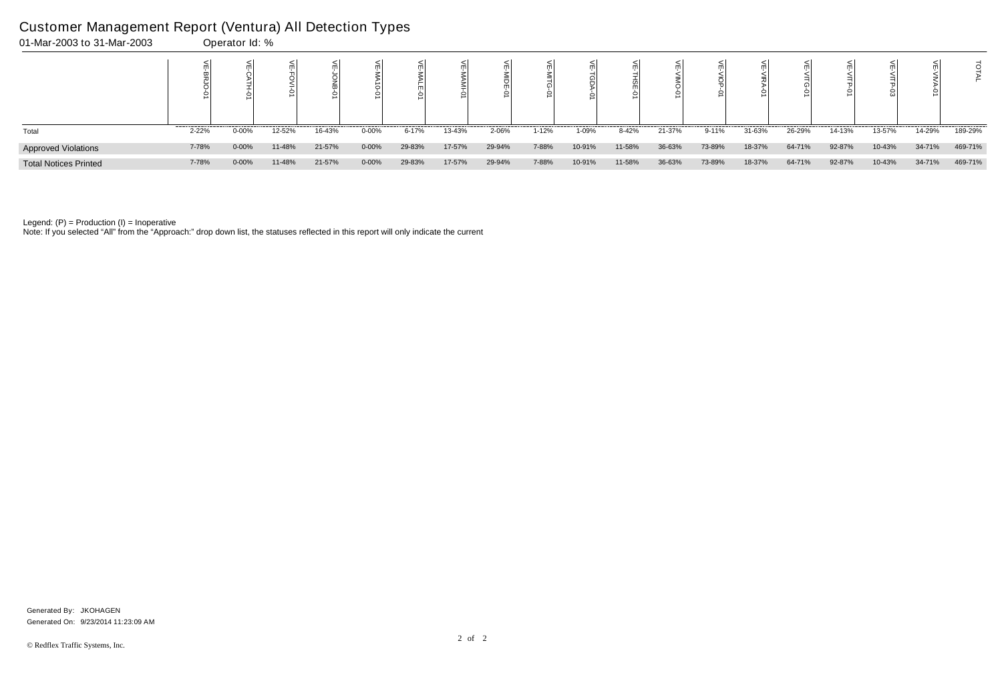| 01-Mar-2003 to 31-Mar-2003   |       | Operator Id: % |        |        |           |        |        |        |           |        |        |        |        |        |        |        |        |        |         |
|------------------------------|-------|----------------|--------|--------|-----------|--------|--------|--------|-----------|--------|--------|--------|--------|--------|--------|--------|--------|--------|---------|
|                              |       |                |        |        |           |        |        |        |           |        |        |        |        |        |        |        |        |        |         |
| Total                        | 2-22% | $0 - 00%$      | 12-52% | 16-43% | $0 - 00%$ | 6-17%  | 13-43% | 2-06%  | $1 - 12%$ | 1-09%  | 8-42%  | 21-37% | 9-11%  | 31-63% | 26-29% | 14-13% | 13-57% | 14-29% | 189-29% |
| <b>Approved Violations</b>   | 7-78% | $0 - 00%$      | 11-48% | 21-57% | 0-00%     | 29-83% | 17-57% | 29-94% | 7-88%     | 10-91% | 11-58% | 36-63% | 73-89% | 18-37% | 64-71% | 92-87% | 10-43% | 34-71% | 469-71% |
| <b>Total Notices Printed</b> | 7-78% | $0 - 00%$      | 11-48% | 21-57% | $0 - 00%$ | 29-83% | 17-57% | 29-94% | 7-88%     | 10-91% | 11-58% | 36-63% | 73-89% | 18-37% | 64-71% | 92-87% | 10-43% | 34-71% | 469-71% |

Note: If you selected "All" from the "Approach:" drop down list, the statuses reflected in this report will only indicate the current

### Customer Management Report (Ventura) All Detection Types

Generated On: 9/23/2014 11:23:09 AM Generated By: JKOHAGEN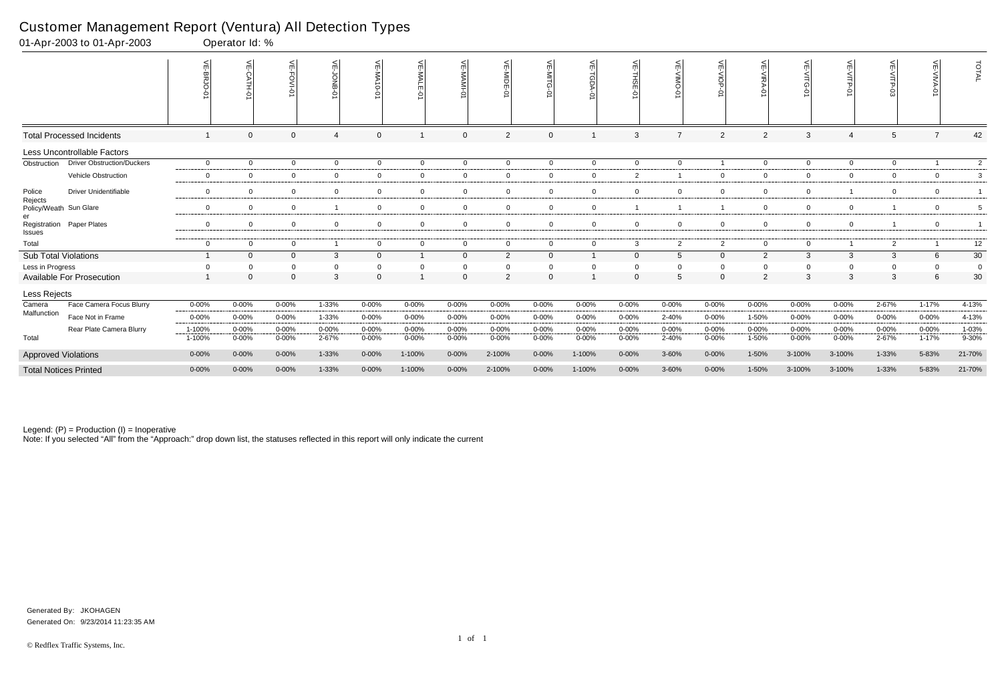|                                   | 01-Apr-2003 to 01-Apr-2003        |                          | Operator Id: % |                |                     |                |                       |                |                |                |                |                |                 |                |                   |                |                          |                |                |                         |
|-----------------------------------|-----------------------------------|--------------------------|----------------|----------------|---------------------|----------------|-----------------------|----------------|----------------|----------------|----------------|----------------|-----------------|----------------|-------------------|----------------|--------------------------|----------------|----------------|-------------------------|
|                                   |                                   | VE-BRJO-<br>$\mathsf{R}$ | ¥<br>ò         | $\mathbf \pi$  | 늰<br><b>LO-BNOP</b> | 닞<br>ਠੋ        | 씆<br><b>MALE</b><br>ò | VE-MAMI-01     | VE-MIDE-01     | VE-MITG-<br>ò  | VE-TGDA-0      | VE-THSE-01     | VE-VIMO-01      | ¥<br>$\circ$   | <b>VE-VIRA-01</b> |                | $\leq$                   | 븻<br>ġ         | ے<br>$\circ$   | TOTAL                   |
|                                   | <b>Total Processed Incidents</b>  |                          | $\overline{0}$ | $\Omega$       | $\overline{4}$      | $\mathbf{0}$   |                       | $\mathbf 0$    | $\overline{2}$ | $\overline{0}$ |                | 3              | $\overline{7}$  | $\overline{2}$ | $\overline{2}$    | 3              | $\overline{4}$           | 5              |                | 42                      |
|                                   | Less Uncontrollable Factors       |                          |                |                |                     |                |                       |                |                |                |                |                |                 |                |                   |                |                          |                |                |                         |
| Obstruction                       | <b>Driver Obstruction/Duckers</b> | $\overline{0}$           | $\overline{0}$ | $\overline{0}$ | $\overline{0}$      | $\overline{0}$ | $\overline{0}$        | $\mathbf 0$    | $\overline{0}$ | $\overline{0}$ | $\overline{0}$ | $\overline{0}$ | $\mathbf 0$     |                | $\overline{0}$    | $\overline{0}$ | $\overline{0}$           | $\mathbf 0$    |                | $\overline{2}$          |
|                                   | Vehicle Obstruction               | $\overline{0}$           | $\overline{0}$ | $\overline{0}$ | $\mathbf 0$         | 0              | $\overline{0}$        | $\mathbf 0$    | $\overline{0}$ | $\overline{0}$ | $\mathbf 0$    | 2              |                 | $\mathbf 0$    | $\overline{0}$    | $\Omega$       | $\overline{0}$           | $\mathbf 0$    | $\overline{0}$ | $\mathbf{3}$            |
| Police                            | <b>Driver Unidentifiable</b>      | $\overline{0}$           | $\overline{0}$ | $\overline{0}$ | $\mathbf 0$         | $\mathbf 0$    | $\overline{0}$        | $\mathbf 0$    | $\mathbf 0$    | $\overline{0}$ | $\mathbf 0$    | $\overline{0}$ | $\mathbf{0}$    | $\overline{0}$ | $\Omega$          | $\overline{0}$ | $\overline{\phantom{0}}$ | $\mathbf 0$    | $\overline{0}$ | $\overline{\mathbf{1}}$ |
| Rejects<br>Policy/Weath Sun Glare |                                   | $\mathbf 0$              | $\overline{0}$ | $\overline{0}$ |                     | $\mathbf 0$    | $\overline{0}$        | $\mathbf 0$    | $\mathbf 0$    | $\overline{0}$ | $\mathbf 0$    |                |                 |                | $\mathbf 0$       | $\mathbf 0$    | $\mathbf 0$              |                | $\mathbf 0$    | 5                       |
| Registration<br>Issues            | Paper Plates                      | $\mathbf 0$              | $\overline{0}$ | $\overline{0}$ | $\overline{0}$      | 0              | $\overline{0}$        | $\mathbf 0$    | $\overline{0}$ | $\overline{0}$ | $\mathbf 0$    | $\overline{0}$ | $\Omega$        | $\mathbf 0$    | $\mathbf 0$       | $\overline{0}$ | $\overline{0}$           |                | $\overline{0}$ | -1                      |
| Total                             |                                   | $\mathbf 0$              | $\mathbf 0$    | $\overline{0}$ | $\overline{1}$      | $\overline{0}$ | $\overline{0}$        | $\overline{0}$ | $\mathbf 0$    | $\overline{0}$ | $\overline{0}$ | 3              | $\overline{2}$  | $\overline{2}$ | $\overline{0}$    | $\overline{0}$ | $\overline{1}$           | $\overline{2}$ |                | 12                      |
| <b>Sub Total Violations</b>       |                                   |                          | $\Omega$       | $\overline{0}$ | 3                   | $\overline{0}$ | $\mathbf{1}$          | $\mathbf 0$    | $\overline{2}$ | $\mathbf{0}$   |                | $\overline{0}$ | 5               | $\mathbf 0$    | $\overline{2}$    | 3              | 3                        | 3              | 6              | $30\,$                  |
| Less in Progress                  |                                   | $\mathbf 0$              | $\Omega$       | $\Omega$       | 0                   |                | $\Omega$              | $\mathbf 0$    | $\Omega$       | $\overline{0}$ | $\Omega$       | $\Omega$       |                 | $\mathbf 0$    |                   | $\Omega$       | $\mathbf 0$              | $\Omega$       |                | $\mathbf 0$             |
|                                   | <b>Available For Prosecution</b>  |                          | $\Omega$       | $\Omega$       | 3                   | $\Omega$       |                       | $\mathbf 0$    | 2              | $\Omega$       |                | $\Omega$       | $5\overline{5}$ | $\Omega$       | $\overline{2}$    | 3              | 3                        | 3              | 6              | 30                      |
| Less Rejects                      |                                   |                          |                |                |                     |                |                       |                |                |                |                |                |                 |                |                   |                |                          |                |                |                         |
| Camera                            | Face Camera Focus Blurry          | $0 - 00%$                | $0 - 00%$      | 0-00%          | $1 - 33%$           | $0 - 00%$      | $0 - 00%$             | 0-00%          | 0-00%          | $0 - 00%$      | $0 - 00%$      | $0 - 00%$      | $0 - 00%$       | $0 - 00%$      | 0-00%             | $0 - 00%$      | $0 - 00%$                | 2-67%          | $1 - 17%$      | 4-13%                   |
| Malfunction                       | Face Not in Frame                 | $0 - 00%$                | $0 - 00%$      | 0-00%          | 1-33%               | $0 - 00%$      | $0 - 00%$             | $0 - 00%$      | $0 - 00%$      | $0 - 00%$      | $0 - 00%$      | 0-00%          | 2-40%           | $0 - 00%$      | 1-50%             | $0 - 00%$      | $0 - 00%$                | $0 - 00%$      | $0 - 00%$      | 4-13%                   |
|                                   | Rear Plate Camera Blurry          | 1-100%                   | $0 - 00%$      | 0-00%          | $0 - 00%$           | $0 - 00%$      | $0 - 00%$             | $0 - 00\%$     | $0 - 00%$      | $0 - 00%$      | $0 - 00%$      | $0 - 00%$      | $0 - 00%$       | $0 - 00%$      | $0 - 00%$         | 0-00%          | $0 - 00%$                | $0 - 00%$      | $0 - 00%$      | 1-03%                   |
| Total                             |                                   | 1-100%                   | $0 - 00%$      | $0 - 00%$      | 2-67%               | $0 - 00%$      | $0 - 00%$             | $0 - 00\%$     | $0 - 00%$      | $0 - 00\%$     | $0 - 00%$      | $0 - 00%$      | 2-40%           | $0 - 00\%$     | 1-50%             | $0 - 00%$      | $0 - 00\%$               | 2-67%          | $1 - 17%$      | $9 - 30%$               |
| <b>Approved Violations</b>        |                                   | $0 - 00\%$               | $0 - 00\%$     | $0 - 00%$      | 1-33%               | $0 - 00%$      | 1-100%                | $0 - 00\%$     | 2-100%         | $0 - 00%$      | 1-100%         | $0 - 00%$      | 3-60%           | $0 - 00\%$     | 1-50%             | 3-100%         | 3-100%                   | 1-33%          | 5-83%          | 21-70%                  |
|                                   | <b>Total Notices Printed</b>      | $0 - 00%$                | $0 - 00\%$     | $0 - 00%$      | 1-33%               | $0 - 00%$      | 1-100%                | $0 - 00\%$     | 2-100%         | $0 - 00%$      | 1-100%         | $0 - 00%$      | 3-60%           | $0 - 00\%$     | 1-50%             | 3-100%         | 3-100%                   | 1-33%          | 5-83%          | 21-70%                  |

Note: If you selected "All" from the "Approach:" drop down list, the statuses reflected in this report will only indicate the current

### Customer Management Report (Ventura) All Detection Types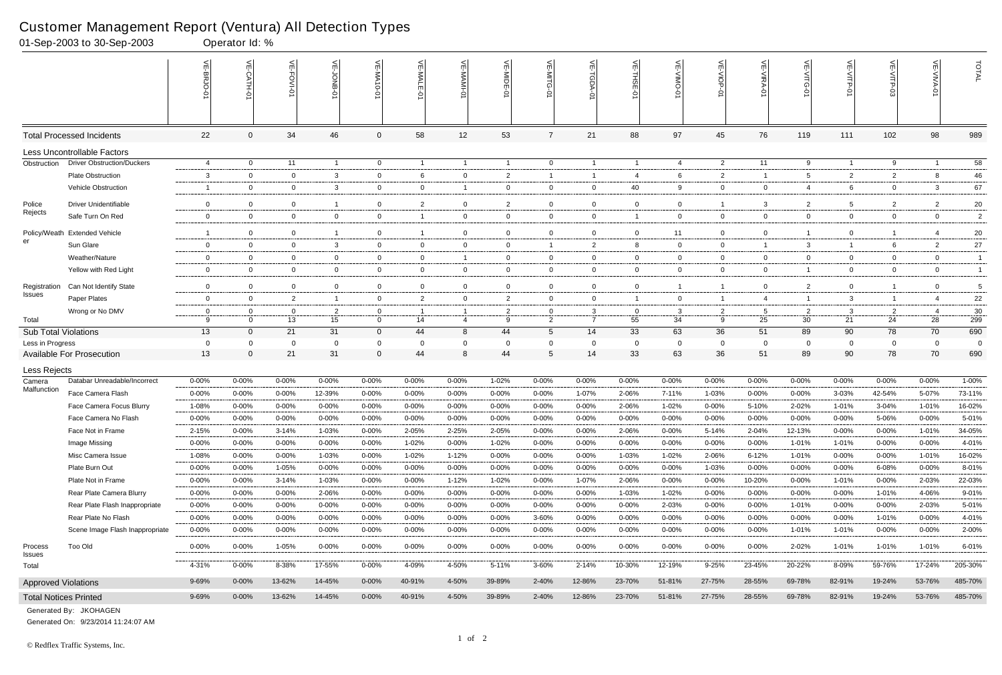|                             | 01-Sep-2003 to 30-Sep-2003        |                        | Operator Id: %     |                        |                         |                         |                         |                        |                |                        |                     |                    |                        |                    |                        |                    |                    |                   |                    |                       |
|-----------------------------|-----------------------------------|------------------------|--------------------|------------------------|-------------------------|-------------------------|-------------------------|------------------------|----------------|------------------------|---------------------|--------------------|------------------------|--------------------|------------------------|--------------------|--------------------|-------------------|--------------------|-----------------------|
|                             |                                   |                        | $\leq$<br>CATH-0   | 늰<br>FOVI-0            | $\leq$                  | $\leq$<br>-NA<br>$-0-0$ | VE-MAL                  |                        | VE-MIDE-01     |                        | ₹<br><b>TGDA-0</b>  | VE-THSE-01         | 븻<br><b>ONIN-</b><br>Ò | VE-VIOP-<br>Ò      | VE-VIRA-01             | VE-VITG-01         | VE-VITP-01         | $VE-V1TP-03$      | VE-VIVA-01         | TOTAL                 |
|                             | <b>Total Processed Incidents</b>  | 22                     | $\Omega$           | 34                     | 46                      | 0                       | 58                      | 12                     | 53             |                        | 21                  | 88                 | 97                     | 45                 | 76                     | 119                | 111                | 102               | 98                 | 989                   |
|                             | Less Uncontrollable Factors       |                        |                    |                        |                         |                         |                         |                        |                |                        |                     |                    |                        |                    |                        |                    |                    |                   |                    |                       |
| Obstruction                 | <b>Driver Obstruction/Duckers</b> | $\overline{4}$         | $\overline{0}$     | 11                     | $\overline{1}$          | $\mathbf 0$             | $\mathbf{1}$            | $\overline{1}$         | $\overline{1}$ | $\overline{0}$         | $\overline{1}$      | $\overline{1}$     | 4                      | $\overline{2}$     | 11                     | 9                  | $\mathbf{1}$       | 9                 |                    | $\overline{58}$       |
|                             | Plate Obstruction                 | 3                      | $\Omega$           | $\overline{0}$         | 3                       | 0                       | 6                       | $\mathbf 0$            | $\overline{2}$ |                        | $\overline{1}$      | -4                 | 6                      | $\overline{2}$     |                        | 5                  | $\overline{2}$     | 2                 | 8                  | 46                    |
|                             | Vehicle Obstruction               | -1                     | $\Omega$           | $\mathbf 0$            | 3                       | $\mathbf 0$             | $\mathbf 0$             | $\overline{1}$         | $\mathbf 0$    | 0                      | $\mathbf 0$         | 40                 | 9                      | $\overline{0}$     | 0                      | 4                  | 6                  | $\overline{0}$    | 3                  | 67                    |
| Police                      | <b>Driver Unidentifiable</b>      | $\mathbf 0$            | $\Omega$           | $\overline{0}$         | -1                      | $\mathbf{0}$            | $\overline{2}$          | $\mathbf 0$            | $\overline{2}$ | $\Omega$               | $\mathbf{0}$        | $\mathbf 0$        | $\mathbf{0}$           | $\overline{1}$     | -3                     | 2                  | 5                  | $\overline{2}$    | $\overline{2}$     | $20\,$                |
| Rejects                     | Safe Turn On Red                  | $\mathbf 0$            | $\Omega$           | $\mathbf 0$            | $\mathbf 0$             | $\mathbf{0}$            | $\overline{1}$          | $\overline{0}$         | $\overline{0}$ | $\mathbf 0$            | $\mathbf 0$         | $\overline{1}$     | $\mathbf{0}$           | $\overline{0}$     | $\overline{0}$         | $\overline{0}$     | $\mathbf 0$        | 0                 | $\mathbf 0$        | $\overline{c}$        |
| Policy/Weath                | <b>Extended Vehicle</b>           | -1                     | $\Omega$           | $\mathbf 0$            | $\overline{\mathbf{1}}$ | 0                       |                         | $\mathbf{0}$           | $\mathbf 0$    | 0                      | $\mathbf 0$         | $\overline{0}$     | 11                     | $\mathbf{0}$       | $\Omega$               |                    | 0                  | -1                |                    | 20                    |
| er                          | Sun Glare                         | $\overline{0}$         | $\Omega$           | $\overline{0}$         | 3                       | $\mathbf{0}$            | $\overline{0}$          | $\mathbf 0$            | $\overline{0}$ | -1                     | $\overline{2}$      | 8                  | $\mathbf{0}$           | $\overline{0}$     |                        | 3                  | $\mathbf{1}$       | 6                 | $\overline{2}$     | 27                    |
|                             | Weather/Nature                    | $\mathbf 0$            | $\mathbf 0$        | $\overline{0}$         | $\mathbf 0$             | $\mathbf 0$             | $\mathbf 0$             | $\overline{1}$         | $\mathbf 0$    | $\mathbf 0$            | $\mathbf{0}$        | $\mathbf 0$        | $\mathbf 0$            | $\mathbf{0}$       | $\overline{0}$         | $\overline{0}$     | $\mathbf 0$        | $\mathbf 0$       | $\mathbf 0$        | $\overline{1}$        |
|                             | Yellow with Red Light             | $\mathbf 0$            | $\Omega$           | $\overline{0}$         | $\mathbf 0$             | $\mathbf 0$             | $\overline{0}$          | $\overline{0}$         | 0              | 0                      | $\mathbf{0}$        | $\overline{0}$     | $\mathbf{0}$           | $\overline{0}$     | 0                      |                    | $\mathbf 0$        | $\overline{0}$    | $\overline{0}$     | $\mathbf{1}$          |
| Registration                | Can Not Identify State            | $\mathbf 0$            | $\Omega$           | $\overline{0}$         | $\mathbf 0$             | $\mathbf{0}$            | $\overline{0}$          | $\mathbf 0$            | $\overline{0}$ | $\mathbf 0$            | $\mathbf 0$         | $\mathbf 0$        |                        | $\overline{1}$     | $\Omega$               | 2                  | $\mathbf 0$        | -1                | $\mathbf 0$        | 5                     |
| <b>Issues</b>               | Paper Plates                      | $\overline{0}$         | $\Omega$           | $\overline{2}$         | $\overline{1}$          | $\mathbf 0$             | $\overline{2}$          | $\overline{0}$         | $\overline{2}$ | $\mathbf 0$            | $\mathbf{0}$        | $\overline{1}$     | $\mathbf{0}$           | $\overline{1}$     | $\overline{4}$         |                    | $\mathbf{3}$       | $\overline{1}$    |                    | 22                    |
|                             | Wrong or No DMV                   | $\mathbf 0$            | $\Omega$           | $\overline{0}$         | $\overline{2}$          | 0                       |                         |                        | $\overline{2}$ | $\Omega$               | 3                   | $\overline{0}$     | 3                      | $\overline{2}$     | -5                     | 2                  | 3                  | $\overline{2}$    | -4                 | $30\,$                |
| Total                       |                                   | 9                      | $\Omega$           | 13                     | 15                      | $\Omega$                | 14                      | $\overline{4}$         | 9              | 2                      | $\overline{7}$      | 55                 | 34                     | 9                  | 25                     | 30                 | 21                 | 24                | 28                 | 299                   |
| <b>Sub Total Violations</b> |                                   | 13                     | $\mathbf{0}$       | 21                     | 31                      | 0                       | 44                      | 8                      | 44             | 5                      | 14                  | 33                 | 63                     | 36                 | 51                     | 89                 | 90                 | 78                | 70                 | 690                   |
| Less in Progress            | <b>Available For Prosecution</b>  | $\mathbf 0$<br>13      | $\Omega$           | $\Omega$<br>21         | $\mathbf 0$<br>31       | $\Omega$<br>$\Omega$    | $\Omega$<br>44          | $\mathbf 0$<br>8       | 44             | $\Omega$<br>5          | $\Omega$<br>14      | $\Omega$<br>33     | 0<br>63                | $\mathbf 0$<br>36  | $\Omega$<br>51         | 0<br>89            | $\mathbf 0$<br>90  | $\mathbf 0$<br>78 | $\Omega$<br>70     | $\overline{0}$<br>690 |
|                             |                                   |                        |                    |                        |                         |                         |                         |                        |                |                        |                     |                    |                        |                    |                        |                    |                    |                   |                    |                       |
| Less Rejects                | Databar Unreadable/Incorrect      |                        |                    |                        |                         |                         |                         |                        |                |                        |                     |                    |                        |                    |                        |                    |                    |                   |                    | 1-00%                 |
| Camera<br>Malfunction       | Face Camera Flash                 | $0 - 00%$<br>$0 - 00%$ | 0-00%<br>$0 - 00%$ | $0 - 00%$<br>$0 - 00%$ | 0-00%<br>12-39%         | $0 - 00%$<br>$0 - 00%$  | $0 - 00\%$<br>$0 - 00%$ | $0 - 00%$<br>$0 - 00%$ | 1-02%<br>0-00% | $0 - 00%$<br>$0 - 00%$ | $0 - 00\%$<br>1-07% | $0 - 00%$<br>2-06% | 0-00%<br>7-11%         | $0 - 00%$<br>1-03% | $0 - 00%$<br>$0 - 00%$ | $0 - 00%$<br>0-00% | $0 - 00%$<br>3-03% | 0-00%<br>42-54%   | $0 - 00%$<br>5-07% | 73-11%                |
|                             | Face Camera Focus Blurry          | 1-08%                  | $0 - 00%$          | $0 - 00%$              | $0 - 00%$               | $0 - 00%$               | $0 - 00\%$              | $0 - 00%$              | $0 - 00%$      | $0 - 00%$              | $0 - 00%$           | 2-06%              | 1-02%                  | 0-00%              | 5-10%                  | 2-02%              | 1-01%              | 3-04%             | 1-01%              | 16-02%                |
|                             | Face Camera No Flash              | $0 - 00%$              | 0-00%              | $0 - 00\%$             | $0 - 00%$               | $0 - 00%$               | $0 - 00%$               | $0 - 00%$              | $0 - 00%$      | $0 - 00%$              | $0 - 00%$           | $0 - 00%$          | 0-00%                  | 0-00%              | $0 - 00%$              | $0 - 00%$          | 0-00%              | 5-06%             | $0 - 00\%$         | 5-01%                 |
|                             | Face Not in Frame                 | 2-15%                  | 0-00%              | $3 - 14%$              | 1-03%                   | 0-00%                   | 2-05%                   | 2-25%                  | 2-05%          | $0 - 00%$              | $0 - 00%$           | 2-06%              | 0-00%                  | 5-14%              | 2-04%                  | 12-13%             | $0 - 00%$          | $0 - 00%$         | 1-01%              | 34-05%                |
|                             | Image Missing                     | $0 - 00%$              | $0 - 00%$          | $0 - 00%$              | 0-00%                   | $0 - 00%$               | 1-02%                   | $0 - 00%$              | 1-02%          | $0 - 00%$              | $0 - 00\%$          | $0 - 00%$          | 0-00%                  | $0 - 00\%$         | $0 - 00\%$             | 1-01%              | 1-01%              | $0 - 00\%$        | $0 - 00%$          | 4-01%                 |
|                             | Misc Camera Issue                 | 1-08%                  | $0 - 00%$          | $0 - 00\%$             | 1-03%                   | $0 - 00%$               | 1-02%                   | 1-12%                  | $0 - 00%$      | $0 - 00%$              | $0 - 00\%$          | 1-03%              | $1 - 02%$              | 2-06%              | 6-12%                  | $1 - 01%$          | $0 - 00%$          | $0 - 00%$         | 1-01%              | 16-02%                |
|                             | Plate Burn Out                    | $0 - 00%$              | $0 - 00%$          | 1-05%                  | 0-00%                   | $0 - 00%$               | $0 - 00\%$              | $0 - 00%$              | 0-00%          | $0 - 00%$              | $0 - 00\%$          | $0 - 00%$          | $0 - 00%$              | 1-03%              | $0 - 00%$              | $0 - 00%$          | $0 - 00%$          | 6-08%             | $0 - 00%$          | 8-01%                 |
|                             | Plate Not in Frame                | $0 - 00%$              | $0 - 00\%$         | $3 - 14%$              | 1-03%                   | $0 - 00%$               | $0 - 00\%$              | 1-12%                  | 1-02%          | $0 - 00\%$             | 1-07%               | 2-06%              | $0 - 00%$              | $0 - 00\%$         | 10-20%                 | $0 - 00%$          | 1-01%              | $0 - 00\%$        | 2-03%              | 22-03%                |
|                             | Rear Plate Camera Blurry          | $0 - 00%$              | $0 - 00\%$         | 0-00%                  | 2-06%                   | $0 - 00\%$              | 0-00%                   | $0 - 00%$              | 0-00%          | 0-00%                  | $0 - 00\%$          | 1-03%              | 1-02%                  | 0-00%              | $0 - 00\%$             | $0 - 00%$          | $0 - 00%$          | 1-01%             | 4-06%              | 9-01%                 |
|                             | Rear Plate Flash Inappropriate    | $0 - 00%$              | $0 - 00%$          | $0 - 00\%$             | 0-00%                   | $0 - 00%$               | $0 - 00\%$              | $0 - 00\%$             | 0-00%          | $0 - 00%$              | $0 - 00\%$          | $0 - 00%$          | 2-03%                  | $0 - 00\%$         | $0 - 00\%$             | 1-01%              | $0 - 00%$          | $0 - 00%$         | 2-03%              | 5-01%                 |
|                             | Rear Plate No Flash               | $0 - 00%$              | 0-00%              | $0 - 00%$              | $0 - 00%$               | $0 - 00%$               | $0 - 00\%$              | $0 - 00\%$             | $0 - 00%$      | 3-60%                  | $0 - 00\%$          | $0 - 00%$          | $0 - 00%$              | $0 - 00\%$         | $0 - 00\%$             | $0 - 00%$          | $0 - 00%$          | 1-01%             | $0 - 00%$          | 4-01%                 |
|                             | Scene Image Flash Inappropriate   | $0 - 00\%$             | $0 - 00%$          | 0-00%                  | $0 - 00%$               | $0 - 00%$               | 0-00%                   | 0-00%                  | $0 - 00%$      | 0-00%                  | 0-00%               | $0 - 00%$          | $0 - 00%$              | 0-00%              | $0 - 00\%$             | 1-01%              | 1-01%              | $0 - 00\%$        | $0 - 00\%$         | 2-00%                 |
| Process<br>Issues           | <b>Too Old</b>                    | $0 - 00\%$             | $0 - 00\%$         | 1-05%                  | $0 - 00\%$              | $0 - 00%$               | $0 - 00\%$              | $0 - 00%$              | $0 - 00%$      | $0 - 00\%$             | $0 - 00\%$          | $0 - 00%$          | $0 - 00%$              | $0 - 00\%$         | 0-00%                  | 2-02%              | 1-01%              | 1-01%             | 1-01%              | 6-01%                 |
| Total                       |                                   | 4-31%                  | $0 - 00%$          | 8-38%                  | 17-55%                  | $0 - 00%$               | 4-09%                   | 4-50%                  | 5-11%          | 3-60%                  | 2-14%               | 10-30%             | 12-19%                 | $9 - 25%$          | 23-45%                 | 20-22%             | 8-09%              | 59-76%            | 17-24%             | 205-30%               |
| <b>Approved Violations</b>  |                                   | 9-69%                  | $0 - 00\%$         | 13-62%                 | 14-45%                  | $0 - 00\%$              | 40-91%                  | 4-50%                  | 39-89%         | 2-40%                  | 12-86%              | 23-70%             | 51-81%                 | 27-75%             | 28-55%                 | 69-78%             | 82-91%             | 19-24%            | 53-76%             | 485-70%               |
|                             | <b>Total Notices Printed</b>      | 9-69%                  | $0 - 00\%$         | 13-62%                 | 14-45%                  | $0 - 00\%$              | 40-91%                  | 4-50%                  | 39-89%         | 2-40%                  | 12-86%              | 23-70%             | 51-81%                 | 27-75%             | 28-55%                 | 69-78%             | 82-91%             | 19-24%            | 53-76%             | 485-70%               |

Generated On: 9/23/2014 11:24:07 AM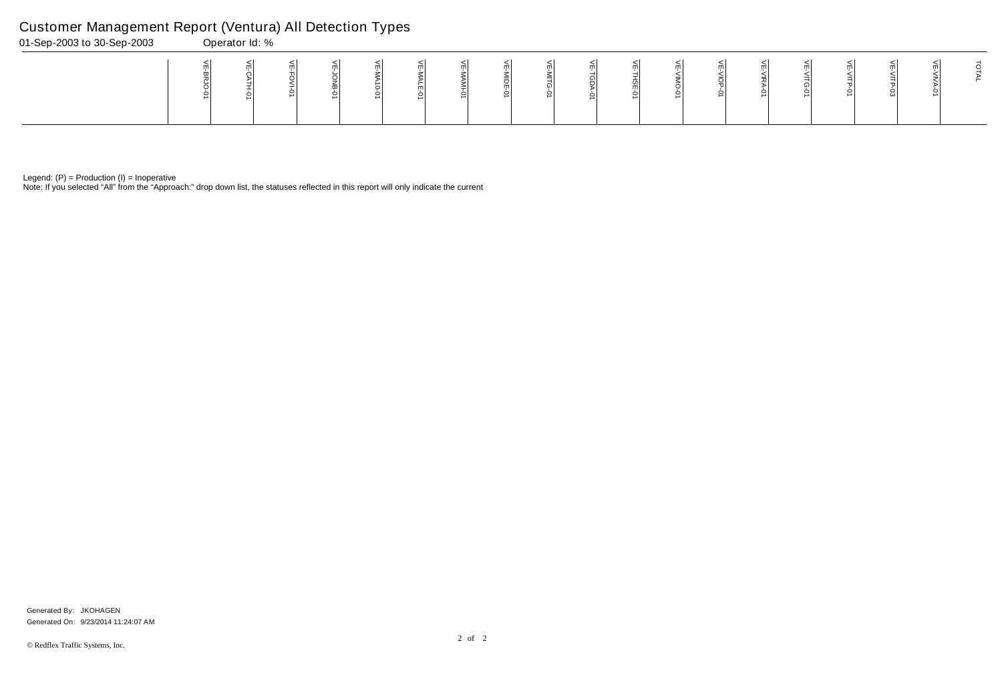Note: If you selected "All" from the "Approach:" drop down list, the statuses reflected in this report will only indicate the current

# Customer Management Report (Ventura) All Detection Types

| 01-Sep-2003 to 30-Sep-2003 | Operator Id: % |  |  |   |   |  |  |  |  |  |
|----------------------------|----------------|--|--|---|---|--|--|--|--|--|
|                            |                |  |  | ∸ | m |  |  |  |  |  |

Generated On: 9/23/2014 11:24:07 AM Generated By: JKOHAGEN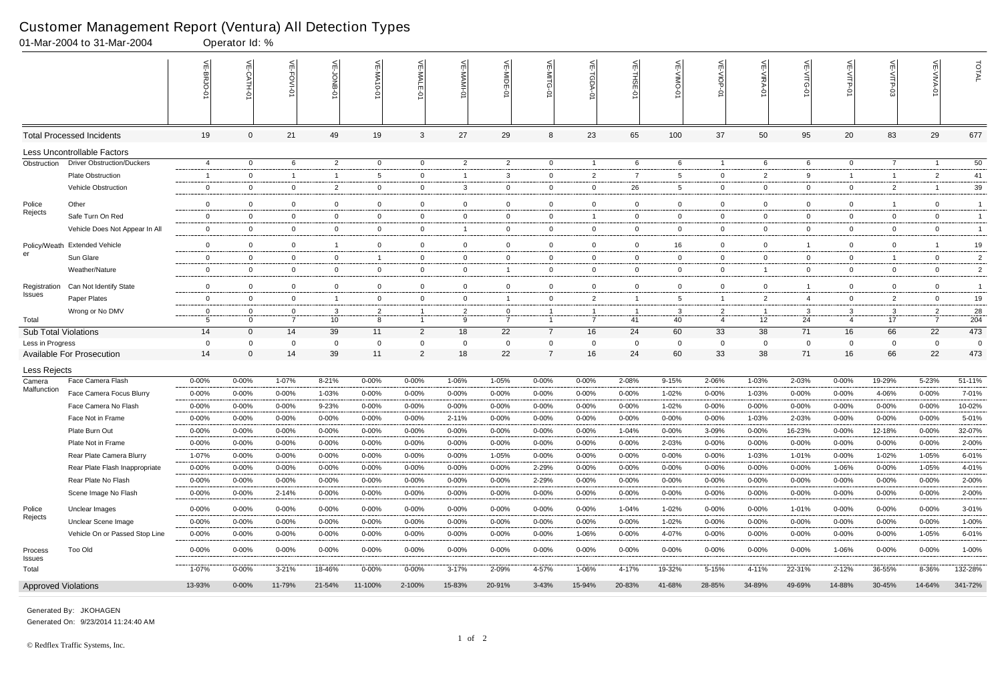|                             |                                   | VE-BRJO-0                    | 늦                          | $\overline{H}$<br><b>FOVI-0</b> | VE-JONB-01                    | VE-MA10-0                   | VE-MALE-<br>ò                 | VE-MAMI-D                      | VE-MIDE-0                      | VE-MITG-01                 | $\widetilde{\mathbb{F}}$<br><b>TGDA-0</b> |                               | VE-VIMO-01                 | VE-VIOP-01                       | ا≧                            | VE-VITG-0                  | <b>VE-VITP-01</b>                | 늰                | VE-VIVA-0                        | TOTAL                            |
|-----------------------------|-----------------------------------|------------------------------|----------------------------|---------------------------------|-------------------------------|-----------------------------|-------------------------------|--------------------------------|--------------------------------|----------------------------|-------------------------------------------|-------------------------------|----------------------------|----------------------------------|-------------------------------|----------------------------|----------------------------------|------------------|----------------------------------|----------------------------------|
|                             | <b>Total Processed Incidents</b>  | 19                           | $\mathbf 0$                | 21                              | 49                            | 19                          | 3                             | 27                             | 29                             | 8                          | 23                                        | 65                            | 100                        | 37                               | 50                            | 95                         | 20                               | 83               | 29                               | 677                              |
|                             | Less Uncontrollable Factors       |                              |                            |                                 |                               |                             |                               |                                |                                |                            |                                           |                               |                            |                                  |                               |                            |                                  |                  |                                  |                                  |
| Obstruction                 | <b>Driver Obstruction/Duckers</b> | $\overline{4}$               | $\overline{0}$             | 6                               | $\overline{2}$                | $\overline{0}$              | $\overline{0}$                | $\overline{2}$                 | $\overline{2}$                 | $\overline{0}$             | $\overline{1}$                            | 6                             | 6                          | $\overline{1}$                   | 6                             | 6                          | $\overline{0}$                   | $\overline{7}$   | $\overline{1}$                   | 50                               |
|                             | Plate Obstruction                 | $\overline{1}$               | $\overline{0}$             |                                 | $\overline{1}$                | 5                           | $\mathbf 0$                   | $\mathbf{1}$                   | 3                              | $\mathbf 0$                | $\overline{2}$                            | $\overline{7}$                | -5                         | $\bf{0}$                         | $\overline{2}$                | -9                         | $\mathbf{1}$                     | -1               | $\overline{2}$                   | 41                               |
|                             | Vehicle Obstruction               | 0                            | $\mathbf 0$                | $\overline{0}$                  | $\overline{2}$                | $\mathbf 0$                 | 0                             | 3                              | $\mathbf 0$                    | $\mathbf 0$                | $\overline{0}$                            | 26                            | 5                          | $\overline{0}$                   | 0                             | $\overline{0}$             | $\overline{0}$                   | $\overline{2}$   |                                  | 39                               |
| Police                      | Other                             | $\mathbf{0}$                 | $\Omega$                   | $\overline{0}$                  | $\overline{0}$                | $\overline{0}$              | $\overline{0}$                | $\overline{0}$                 | $\mathbf 0$                    | $\mathbf 0$                | $\overline{0}$                            | $\overline{0}$                | $\overline{0}$             | $\overline{0}$                   | $\overline{0}$                | $\mathbf{0}$               | $\overline{0}$                   | -1               | $\overline{0}$                   | $\overline{1}$                   |
| Rejects                     | Safe Turn On Red                  | 0                            | $\overline{0}$             | $\mathbf 0$                     | $\overline{0}$                | $\overline{0}$              | $\mathbf 0$                   | $\overline{0}$                 | $\mathbf 0$                    | $\mathbf 0$                | $\overline{1}$                            | $\overline{0}$                | $\mathbf 0$                | $\overline{0}$                   | $\mathbf 0$                   | $\mathbf 0$                | $\mathbf 0$                      | 0                | $\overline{0}$                   | $\overline{1}$                   |
|                             | Vehicle Does Not Appear In All    | $\overline{0}$               | $\mathbf 0$                | $\mathbf{0}$                    | $\overline{0}$                | $\mathbf 0$                 | $\mathbf 0$                   | $\overline{1}$                 | $\mathbf 0$                    | $\mathbf{0}$               | $\overline{0}$                            | $\mathbf 0$                   | $\mathbf 0$                | $\overline{0}$                   | 0                             | $\mathbf{0}$               | $\overline{0}$                   | 0                | $\overline{0}$                   | $\overline{1}$                   |
|                             |                                   |                              |                            |                                 |                               |                             |                               |                                |                                |                            |                                           |                               |                            |                                  |                               |                            |                                  |                  |                                  |                                  |
| er                          | Policy/Weath Extended Vehicle     | $\mathbf{0}$                 | $\overline{0}$             | $\overline{0}$                  | $\mathbf{1}$                  | $\overline{0}$              | $\overline{0}$<br>$\mathbf 0$ | $\overline{0}$                 | $\mathbf 0$                    | $\overline{0}$             | $\overline{0}$                            | $\overline{0}$                | 16                         | $\overline{0}$                   | $\overline{0}$<br>$\mathbf 0$ |                            | $\overline{0}$                   | 0                | -1<br>$\mathbf 0$                | 19                               |
|                             | Sun Glare<br>Weather/Nature       | $\mathbf{0}$<br>$\mathbf{0}$ | $\mathbf 0$<br>$\mathbf 0$ | $\mathbf 0$<br>$\overline{0}$   | $\mathbf 0$<br>$\overline{0}$ | $\mathbf{1}$<br>$\mathbf 0$ | 0                             | $\mathbf{0}$<br>$\overline{0}$ | $\mathbf 0$                    | $\mathbf 0$<br>$\mathbf 0$ | $\overline{0}$<br>$\overline{0}$          | $\overline{0}$<br>$\mathbf 0$ | $\mathbf 0$<br>$\mathbf 0$ | $\mathbf 0$<br>$\overline{0}$    | -1                            | $\mathbf 0$<br>$\mathbf 0$ | $\overline{0}$<br>$\overline{0}$ | $\mathbf 1$<br>0 | $\Omega$                         | $\overline{c}$<br>$\overline{2}$ |
|                             |                                   |                              |                            |                                 |                               |                             |                               |                                |                                |                            |                                           |                               |                            |                                  |                               |                            |                                  |                  |                                  |                                  |
| Registration<br>Issues      | Can Not Identify State            | $\mathbf{0}$                 | $\Omega$                   | $\overline{0}$                  | $\overline{0}$                | $\overline{0}$              | $\overline{0}$                | $\mathbf{0}$                   | $\mathbf 0$                    | $\overline{0}$             | $\overline{0}$                            | $\mathbf 0$                   | $\mathbf 0$                | $\overline{0}$                   | $\overline{0}$                |                            | $\overline{0}$                   | 0                | $\overline{0}$                   | $\overline{1}$                   |
|                             | Paper Plates                      | $\mathbf{0}$                 | $\overline{0}$             | $\mathbf{0}$                    | $\mathbf{1}$                  | $\overline{0}$              | $\mathbf 0$                   | $\overline{0}$                 | $\overline{1}$                 | $\mathbf 0$                | $\overline{2}$                            | $\overline{1}$                | 5                          | $\mathbf{1}$                     | $\overline{2}$                | -4                         | $\overline{0}$                   | $\overline{2}$   | $\mathbf 0$                      | 19                               |
| Total                       | Wrong or No DMV                   | 0<br>5                       | $\mathbf 0$<br>$\Omega$    | $\mathbf 0$<br>$\overline{7}$   | 3<br>$10$                     | 2<br>8                      |                               | $\overline{2}$<br>9            | $\mathbf{0}$<br>$\overline{7}$ |                            | $\overline{1}$<br>$\overline{7}$          | 41                            | -3<br>40                   | $\overline{2}$<br>$\overline{4}$ | - 1<br>12                     | 3<br>24                    | 3<br>$\overline{4}$              | 3<br>17          | $\overline{2}$<br>$\overline{7}$ | 28<br>204                        |
| <b>Sub Total Violations</b> |                                   | 14                           | $\mathbf{0}$               | 14                              | 39                            | 11                          | $\overline{2}$                | 18                             | 22                             | $\overline{7}$             | 16                                        | 24                            | 60                         | 33                               | 38                            | 71                         | 16                               | 66               | 22                               | 473                              |
| Less in Progress            |                                   | $\mathbf 0$                  | $\Omega$                   | $\mathbf 0$                     | $\mathbf 0$                   | 0                           | $\Omega$                      | $\overline{0}$                 | $\mathbf 0$                    | $\Omega$                   | $\overline{0}$                            | 0                             | $\Omega$                   | $\overline{0}$                   | $\mathbf 0$                   | 0                          | $\mathbf 0$                      | $\mathbf 0$      | 0                                | $\overline{0}$                   |
|                             | <b>Available For Prosecution</b>  | 14                           | $\Omega$                   | 14                              | 39                            | 11                          | $\overline{2}$                | 18                             | 22                             |                            | 16                                        | 24                            | 60                         | 33                               | 38                            | 71                         | 16                               | 66               | 22                               | 473                              |
| Less Rejects                |                                   |                              |                            |                                 |                               |                             |                               |                                |                                |                            |                                           |                               |                            |                                  |                               |                            |                                  |                  |                                  |                                  |
| Camera                      | Face Camera Flash                 | $0 - 00%$                    | 0-00%                      | 1-07%                           | 8-21%                         | 0-00%                       | 0-00%                         | 1-06%                          | 1-05%                          | $0 - 00%$                  | $0 - 00%$                                 | 2-08%                         | 9-15%                      | 2-06%                            | 1-03%                         | 2-03%                      | $0 - 00%$                        | 19-29%           | 5-23%                            | 51-11%                           |
| Malfunction                 | Face Camera Focus Blurry          | $0 - 00%$                    | $0 - 00%$                  | $0 - 00%$                       | 1-03%                         | $0 - 00%$                   | $0 - 00%$                     | 0-00%                          | 0-00%                          | $0 - 00%$                  | $0 - 00%$                                 | $0 - 00%$                     | 1-02%                      | 0-00%                            | 1-03%                         | 0-00%                      | $0 - 00%$                        | 4-06%            | 0-00%                            | 7-01%                            |
|                             | Face Camera No Flash              | $0 - 00%$                    | $0 - 00%$                  | $0 - 00%$                       | 9-23%                         | $0 - 00%$                   | $0 - 00%$                     | $0 - 00%$                      | $0 - 00%$                      | $0 - 00%$                  | $0 - 00%$                                 | $0 - 00%$                     | 1-02%                      | $0 - 00%$                        | $0 - 00%$                     | 0-00%                      | 0-00%                            | $0 - 00%$        | 0-00%                            | 10-02%                           |
|                             | Face Not in Frame                 | 0-00%                        | 0-00%                      | 0-00%                           | 0-00%                         | $0 - 00%$                   | 0-00%                         | 2-11%                          | 0-00%                          | $0 - 00%$                  | $0 - 00%$                                 | $0 - 00%$                     | $0 - 00%$                  | 0-00%                            | 1-03%                         | 2-03%                      | $0 - 00%$                        | 0-00%            | $0 - 00%$                        | 5-01%                            |
|                             | Plate Burn Out                    | 0-00%                        | 0-00%                      | 0-00%                           | 0-00%                         | 0-00%                       | 0-00%                         | 0-00%                          | 0-00%                          | 0-00%                      | 0-00%                                     | 1-04%                         | $0 - 00%$                  | 3-09%                            | $0 - 00%$                     | 16-23%                     | 0-00%                            | 12-18%           | 0-00%                            | 32-07%                           |
|                             | Plate Not in Frame                | $0 - 00%$                    | $0 - 00%$                  | $0 - 00%$                       | $0 - 00%$                     | $0 - 00%$                   | $0 - 00%$                     | $0 - 00%$                      | $0 - 00%$                      | $0 - 00%$                  | $0 - 00%$                                 | $0 - 00%$                     | 2-03%                      | $0 - 00%$                        | $0 - 00%$                     | $0 - 00%$                  | $0 - 00%$                        | $0 - 00%$        | $0 - 00%$                        | 2-00%                            |
|                             | Rear Plate Camera Blurry          | 1-07%                        | $0 - 00%$                  | $0 - 00%$                       | $0 - 00%$                     | $0 - 00%$                   | $0 - 00%$                     | 0-00%                          | 1-05%                          | $0 - 00%$                  | $0 - 00%$                                 | $0 - 00%$                     | 0-00%                      | $0 - 00%$                        | 1-03%                         | 1-01%                      | $0 - 00%$                        | 1-02%            | 1-05%                            | 6-01%                            |
|                             | Rear Plate Flash Inappropriate    | $0 - 00%$                    | $0 - 00\%$                 | $0 - 00%$                       | 0-00%                         | $0 - 00\%$                  | $0 - 00\%$                    | $0 - 00%$                      | $0 - 00%$                      | 2-29%                      | $0 - 00\%$                                | $0 - 00%$                     | $0 - 00\%$                 | $0 - 00%$                        | $0 - 00%$                     | 0-00%                      | 1-06%                            | $0 - 00%$        | 1-05%                            | 4-01%                            |
|                             | Rear Plate No Flash               | $0 - 00%$                    | $0 - 00%$                  | $0 - 00%$                       | $0 - 00%$                     | $0 - 00%$                   | $0 - 00\%$                    | $0 - 00%$                      | $0 - 00%$                      | 2-29%                      | $0 - 00\%$                                | $0 - 00%$                     | 0-00%                      | $0 - 00%$                        | 0-00%                         | $0 - 00%$                  | $0 - 00%$                        | 0-00%            | $0 - 00%$                        | $2 - 00\%$                       |
|                             | Scene Image No Flash              | $0 - 00%$                    | $0 - 00%$                  | 2-14%                           | $0 - 00%$                     | $0 - 00\%$                  | $0 - 00\%$                    | 0-00%                          | $0 - 00\%$                     | $0 - 00\%$                 | $0 - 00\%$                                | $0 - 00\%$                    | $0 - 00\%$                 | $0 - 00%$                        | $0 - 00%$                     | $0 - 00\%$                 | 0-00%                            | $0 - 00%$        | $0 - 00\%$                       | 2-00%                            |
| Police                      | Unclear Images                    | $0 - 00%$                    | $0 - 00%$                  | $0 - 00%$                       | $0 - 00%$                     | $0 - 00%$                   | $0 - 00%$                     | $0 - 00%$                      | $0 - 00%$                      | $0 - 00\%$                 | $0 - 00%$                                 | 1-04%                         | 1-02%                      | $0 - 00%$                        | 0-00%                         | 1-01%                      | $0 - 00\%$                       | 0-00%            | $0 - 00%$                        | 3-01%                            |
| Rejects                     | Unclear Scene Image               | $0 - 00%$                    | $0 - 00%$                  | $0 - 00%$                       | $0 - 00%$                     | $0 - 00%$                   | $0 - 00\%$                    | 0-00%                          | $0 - 00%$                      | $0 - 00%$                  | $0 - 00%$                                 | $0 - 00%$                     | 1-02%                      | $0 - 00%$                        | 0-00%                         | 0-00%                      | $0 - 00%$                        | 0-00%            | $0 - 00%$                        | 1-00%                            |
|                             | Vehicle On or Passed Stop Line    | $0 - 00%$                    | $0 - 00%$                  | $0 - 00%$                       | 0-00%                         | $0 - 00\%$                  | $0 - 00\%$                    | $0 - 00%$                      | $0 - 00%$                      | $0 - 00\%$                 | 1-06%                                     | 0-00%                         | 4-07%                      | $0 - 00%$                        | $0 - 00%$                     | $0 - 00\%$                 | 0-00%                            | $0 - 00%$        | 1-05%                            | 6-01%                            |
| Process<br>Issues           | <b>Too Old</b>                    | $0 - 00%$                    | $0 - 00%$                  | $0 - 00%$                       | $0 - 00%$                     | $0 - 00\%$                  | $0 - 00\%$                    | $0 - 00%$                      | $0 - 00%$                      | $0 - 00\%$                 | $0 - 00%$                                 | $0 - 00\%$                    | $0 - 00\%$                 | $0 - 00\%$                       | $0 - 00%$                     | $0 - 00\%$                 | 1-06%                            | 0-00%            | $0 - 00\%$                       | 1-00%                            |
| Total                       |                                   | 1-07%                        | $0 - 00\%$                 | $3 - 21%$                       | 18-46%                        | $0 - 00\%$                  | $0 - 00\%$                    | $3 - 17%$                      | 2-09%                          | 4-57%                      | 1-06%                                     | 4-17%                         | 19-32%                     | 5-15%                            | 4-11%                         | 22-31%                     | $2 - 12%$                        | 36-55%           | 8-36%                            | 132-28%                          |
| <b>Approved Violations</b>  |                                   | 13-93%                       | $0 - 00\%$                 | 11-79%                          | 21-54%                        | 11-100%                     | 2-100%                        | 15-83%                         | 20-91%                         | $3 - 43%$                  | 15-94%                                    | 20-83%                        | 41-68%                     | 28-85%                           | 34-89%                        | 49-69%                     | 14-88%                           | 30-45%           | 14-64%                           | 341-72%                          |

01-Mar-2004 to 31-Mar-2004 Operator Id: %

Generated On: 9/23/2014 11:24:40 AM Generated By: JKOHAGEN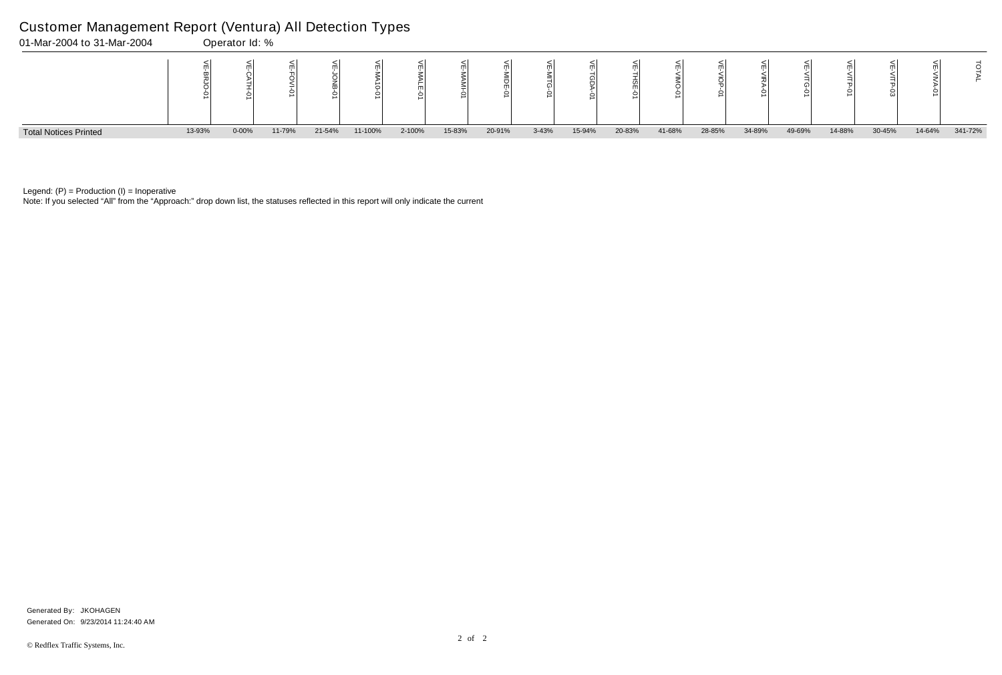Note: If you selected "All" from the "Approach:" drop down list, the statuses reflected in this report will only indicate the current



Legend:  $(P)$  = Production  $(I)$  = Inoperative

### Customer Management Report (Ventura) All Detection Types

Generated On: 9/23/2014 11:24:40 AM Generated By: JKOHAGEN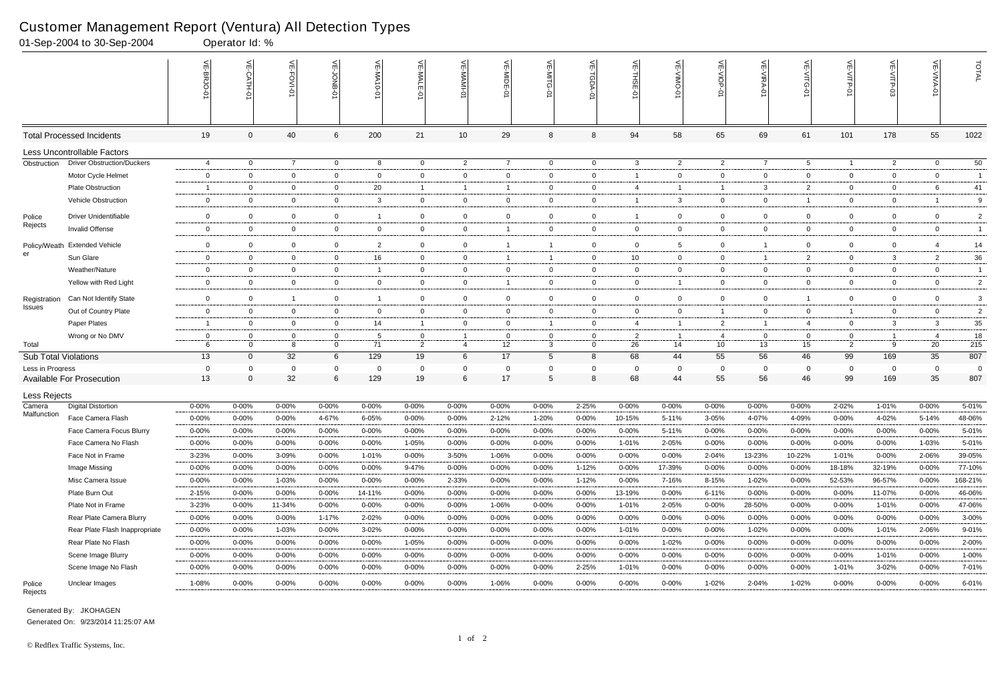Generated By: JKOHAGEN Generated On: 9/23/2014 11:25:07 AM

Rejects

|                             | 01-Sep-2004 to 30-Sep-2004        |                | Operator Id: % |                |                 |                              |                |                 |                |                |                    |                |                          |                 |                |                   |                |                |                   |                 |
|-----------------------------|-----------------------------------|----------------|----------------|----------------|-----------------|------------------------------|----------------|-----------------|----------------|----------------|--------------------|----------------|--------------------------|-----------------|----------------|-------------------|----------------|----------------|-------------------|-----------------|
|                             |                                   |                | $\leq$<br>보호   | 븬<br>FOVI-0    | ਜ               | $\leq$<br>→<br>N<br>$-0 - 0$ | VE-MAL         |                 | VE-MIDE-01     |                | ₹<br><b>TGDA-0</b> | VE-THSE-01     | 븻<br>$\overline{5}$<br>Ò | VE-VIOP-<br>ė   | VE-VIRA-01     | <b>VE-VITG-01</b> | VE-VITP-01     | $VE-V1TP-03$   | <b>VE-VIVA-01</b> | TOTAL           |
|                             | <b>Total Processed Incidents</b>  | 19             | $\Omega$       | 40             | 6               | 200                          | 21             | 10              | 29             | 8              | 8                  | 94             | 58                       | 65              | 69             | 61                | 101            | 178            | 55                | 1022            |
|                             | Less Uncontrollable Factors       |                |                |                |                 |                              |                |                 |                |                |                    |                |                          |                 |                |                   |                |                |                   |                 |
| Obstruction                 | <b>Driver Obstruction/Duckers</b> | $\overline{4}$ | $\overline{0}$ | $\overline{7}$ | $\overline{0}$  | 8                            | $\overline{0}$ | $\overline{2}$  | $\overline{7}$ | $\overline{0}$ | $\overline{0}$     | $\mathbf{3}$   | $\overline{2}$           | $\overline{2}$  | $\overline{7}$ | $5\overline{)}$   | $\mathbf{1}$   | $\overline{2}$ | $\overline{0}$    | $\overline{50}$ |
|                             | Motor Cycle Helmet                | $\overline{0}$ | $\Omega$       | $\overline{0}$ | $\mathbf 0$     | $\mathbf 0$                  | $\mathbf 0$    | $\mathbf 0$     | $\mathbf 0$    | 0              | $\mathbf{0}$       |                | $\mathbf{0}$             | $\mathbf{0}$    | $\overline{0}$ | $\mathbf 0$       | $\mathbf 0$    | $\overline{0}$ | $\mathbf 0$       | $\overline{1}$  |
|                             | <b>Plate Obstruction</b>          | -1             | $\Omega$       | $\overline{0}$ | $\mathbf{0}$    | 20                           | $\mathbf{1}$   | $\overline{1}$  |                | $\mathbf{0}$   | $\mathbf{0}$       | -4             |                          | $\overline{1}$  | 3              | $\overline{2}$    | $\mathbf 0$    | $\mathbf 0$    | 6                 | 41              |
|                             | Vehicle Obstruction               | $\mathbf 0$    | $\Omega$       | $\overline{0}$ | $\mathbf 0$     | 3                            | $\overline{0}$ | $\mathbf 0$     | $\mathbf 0$    | $\overline{0}$ | $\mathbf 0$        |                | 3                        | $\overline{0}$  | $\Omega$       |                   | $\mathbf 0$    | $\overline{0}$ |                   | 9               |
| Police                      | <b>Driver Unidentifiable</b>      | $\mathbf 0$    | $\Omega$       | $\mathbf 0$    | $\mathbf 0$     | -1                           | $\mathbf 0$    | $\overline{0}$  | $\overline{0}$ | $\mathbf 0$    | $\mathbf 0$        |                | $\mathbf 0$              | $\mathbf 0$     | $\overline{0}$ | $\mathbf{0}$      | $\mathbf 0$    | 0              | $\overline{0}$    | $\overline{2}$  |
| Rejects                     | Invalid Offense                   | $\mathbf{0}$   | $\Omega$       | $\overline{0}$ | $\mathbf{0}$    | $\mathbf 0$                  | $\overline{0}$ | $\overline{0}$  | -1             | 0              | $\mathbf{0}$       | $\overline{0}$ | $\mathbf{0}$             | $\overline{0}$  | $\Omega$       | $\overline{0}$    | $\mathbf 0$    | $\overline{0}$ | $\overline{0}$    | -1              |
| Policy/Weath                | <b>Extended Vehicle</b>           | $\mathbf 0$    | $\Omega$       | $\overline{0}$ | $\mathbf 0$     | $\overline{2}$               | $\overline{0}$ | $\mathbf 0$     |                | -1             | $\mathbf 0$        | $\mathbf 0$    | 5                        | $\mathbf 0$     |                | $\mathbf 0$       | $\overline{0}$ | 0              |                   | 14              |
| er                          | Sun Glare                         | $\mathbf 0$    | $\mathbf 0$    | $\mathbf 0$    | $\mathbf 0$     | 16                           | $\overline{0}$ | $\mathbf 0$     | - 1            | $\overline{1}$ | $\mathbf{0}$       | 10             | $\mathbf 0$              | $\mathbf{0}$    |                | 2                 | $\mathbf 0$    | $\mathbf{3}$   | $\overline{2}$    | $36\,$          |
|                             | Weather/Nature                    | $\overline{0}$ | $\Omega$       | $\overline{0}$ | $\mathbf{0}$    | - 1                          | $\overline{0}$ | $\overline{0}$  | $\overline{0}$ | 0              | $\mathbf{0}$       | $\overline{0}$ | $\mathbf{0}$             | $\overline{0}$  | $\mathbf 0$    | $\mathbf 0$       | $\mathbf 0$    | $\mathbf 0$    | $\overline{0}$    | $\overline{1}$  |
|                             | Yellow with Red Light             | $\overline{0}$ | $\Omega$       | $\overline{0}$ | $\overline{0}$  | $\mathbf 0$                  | $\mathbf 0$    | $\overline{0}$  | - 1            | $\overline{0}$ | $\mathbf 0$        | $\overline{0}$ |                          | $\overline{0}$  | $\overline{0}$ | $\overline{0}$    | $\mathbf 0$    | $\overline{0}$ | $\overline{0}$    | $\overline{2}$  |
| Registration                | Can Not Identify State            | $\mathbf 0$    | $\Omega$       | $\overline{1}$ | $\mathbf 0$     | -1                           | $\mathbf 0$    | $\overline{0}$  | $\overline{0}$ | $\mathbf 0$    | $\mathbf 0$        | $\mathbf 0$    | $\mathbf 0$              | $\mathbf 0$     | $\Omega$       |                   | $\mathbf 0$    | $\overline{0}$ | $\mathbf 0$       | 3               |
| Issues                      | Out of Country Plate              | $\overline{0}$ | $\Omega$       | $\overline{0}$ | $\mathbf{0}$    | $\mathbf 0$                  | $\overline{0}$ | $\mathbf 0$     | $\overline{0}$ | 0              | $\mathbf{0}$       | $\overline{0}$ | $\mathbf{0}$             | $\overline{1}$  | $\Omega$       | $\mathbf 0$       | $\mathbf{1}$   | $\overline{0}$ | $\overline{0}$    | $\overline{2}$  |
|                             | Paper Plates                      | -1             | $\Omega$       | $\overline{0}$ | 0               | 14                           | -1             | $\overline{0}$  | 0              | -1             | $\mathbf 0$        | $\overline{4}$ |                          | $\overline{2}$  | -1             | 4                 | $\mathbf 0$    | 3              | 3                 | $35\,$          |
|                             | Wrong or No DMV                   | $\mathbf 0$    |                | 0              | 0               | -5                           | $\mathbf 0$    |                 | - 0            | 0              | $\mathbf{0}$       | $\overline{2}$ |                          | 4               | 0              | 0                 | 0              |                | -4                | 18              |
| Total                       |                                   | 6              | $\Omega$       | -8             | $\mathbf 0$     | 71                           | 2              | $\overline{4}$  | 12             | 3              | $\mathbf 0$        | 26             | 14                       | 10 <sup>°</sup> | 13             | 15                | 2              | 9              | 20                | 215             |
| <b>Sub Total Violations</b> |                                   | 13             | $\overline{0}$ | 32             | $6\phantom{.}6$ | 129                          | 19             | $6\phantom{.}6$ | 17             | 5              | 8                  | 68             | 44                       | 55              | 56             | 46                | 99             | 169            | 35                | 807             |
| Less in Progress            |                                   | 0              | $\Omega$       | 0              | 0               | $\Omega$                     | $\Omega$       | $\mathbf 0$     | 0              | $\Omega$       | $\Omega$           | - 0            | 0                        | 0               | $\Omega$       | 0                 | 0              | $\overline{0}$ | $\Omega$          | $\overline{0}$  |
|                             | <b>Available For Prosecution</b>  | 13             | $\Omega$       | 32             | 6               | 129                          | 19             | $6\phantom{1}6$ | 17             | 5              | 8                  | 68             | 44                       | 55              | 56             | 46                | 99             | 169            | 35                | 807             |
| Less Rejects                |                                   |                |                |                |                 |                              |                |                 |                |                |                    |                |                          |                 |                |                   |                |                |                   |                 |
| Camera<br>Malfunction       | <b>Digital Distortion</b>         | 0-00%          | 0-00%          | $0 - 00%$      | 0-00%           | 0-00%                        | $0 - 00%$      | $0 - 00%$       | 0-00%          | $0 - 00%$      | 2-25%              | $0 - 00%$      | 0-00%                    | $0 - 00%$       | $0 - 00%$      | $0 - 00%$         | 2-02%          | 1-01%          | $0 - 00%$         | 5-01%           |
|                             | Face Camera Flash                 | $0 - 00%$      | 0-00%          | $0 - 00\%$     | 4-67%           | 6-05%                        | $0 - 00%$      | $0 - 00%$       | $2 - 12%$      | 1-20%          | $0 - 00\%$         | 10-15%         | 5-11%                    | 3-05%           | 4-07%          | 4-09%             | 0-00%          | 4-02%          | 5-14%             | 48-06%          |
|                             | Face Camera Focus Blurry          | $0 - 00%$      | 0-00%          | $0 - 00\%$     | 0-00%           | $0 - 00%$                    | $0 - 00\%$     | $0 - 00%$       | 0-00%          | $0 - 00\%$     | $0 - 00%$          | $0 - 00%$      | 5-11%                    | $0 - 00%$       | $0 - 00%$      | $0 - 00%$         | $0 - 00%$      | 0-00%          | $0 - 00%$         | 5-01%           |
|                             | Face Camera No Flash              | $0 - 00%$      | $0 - 00\%$     | $0 - 00%$      | 0-00%           | $0 - 00%$                    | 1-05%          | $0 - 00%$       | $0 - 00%$      | $0 - 00\%$     | $0 - 00\%$         | 1-01%          | 2-05%                    | $0 - 00\%$      | 0-00%          | $0 - 00%$         | $0 - 00%$      | $0 - 00\%$     | 1-03%             | 5-01%           |
|                             | Face Not in Frame                 | 3-23%          | 0-00%          | 3-09%          | $0 - 00%$       | 1-01%                        | 0-00%          | 3-50%           | 1-06%          | $0 - 00%$      | $0 - 00\%$         | $0 - 00%$      | 0-00%                    | 2-04%           | 13-23%         | 10-22%            | 1-01%          | $0 - 00\%$     | 2-06%             | 39-05%          |
|                             | Image Missing                     | $0 - 00%$      | $0 - 00%$      | $0 - 00\%$     | 0-00%           | $0 - 00\%$                   | 9-47%          | $0 - 00%$       | $0 - 00%$      | $0 - 00\%$     | $1 - 12%$          | $0 - 00%$      | 17-39%                   | $0 - 00\%$      | 0-00%          | $0 - 00%$         | 18-18%         | 32-19%         | $0 - 00%$         | 77-10%          |
|                             | Misc Camera Issue                 | $0 - 00%$      | $0 - 00\%$     | 1-03%          | $0 - 00%$       | $0 - 00%$                    | $0 - 00\%$     | 2-33%           | $0 - 00%$      | $0 - 00\%$     | 1-12%              | 0-00%          | 7-16%                    | 8-15%           | 1-02%          | $0 - 00%$         | 52-53%         | 96-57%         | $0 - 00\%$        | 168-21%         |
|                             | Plate Burn Out                    | 2-15%          | $0 - 00%$      | $0 - 00%$      | 0-00%           | 14-11%                       | 0-00%          | $0 - 00%$       | $0 - 00%$      | 0-00%          | $0 - 00\%$         | 13-19%         | $0 - 00%$                | $6 - 11%$       | $0 - 00\%$     | $0 - 00%$         | $0 - 00%$      | 11-07%         | $0 - 00\%$        | 46-06%          |
|                             | Plate Not in Frame                | 3-23%          | $0 - 00%$      | 11-34%         | $0 - 00%$       | $0 - 00%$                    | $0 - 00\%$     | $0 - 00\%$      | 1-06%          | $0 - 00%$      | $0 - 00\%$         | 1-01%          | 2-05%                    | $0 - 00\%$      | 28-50%         | $0 - 00%$         | $0 - 00%$      | 1-01%          | $0 - 00\%$        | 47-06%          |
|                             | Rear Plate Camera Blurry          | $0 - 00%$      | $0 - 00%$      | $0 - 00%$      | 1-17%           | 2-02%                        | $0 - 00\%$     | $0 - 00\%$      | $0 - 00%$      | $0 - 00\%$     | $0 - 00\%$         | $0 - 00%$      | 0-00%                    | $0 - 00\%$      | 0-00%          | $0 - 00%$         | $0 - 00%$      | $0 - 00%$      | $0 - 00\%$        | 3-00%           |
|                             | Rear Plate Flash Inappropriate    | $0 - 00%$      | $0 - 00\%$     | 1-03%          | $0 - 00%$       | $3 - 02%$                    | $0 - 00\%$     | 0-00%           | $0 - 00%$      | $0 - 00%$      | 0-00%              | 1-01%          | $0 - 00%$                | $0 - 00\%$      | 1-02%          | $0 - 00%$         | $0 - 00%$      | 1-01%          | 2-06%             | 9-01%           |
|                             | Rear Plate No Flash               | 0-00%          | $0 - 00%$      | $0 - 00%$      | 0-00%           | 0-00%                        | 1-05%          | 0-00%           | $0 - 00%$      | $0 - 00%$      | $0 - 00%$          | $0 - 00%$      | 1-02%                    | $0 - 00%$       | 0-00%          | $0 - 00%$         | $0 - 00%$      | 0-00%          | $0 - 00%$         | 2-00%           |
|                             | Scene Image Blurry                | $0 - 00%$      | $0 - 00\%$     | $0 - 00\%$     | 0-00%           | $0 - 00%$                    | $0 - 00\%$     | 0-00%           | $0 - 00%$      | $0 - 00\%$     | 0-00%              | 0-00%          | $0 - 00%$                | $0 - 00\%$      | 0-00%          | $0 - 00%$         | $0 - 00%$      | 1-01%          | $0 - 00\%$        | 1-00%           |
|                             | Scene Image No Flash              | $0 - 00\%$     | $0 - 00%$      | $0 - 00\%$     | $0 - 00\%$      | $0 - 00\%$                   | $0 - 00\%$     | $0 - 00\%$      | $0 - 00%$      | $0 - 00\%$     | 2-25%              | 1-01%          | $0 - 00%$                | $0 - 00\%$      | $0 - 00\%$     | $0 - 00%$         | 1-01%          | 3-02%          | $0 - 00\%$        | 7-01%           |
| Police                      | Unclear Images                    | 1-08%          | $0 - 00\%$     | $0 - 00\%$     | $0 - 00\%$      | $0 - 00\%$                   | $0 - 00\%$     | $0 - 00\%$      | 1-06%          | $0 - 00\%$     | $0 - 00\%$         | $0 - 00\%$     | $0 - 00\%$               | $1 - 02%$       | 2-04%          | 1-02%             | $0 - 00\%$     | $0 - 00\%$     | $0 - 00\%$        | 6-01%           |

### Customer Management Report (Ventura) All Detection Types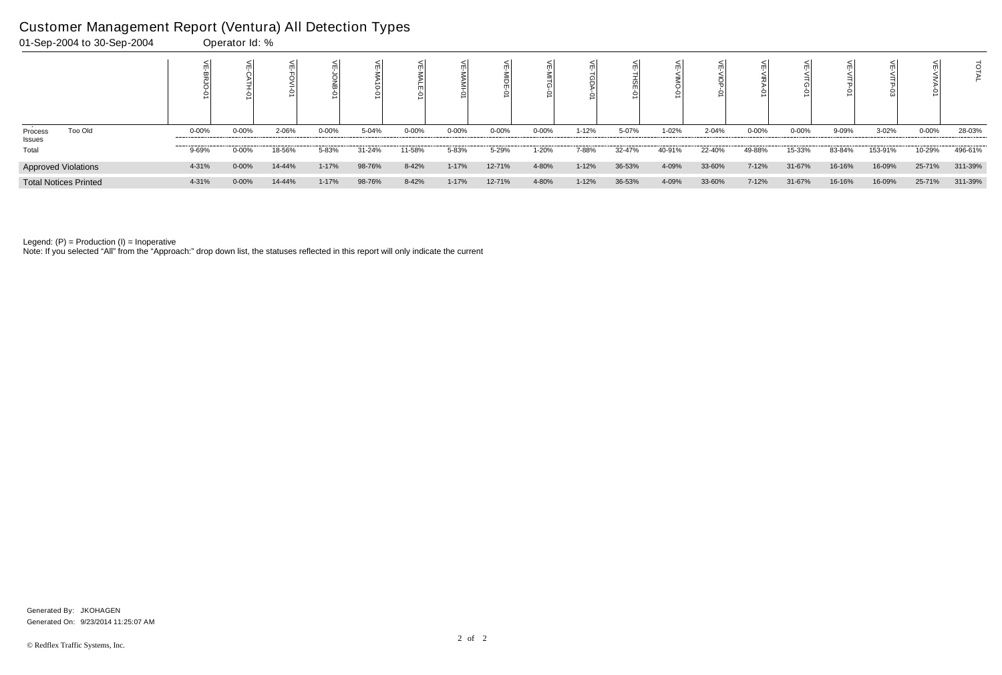|                              |           |            |        |           |        |            | ○         |           |            | ŏ         |        |        |        |        |           |        |         |            |         |
|------------------------------|-----------|------------|--------|-----------|--------|------------|-----------|-----------|------------|-----------|--------|--------|--------|--------|-----------|--------|---------|------------|---------|
| Too Old<br>Process<br>Issues | $0 - 00%$ | $0 - 00%$  | 2-06%  | $0 - 00%$ | 5-04%  | $0 - 00\%$ | $0 - 00%$ | $0 - 00%$ | $0 - 00\%$ | $1 - 12%$ | 5-07%  | 1-02%  | 2-04%  | 0-00%  | $0 - 00%$ | 9-09%  | 3-02%   | $0 - 00\%$ | 28-03%  |
| Total                        | 9-69%     | 0-00%      | 18-56% | 5-83%     | 31-24% | 11-58%     | 5-83%     | 5-29%     | 1-20%      | 7-88%     | 32-47% | 40-91% | 22-40% | 49-88% | 15-33%    | 83-84% | 153-91% | 10-29%     | 496-61% |
| <b>Approved Violations</b>   | 4-31%     | $0 - 00\%$ | 14-44% | $1 - 17%$ | 98-76% | 8-42%      | $1 - 17%$ | 12-71%    | 4-80%      | $1 - 12%$ | 36-53% | 4-09%  | 33-60% | 7-12%  | 31-67%    | 16-16% | 16-09%  | 25-71%     | 311-39% |
| <b>Total Notices Printed</b> | 4-31%     | $0 - 00%$  | 14-44% | $1 - 17%$ | 98-76% | 8-42%      | $1 - 17%$ | 12-71%    | 4-80%      | $1 - 12%$ | 36-53% | 4-09%  | 33-60% | 7-12%  | 31-67%    | 16-16% | 16-09%  | 25-71%     | 311-39% |

Note: If you selected "All" from the "Approach:" drop down list, the statuses reflected in this report will only indicate the current

# Customer Management Report (Ventura) All Detection Types

| 01-Sep-2004 to 30-Sep-2004 | Operator Id: % |
|----------------------------|----------------|
|                            |                |

Generated On: 9/23/2014 11:25:07 AM Generated By: JKOHAGEN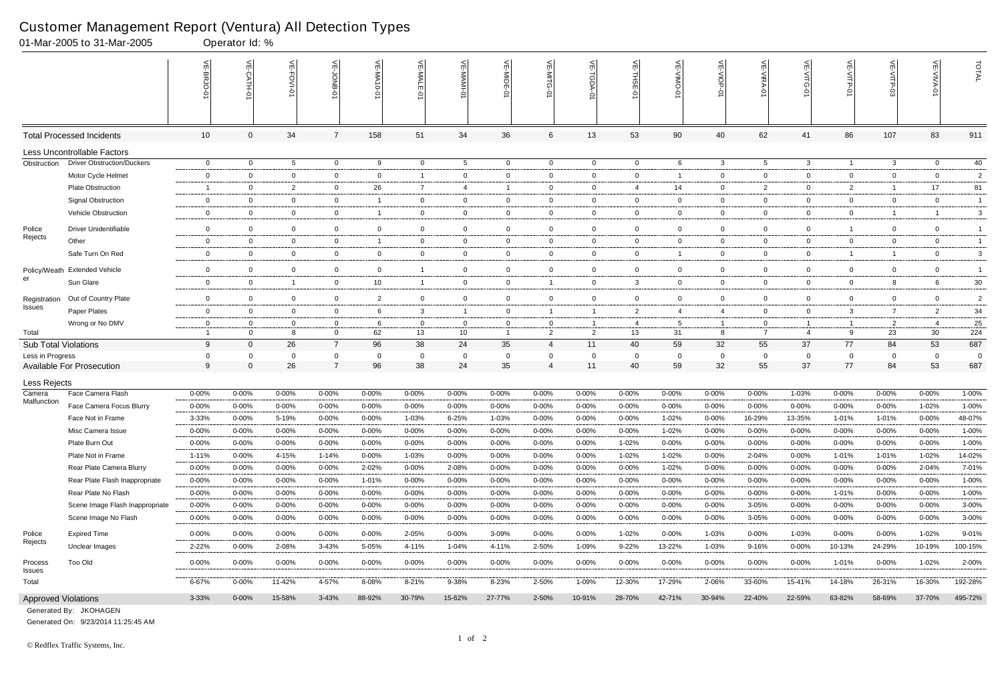|                             | 01-Mar-2005 to 31-Mar-2005        |                | Operator Id: %   |                 |                |                         |                |                |                |                |                |                |             |                |                                  |                |                |                |                |                |
|-----------------------------|-----------------------------------|----------------|------------------|-----------------|----------------|-------------------------|----------------|----------------|----------------|----------------|----------------|----------------|-------------|----------------|----------------------------------|----------------|----------------|----------------|----------------|----------------|
|                             |                                   |                | $\leq$<br>CATH-0 | 븬<br>FOVI-01    |                | VE-MA10-01              | VE-MAI<br>ò    | ¥              | VE-MIDE-01     | $\leq'$        | ⋦              | 늰<br>ş         | 닞           | 닞<br>Q         | $\widetilde{\mathbb{F}}$<br>ミアイー | 늦<br>$\circ$   | 닞<br>VITP-01   |                | VE-VIVA-0      | TOTAL          |
|                             | <b>Total Processed Incidents</b>  | 10             | $\Omega$         | 34              | $\overline{7}$ | 158                     | 51             | 34             | 36             | 6              | 13             | 53             | 90          | 40             | 62                               | 41             | 86             | 107            | 83             | 911            |
|                             | Less Uncontrollable Factors       |                |                  |                 |                |                         |                |                |                |                |                |                |             |                |                                  |                |                |                |                |                |
| Obstruction                 | <b>Driver Obstruction/Duckers</b> | $\mathbf 0$    | $\overline{0}$   | $5\overline{)}$ | $\overline{0}$ | 9                       | $\overline{0}$ | 5              | $\overline{0}$ | $\overline{0}$ | $\overline{0}$ | $\mathbf 0$    | 6           | $\mathbf{3}$   | $5\overline{)}$                  | $\mathbf{3}$   | $\overline{1}$ | $\mathbf{3}$   | $\mathbf{0}$   | 40             |
|                             | Motor Cycle Helmet                | $\mathsf{O}$   | $\Omega$         | $\overline{0}$  | $\mathbf 0$    | $\mathbf 0$             | $\overline{1}$ | $\mathbf 0$    | 0              | $\overline{0}$ | $\overline{0}$ | $\mathbf 0$    |             | $\overline{0}$ | $\mathbf 0$                      | $\overline{0}$ | $\mathbf{0}$   | $\mathbf 0$    | $\mathbf{0}$   | $\overline{2}$ |
|                             | <b>Plate Obstruction</b>          | -1             | 0                | $\overline{2}$  | $\overline{0}$ | 26                      | 7              | 4              | -1             | 0              | $\mathbf 0$    | -4             | 14          | $\overline{0}$ | 2                                | $\mathbf{0}$   | $\overline{2}$ | - 1            | 17             | 81             |
|                             | <b>Signal Obstruction</b>         | $\mathbf 0$    | 0                | $\mathbf 0$     | $\mathbf{0}$   | -1                      | $\mathbf 0$    | $\overline{0}$ | 0              | 0              | $\mathbf{0}$   | $\mathbf 0$    | 0           | $\mathbf{0}$   | 0                                | $\mathbf{0}$   | $\overline{0}$ | $\mathbf 0$    | $\mathbf{0}$   | $\overline{1}$ |
|                             | Vehicle Obstruction               | 0              | $\mathbf 0$      | $\overline{0}$  | $\mathbf 0$    | $\overline{\mathbf{1}}$ | $\overline{0}$ | $\mathbf 0$    | $\overline{0}$ | 0              | $\mathbf 0$    | $\mathbf 0$    | 0           | $\mathbf 0$    | $\mathbf 0$                      | $\overline{0}$ | $\overline{0}$ | -1             | -1             | 3              |
| Police                      | <b>Driver Unidentifiable</b>      | $\mathbf 0$    | $\mathbf 0$      | $\overline{0}$  | $\mathbf 0$    | $\mathbf 0$             | $\mathbf 0$    | $\mathbf 0$    | 0              | 0              | $\overline{0}$ | $\mathbf 0$    | 0           | $\mathbf 0$    | $\mathbf 0$                      | $\overline{0}$ | $\overline{1}$ | $\mathbf 0$    | $\mathbf{0}$   | $\overline{1}$ |
| Rejects                     | Other                             | $\mathbf{0}$   | 0                | $\mathbf 0$     | $\mathbf{0}$   | -1                      | $\mathbf 0$    | $\overline{0}$ | 0              | 0              | $\mathbf 0$    | $\mathbf 0$    | 0           | $\mathbf{0}$   | $\Omega$                         | $\overline{0}$ | $\overline{0}$ | 0              | $\mathbf{0}$   | $\overline{1}$ |
|                             | Safe Turn On Red                  | $\overline{0}$ | $\mathbf 0$      | $\overline{0}$  | $\overline{0}$ | $\overline{0}$          | $\mathbf{0}$   | $\overline{0}$ | $\overline{0}$ | $\overline{0}$ | $\overline{0}$ | $\overline{0}$ |             | $\mathbf{0}$   | $\mathbf 0$                      | $\overline{0}$ | $\overline{1}$ | - 1            | $\overline{0}$ | 3              |
| Policy/Weath                | <b>Extended Vehicle</b>           | $\mathbf 0$    | $\mathbf 0$      | $\overline{0}$  | $\mathbf{0}$   | $\mathbf{0}$            | $\mathbf{1}$   | $\overline{0}$ | 0              | $\mathbf 0$    | $\overline{0}$ | $\mathbf 0$    | 0           | $\overline{0}$ | 0                                | $\mathbf{0}$   | $\overline{0}$ | $\mathbf{0}$   | $\mathbf{0}$   | $\overline{1}$ |
| er                          | Sun Glare                         | $\mathbf 0$    | $\Omega$         | $\overline{1}$  | $\mathbf 0$    | 10                      | $\mathbf{1}$   | $\mathbf 0$    | $\overline{0}$ | -1             | $\mathbf 0$    | $\mathbf{3}$   | 0           | $\overline{0}$ | $\Omega$                         | $\overline{0}$ | $\mathbf{0}$   | 8              | 6              | $30\,$         |
| Registration                | Out of Country Plate              | $\mathbf 0$    | $\mathbf 0$      | $\mathbf 0$     | $\mathbf 0$    | $\overline{2}$          | $\mathbf 0$    | $\overline{0}$ | $\overline{0}$ | $\mathbf 0$    | $\mathbf 0$    | $\mathbf 0$    | $\mathbf 0$ | $\mathbf 0$    | $\mathbf 0$                      | $\mathbf 0$    | $\mathbf 0$    | $\mathbf 0$    | $\mathbf{0}$   | $\overline{c}$ |
| <b>Issues</b>               | Paper Plates                      | $\mathbf 0$    | $\Omega$         | $\mathbf 0$     | $\mathbf{0}$   | 6                       | 3              | $\overline{1}$ | $\overline{0}$ | -1             | $\overline{1}$ | $\overline{2}$ | 4           | 4              | $\Omega$                         | $\mathbf{0}$   | $\mathbf{3}$   | 7              | $\overline{2}$ | 34             |
|                             | Wrong or No DMV                   | 0              | $\Omega$         | $\Omega$        | 0              | 6                       | $\Omega$       | $\mathbf{0}$   | - 0            | 0              | -1             | -4             | 5           | $\overline{1}$ | 0                                |                | $\overline{1}$ | $\overline{2}$ | -4             | 25             |
| Total                       |                                   | $\overline{1}$ | $\Omega$         | 8               | $\mathbf 0$    | 62                      | 13             | 10             | $\overline{1}$ | 2              | $\overline{2}$ | 13             | 31          | 8              | $\overline{7}$                   | $\overline{a}$ | 9              | 23             | 30             | 224            |
| <b>Sub Total Violations</b> |                                   | 9              | $\Omega$         | 26              | $\overline{7}$ | 96                      | 38             | 24             | 35             | 4              | 11             | 40             | 59          | 32             | 55                               | 37             | 77             | 84             | 53             | 687            |
| Less in Progress            |                                   | $\mathbf 0$    | $\Omega$         | $\mathbf 0$     | $\mathbf{0}$   | - 0                     | 0              | $\mathbf{0}$   | $\overline{0}$ | 0              | 0              | - 0            | 0           | $\overline{0}$ | $\mathbf 0$                      | 0              | 0              | $\mathbf{0}$   | 0              | $\overline{0}$ |
|                             | <b>Available For Prosecution</b>  | 9              | $\Omega$         | 26              | $\overline{7}$ | 96                      | 38             | 24             | 35             | 4              | 11             | 40             | 59          | 32             | 55                               | 37             | 77             | 84             | 53             | 687            |
| Less Rejects                |                                   |                |                  |                 |                |                         |                |                |                |                |                |                |             |                |                                  |                |                |                |                |                |
| Camera<br>Malfunction       | Face Camera Flash                 | 0-00%          | $0 - 00%$        | $0 - 00%$       | 0-00%          | $0 - 00%$               | $0 - 00\%$     | $0 - 00%$      | 0-00%          | 0-00%          | $0 - 00\%$     | $0 - 00%$      | 0-00%       | $0 - 00\%$     | $0 - 00%$                        | 1-03%          | $0 - 00%$      | 0-00%          | $0 - 00%$      | 1-00%          |
|                             | Face Camera Focus Blurry          | $0 - 00%$      | $0 - 00%$        | $0 - 00%$       | $0 - 00%$      | $0 - 00%$               | $0 - 00%$      | $0 - 00%$      | $0 - 00%$      | $0 - 00%$      | $0 - 00\%$     | $0 - 00%$      | $0 - 00%$   | $0 - 00%$      | $0 - 00\%$                       | $0 - 00%$      | $0 - 00%$      | $0 - 00%$      | 1-02%          | 1-00%          |
|                             | Face Not in Frame                 | 3-33%          | 0-00%            | 5-19%           | 0-00%          | $0 - 00%$               | 1-03%          | 6-25%          | 1-03%          | 0-00%          | $0 - 00%$      | $0 - 00\%$     | 1-02%       | $0 - 00%$      | 16-29%                           | 13-35%         | 1-01%          | $1 - 01%$      | $0 - 00\%$     | 48-07%         |
|                             | Misc Camera Issue                 | 0-00%          | 0-00%            | $0 - 00%$       | 0-00%          | 0-00%                   | $0 - 00\%$     | $0 - 00%$      | 0-00%          | $0 - 00%$      | $0 - 00%$      | $0 - 00%$      | 1-02%       | $0 - 00\%$     | $0 - 00\%$                       | $0 - 00%$      | $0 - 00%$      | $0 - 00%$      | $0 - 00%$      | 1-00%          |
|                             | Plate Burn Out                    | $0 - 00%$      | $0 - 00%$        | $0 - 00\%$      | 0-00%          | 0-00%                   | $0 - 00\%$     | $0 - 00%$      | 0-00%          | $0 - 00%$      | $0 - 00\%$     | 1-02%          | 0-00%       | $0 - 00\%$     | $0 - 00\%$                       | $0 - 00%$      | $0 - 00%$      | 0-00%          | $0 - 00%$      | 1-00%          |
|                             | Plate Not in Frame                | 1-11%          | $0 - 00%$        | 4-15%           | $1 - 14%$      | $0 - 00%$               | 1-03%          | $0 - 00\%$     | $0 - 00%$      | $0 - 00%$      | $0 - 00\%$     | 1-02%          | 1-02%       | $0 - 00%$      | 2-04%                            | $0 - 00%$      | 1-01%          | 1-01%          | $1 - 02%$      | 14-02%         |
|                             | Rear Plate Camera Blurry          | 0-00%          | $0 - 00\%$       | $0 - 00%$       | $0 - 00%$      | 2-02%                   | $0 - 00\%$     | 2-08%          | 0-00%          | $0 - 00%$      | $0 - 00\%$     | $0 - 00%$      | 1-02%       | $0 - 00\%$     | $0 - 00%$                        | $0 - 00%$      | $0 - 00\%$     | $0 - 00%$      | 2-04%          | 7-01%          |
|                             | Rear Plate Flash Inappropriate    | 0-00%          | $0 - 00%$        | $0 - 00\%$      | $0 - 00%$      | 1-01%                   | $0 - 00\%$     | $0 - 00\%$     | 0-00%          | $0 - 00%$      | $0 - 00\%$     | $0 - 00%$      | $0 - 00%$   | $0 - 00\%$     | $0 - 00\%$                       | $0 - 00%$      | $0 - 00%$      | 0-00%          | $0 - 00%$      | 1-00%          |
|                             | Rear Plate No Flash               | $0 - 00%$      | $0 - 00\%$       | $0 - 00%$       | 0-00%          | $0 - 00%$               | $0 - 00\%$     | 0-00%          | $0 - 00%$      | 0-00%          | 0-00%          | $0 - 00%$      | 0-00%       | 0-00%          | 0-00%                            | 0-00%          | 1-01%          | 0-00%          | $0 - 00\%$     | 1-00%          |
|                             | Scene Image Flash Inappropriate   | $0 - 00%$      | $0 - 00\%$       | $0 - 00\%$      | $0 - 00%$      | 0-00%                   | $0 - 00\%$     | $0 - 00%$      | $0 - 00%$      | $0 - 00%$      | $0 - 00\%$     | $0 - 00%$      | 0-00%       | $0 - 00\%$     | 3-05%                            | $0 - 00%$      | $0 - 00%$      | 0-00%          | $0 - 00%$      | $3 - 00\%$     |
|                             | Scene Image No Flash              | $0 - 00%$      | 0-00%            | $0 - 00%$       | $0 - 00%$      | $0 - 00%$               | $0 - 00\%$     | $0 - 00\%$     | $0 - 00%$      | $0 - 00%$      | $0 - 00\%$     | $0 - 00%$      | $0 - 00%$   | $0 - 00\%$     | 3-05%                            | $0 - 00%$      | $0 - 00%$      | 0-00%          | $0 - 00%$      | 3-00%          |
| Police                      | <b>Expired Time</b>               | $0 - 00%$      | $0 - 00\%$       | $0 - 00%$       | 0-00%          | $0 - 00\%$              | 2-05%          | $0 - 00%$      | 3-09%          | $0 - 00\%$     | $0 - 00\%$     | $1 - 02%$      | $0 - 00%$   | 1-03%          | $0 - 00\%$                       | 1-03%          | $0 - 00%$      | 0-00%          | 1-02%          | 9-01%          |
| Rejects                     | Unclear Images                    | $2 - 22%$      | $0 - 00\%$       | 2-08%           | $3-43%$        | 5-05%                   | 4-11%          | 1-04%          | 4-11%          | 2-50%          | 1-09%          | $9 - 22%$      | 13-22%      | 1-03%          | 9-16%                            | 0-00%          | 10-13%         | 24-29%         | 10-19%         | 100-15%        |
| Process<br>Issues           | Too Old                           | $0 - 00\%$     | $0 - 00\%$       | $0 - 00\%$      | $0 - 00%$      | $0 - 00%$               | $0 - 00\%$     | $0 - 00\%$     | $0 - 00%$      | $0 - 00\%$     | $0 - 00\%$     | $0 - 00%$      | $0 - 00%$   | $0 - 00\%$     | $0 - 00\%$                       | $0 - 00\%$     | 1-01%          | $0 - 00\%$     | 1-02%          | 2-00%          |
| Total                       |                                   | 6-67%          | $0 - 00%$        | 11-42%          | 4-57%          | 8-08%                   | $8 - 21%$      | 9-38%          | 8-23%          | 2-50%          | 1-09%          | 12-30%         | 17-29%      | 2-06%          | 33-60%                           | 15-41%         | 14-18%         | 26-31%         | 16-30%         | 192-28%        |
| <b>Approved Violations</b>  |                                   | 3-33%          | $0 - 00\%$       | 15-58%          | $3 - 43%$      | 88-92%                  | 30-79%         | 15-62%         | 27-77%         | 2-50%          | 10-91%         | 28-70%         | 42-71%      | 30-94%         | 22-40%                           | 22-59%         | 63-82%         | 58-69%         | 37-70%         | 495-72%        |

Generated On: 9/23/2014 11:25:45 AM

Generated By: JKOHAGEN

F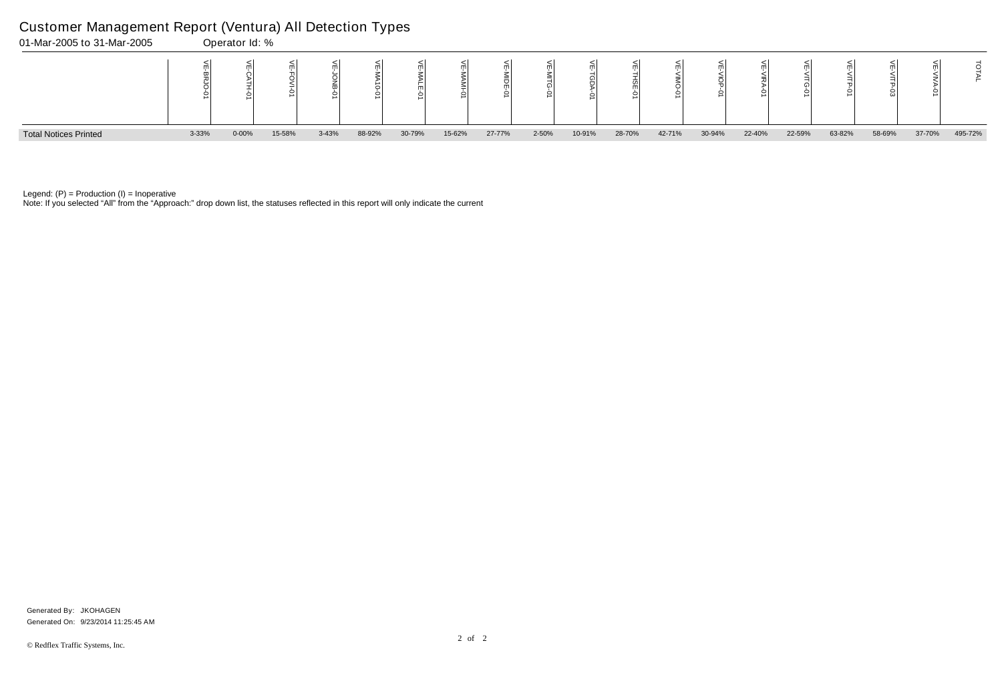Note: If you selected "All" from the "Approach:" drop down list, the statuses reflected in this report will only indicate the current



Legend:  $(P)$  = Production  $(I)$  = Inoperative

### Customer Management Report (Ventura) All Detection Types

|    | 낟<br><b>VITG-01</b> | ⋚<br><b>ITP-01</b> | ⋚<br>스<br>그<br>Ġ |        | JTAI    |
|----|---------------------|--------------------|------------------|--------|---------|
| 'n | 22-59%              | 63-82%             | 58-69%           | 37-70% | 495-72% |

Generated On: 9/23/2014 11:25:45 AM Generated By: JKOHAGEN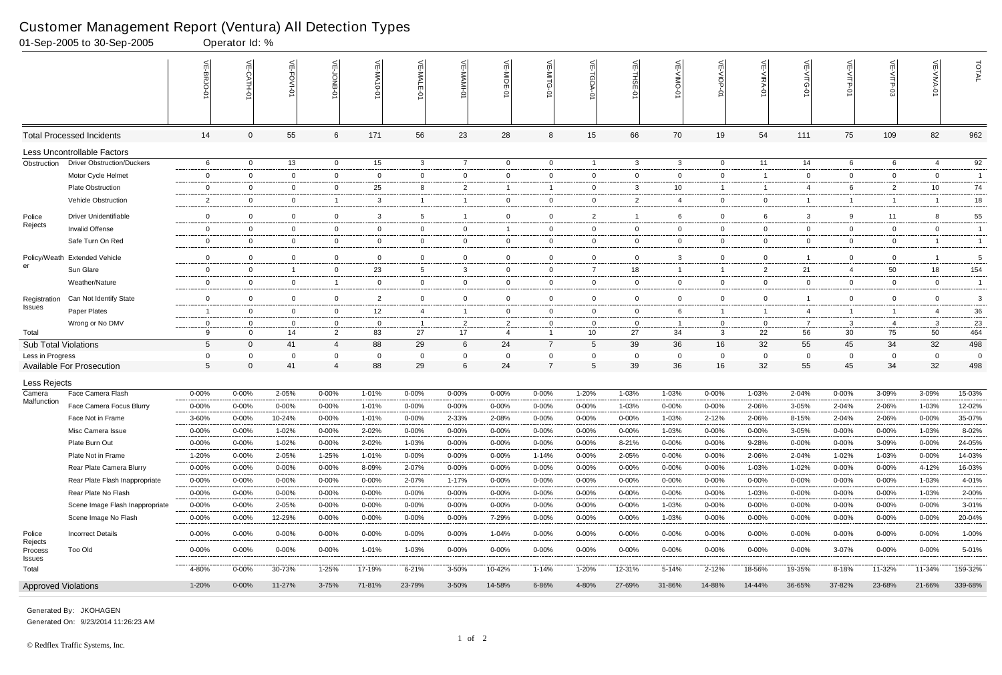|                             | 01-Sep-2005 to 30-Sep-2005          |                     | Operator Id: %         |                |                |                   |                    |                    |                        |                            |                          |                |                        |                          |                |                    |                    |                |                         |                  |
|-----------------------------|-------------------------------------|---------------------|------------------------|----------------|----------------|-------------------|--------------------|--------------------|------------------------|----------------------------|--------------------------|----------------|------------------------|--------------------------|----------------|--------------------|--------------------|----------------|-------------------------|------------------|
|                             |                                     | VE-BRJ              |                        | VE-FOVI-0      |                | VE-MA10-01        | VE-MALE<br>ò       | 늦                  | VE-MIDE-01             | VE-MITG-<br>$\vec{\sigma}$ | 븻<br><b>TGDA-0</b>       | VE-THSE-01     | VE-VIMO-01             | VE-VIOP-01               | VE-VIRA-01     | VE-VITG-01         | VE-VITP-01         | ۴              | VE-VIVA-0               | TOTAL            |
|                             | <b>Total Processed Incidents</b>    | 14                  | 0                      | 55             | 6              | 171               | 56                 | 23                 | 28                     | 8                          | 15                       | 66             | 70                     | 19                       | 54             | 111                | 75                 | 109            | 82                      | 962              |
|                             | Less Uncontrollable Factors         |                     |                        |                |                |                   |                    |                    |                        |                            |                          |                |                        |                          |                |                    |                    |                |                         |                  |
| Obstruction                 | <b>Driver Obstruction/Duckers</b>   | 6                   | $\overline{0}$         | 13             | $\overline{0}$ | 15                | $\mathbf{3}$       | $\overline{7}$     | $\overline{0}$         | $\overline{0}$             | $\overline{1}$           | $\mathbf{3}$   | 3                      | $\overline{0}$           | 11             | 14                 | 6                  | 6              | 4                       | 92               |
|                             | Motor Cycle Helmet                  | $\mathbf 0$         | $\mathbf 0$            | $\overline{0}$ | $\overline{0}$ | $\Omega$          | $\overline{0}$     | $\mathbf 0$        | $\mathbf 0$            | $\overline{0}$             | $\mathbf 0$              | $\overline{0}$ | $\mathbf{0}$           | $\mathbf 0$              | $\overline{1}$ | $\overline{0}$     | $\mathbf 0$        | $\mathbf 0$    | $\mathbf{0}$            | $\overline{1}$   |
|                             | Plate Obstruction                   | 0                   | 0                      | $\overline{0}$ | $\overline{0}$ | 25                | 8                  | $\overline{2}$     | -1                     | -1                         | $\overline{0}$           | $\mathbf{3}$   | 10 <sup>1</sup>        | $\mathbf{1}$             | -1             | 4                  | 6                  | $\overline{2}$ | 10                      | 74               |
|                             | Vehicle Obstruction                 | $\overline{2}$      | $\overline{0}$         | $\overline{0}$ | -1             | 3                 | $\mathbf{1}$       | $\overline{1}$     | $\overline{0}$         | $\mathbf{0}$               | $\overline{0}$           | 2              | $\overline{4}$         | $\overline{0}$           | $\overline{0}$ |                    | $\mathbf{1}$       | -1             |                         | 18               |
| Police                      | <b>Driver Unidentifiable</b>        | $\Omega$            | $\overline{0}$         | $\overline{0}$ | $\overline{0}$ | 3                 | 5                  | $\overline{1}$     | $\mathbf 0$            | $\mathbf 0$                | $\overline{2}$           | $\overline{1}$ | 6                      | $\mathbf{0}$             | 6              | 3                  | 9                  | 11             | -8                      | 55               |
| Rejects                     | Invalid Offense                     | 0                   | $\mathbf 0$            | $\overline{0}$ | $\overline{0}$ | $\Omega$          | $\overline{0}$     | $\mathbf 0$        | -1                     | $\mathbf{0}$               | $\mathbf 0$              | $\overline{0}$ | $\mathbf{0}$           | $\overline{0}$           | $\overline{0}$ | $\overline{0}$     | $\overline{0}$     | $\mathbf 0$    | $\overline{0}$          | $\overline{1}$   |
|                             | Safe Turn On Red                    | 0                   | $\overline{0}$         | $\overline{0}$ | $\overline{0}$ | $\Omega$          | $\overline{0}$     | $\mathbf 0$        | $\mathbf{0}$           | $\mathbf{0}$               | $\overline{0}$           | $\overline{0}$ | $\mathbf{0}$           | $\overline{0}$           | $\overline{0}$ | $\overline{0}$     | $\overline{0}$     | $\mathbf 0$    |                         | $\overline{1}$   |
|                             | Policy/Weath Extended Vehicle       | $\Omega$            | $\overline{0}$         | $\mathbf 0$    | $\mathbf 0$    | $\overline{0}$    | $\mathbf 0$        | $\mathbf 0$        | $\mathbf 0$            | $\mathbf 0$                | $\mathbf 0$              | $\overline{0}$ | 3                      | $\mathbf 0$              | $\overline{0}$ |                    | $\mathbf 0$        | $\mathbf 0$    |                         | 5                |
| er                          | Sun Glare                           | 0                   | $\mathbf 0$            | $\overline{1}$ | $\overline{0}$ | 23                | 5                  | 3                  | 0                      | $\mathbf{0}$               | $\overline{7}$           | 18             | 1                      | $\overline{1}$           | $\overline{2}$ | 21                 | $\overline{4}$     | 50             | 18                      | 154              |
|                             | Weather/Nature                      | $\mathbf 0$         | $\Omega$               | $\mathbf 0$    | $\overline{1}$ | $\Omega$          | $\mathbf 0$        | $\mathbf 0$        | $\mathbf 0$            | $\overline{0}$             | $\overline{0}$           | $\overline{0}$ | $\mathbf{0}$           | $\overline{0}$           | $\overline{0}$ | $\mathbf 0$        | $\mathbf 0$        | $\mathbf 0$    | $\overline{0}$          | $\overline{1}$   |
| Registration                | Can Not Identify State              | $\Omega$            | $\mathbf 0$            | $\mathbf 0$    | $\mathbf 0$    | 2                 | $\mathbf 0$        | $\mathbf 0$        | $\mathbf 0$            | $\mathbf 0$                | $\mathbf 0$              | $\overline{0}$ | $\mathbf 0$            | $\mathbf 0$              | $\Omega$       |                    | $\mathbf 0$        | $\mathbf 0$    | $\mathbf 0$             | 3                |
| Issues                      | Paper Plates                        | $\overline{1}$      | $\mathbf 0$            | $\overline{0}$ | $\overline{0}$ | $12 \overline{ }$ | 4                  | $\overline{1}$     | $\mathbf{0}$           | $\mathbf{0}$               | $\overline{0}$           | $\overline{0}$ | 6                      | $\mathbf{1}$             | -1             | 4                  | $\overline{1}$     | -1             | 4                       | 36               |
|                             | Wrong or No DMV                     | 0                   | $\Omega$               | $\overline{0}$ | $\mathbf 0$    | $\overline{0}$    | -1                 | $\overline{2}$     | 2                      | $\Omega$                   | $\overline{0}$           | $\overline{0}$ |                        | $\mathbf{0}$             | $\Omega$       | 7                  | 3                  | $\overline{4}$ | 3                       | 23               |
| Total                       |                                     | 9                   | $\Omega$               | 14             | $\overline{2}$ | 83                | 27                 | 17                 | $\overline{4}$         | $\mathbf{1}$               | 10                       | 27             | 34                     | 3                        | 22             | 56                 | 30                 | 75             | 50                      | 464              |
| <b>Sub Total Violations</b> |                                     | $5\phantom{.0}$     | $\overline{0}$         | 41             | $\overline{4}$ | 88                | 29                 | 6                  | 24                     | $\overline{7}$             | 5                        | 39             | 36                     | 16                       | 32             | 55                 | 45                 | 34             | 32                      | 498              |
| Less in Progress            |                                     | 0                   | $\Omega$               | - 0            | $\mathbf{0}$   | $\Omega$          | - 0                | 0                  | 0                      | 0                          | $\mathbf{0}$             | $\overline{0}$ | $\Omega$               | $\mathbf{0}$             | 0              | 0                  | 0                  | $\mathbf{0}$   | $\Omega$                | $\overline{0}$   |
|                             | Available For Prosecution           | 5                   | $\mathbf 0$            | 41             | $\overline{4}$ | 88                | 29                 | $\,6$              | 24                     | $\overline{7}$             | $5\phantom{.0}$          | 39             | 36                     | 16                       | 32             | 55                 | 45                 | 34             | 32                      | 498              |
| Less Rejects                |                                     |                     |                        |                |                |                   |                    |                    |                        |                            |                          |                |                        |                          |                |                    |                    |                |                         |                  |
| Camera<br>Malfunction       | Face Camera Flash                   | $0 - 00%$           | $0 - 00%$              | 2-05%          | 0-00%          | 1-01%             | $0 - 00\%$         | 0-00%              | 0-00%                  | $0 - 00%$                  | 1-20%                    | 1-03%          | 1-03%                  | $0 - 00%$                | 1-03%          | 2-04%              | $0 - 00%$          | 3-09%          | 3-09%                   | 15-03%           |
|                             | Face Camera Focus Blurry            | $0 - 00%$           | $0 - 00%$              | $0 - 00%$      | $0 - 00%$      | 1-01%             | $0 - 00%$          | $0 - 00%$          | $0 - 00%$              | $0 - 00%$                  | $0 - 00%$                | 1-03%          | $0 - 00%$              | $0 - 00%$                | 2-06%          | 3-05%              | 2-04%              | 2-06%          | 1-03%                   | 12-02%           |
|                             | Face Not in Frame                   | $3 - 60%$           | $0 - 00%$              | 10-24%         | $0 - 00%$      | $1 - 01%$         | $0 - 00\%$         | 2-33%              | 2-08%                  | 0-00%                      | $0 - 00%$                | $0 - 00%$      | 1-03%                  | 2-12%                    | 2-06%          | 8-15%              | 2-04%              | 2-06%          | $0 - 00\%$              | 35-07%           |
|                             | Misc Camera Issue<br>Plate Burn Out | $0 - 00\%$          | $0 - 00%$              | 1-02%          | 0-00%          | 2-02%             | $0 - 00\%$         | 0-00%              | $0 - 00%$              | $0 - 00\%$                 | $0 - 00%$                | $0 - 00%$      | 1-03%                  | $0 - 00%$                | $0 - 00%$      | 3-05%              | $0 - 00%$          | $0 - 00%$      | $1 - 03%$               | 8-02%            |
|                             | Plate Not in Frame                  | $0 - 00\%$<br>1-20% | $0 - 00%$<br>$0 - 00%$ | 1-02%<br>2-05% | 0-00%<br>1-25% | 2-02%<br>1-01%    | 1-03%<br>$0 - 00%$ | 0-00%<br>$0 - 00%$ | $0 - 00%$<br>$0 - 00%$ | $0 - 00\%$<br>1-14%        | $0 - 00\%$<br>$0 - 00\%$ | 8-21%<br>2-05% | $0 - 00%$<br>$0 - 00%$ | $0 - 00\%$<br>$0 - 00\%$ | 9-28%<br>2-06% | $0 - 00%$<br>2-04% | $0 - 00%$<br>1-02% | 3-09%<br>1-03% | $0 - 00%$<br>$0 - 00\%$ | 24-05%<br>14-03% |
|                             | Rear Plate Camera Blurry            | $0 - 00\%$          | $0 - 00%$              | 0-00%          | 0-00%          | 8-09%             | 2-07%              | 0-00%              | 0-00%                  | $0 - 00\%$                 | $0 - 00\%$               | 0-00%          | $0 - 00%$              | $0 - 00\%$               | 1-03%          | 1-02%              | $0 - 00%$          | $0 - 00%$      | 4-12%                   | 16-03%           |
|                             | Rear Plate Flash Inappropriate      | $0 - 00\%$          | $0 - 00\%$             | $0 - 00%$      | $0 - 00%$      | $0 - 00\%$        | 2-07%              | 1-17%              | $0 - 00%$              | $0 - 00%$                  | $0 - 00\%$               | 0-00%          | $0 - 00%$              | $0 - 00\%$               | $0 - 00\%$     | $0 - 00%$          | $0 - 00%$          | $0 - 00\%$     | 1-03%                   | 4-01%            |
|                             | Rear Plate No Flash                 | $0 - 00%$           | $0 - 00%$              | 0-00%          | 0-00%          | $0 - 00\%$        | $0 - 00%$          | 0-00%              | $0 - 00%$              | $0 - 00%$                  | $0 - 00\%$               | $0 - 00%$      | $0 - 00%$              | 0-00%                    | 1-03%          | $0 - 00%$          | 0-00%              | $0 - 00\%$     | 1-03%                   | 2-00%            |
|                             | Scene Image Flash Inappropriate     | $0 - 00\%$          | $0 - 00%$              | 2-05%          | 0-00%          | $0 - 00\%$        | $0 - 00\%$         | $0 - 00%$          | 0-00%                  | $0 - 00\%$                 | $0 - 00\%$               | 0-00%          | 1-03%                  | $0 - 00\%$               | $0 - 00\%$     | $0 - 00%$          | $0 - 00%$          | $0 - 00%$      | $0 - 00%$               | $3 - 01%$        |
|                             | Scene Image No Flash                | $0 - 00\%$          | $0 - 00%$              | 12-29%         | $0 - 00%$      | $0 - 00\%$        | $0 - 00%$          | $0 - 00%$          | 7-29%                  | $0 - 00%$                  | $0 - 00\%$               | $0 - 00%$      | 1-03%                  | $0 - 00\%$               | $0 - 00\%$     | $0 - 00%$          | $0 - 00%$          | $0 - 00\%$     | $0 - 00%$               | 20-04%           |
|                             |                                     |                     |                        |                |                |                   |                    |                    |                        |                            |                          |                |                        |                          |                |                    |                    |                |                         |                  |
| Police<br>Rejects           | <b>Incorrect Details</b>            | $0 - 00\%$          | $0 - 00%$              | $0 - 00\%$     | $0 - 00\%$     | $0 - 00\%$        | $0 - 00\%$         | $0 - 00\%$         | 1-04%                  | $0 - 00\%$                 | $0 - 00\%$               | 0-00%          | $0 - 00\%$             | $0 - 00\%$               | $0 - 00\%$     | $0 - 00\%$         | $0 - 00%$          | $0 - 00%$      | $0 - 00\%$              | $1 - 00%$        |
| Process<br><b>Issues</b>    | Too Old                             | $0 - 00\%$          | $0 - 00%$              | $0 - 00\%$     | $0 - 00\%$     | 1-01%             | 1-03%              | $0 - 00%$          | $0 - 00%$              | $0 - 00\%$                 | $0 - 00\%$               | 0-00%          | $0 - 00%$              | $0 - 00\%$               | $0 - 00\%$     | $0 - 00%$          | $3 - 07%$          | $0 - 00%$      | $0 - 00\%$              | 5-01%            |
| Total                       |                                     | 4-80%               | $0 - 00%$              | 30-73%         | $1 - 25%$      | 17-19%            | 6-21%              | 3-50%              | 10-42%                 | 1-14%                      | 1-20%                    | 12-31%         | 5-14%                  | $2 - 12%$                | 18-56%         | 19-35%             | 8-18%              | 11-32%         | 11-34%                  | 159-32%          |
| <b>Approved Violations</b>  |                                     | 1-20%               | $0 - 00\%$             | 11-27%         | $3 - 75%$      | 71-81%            | 23-79%             | 3-50%              | 14-58%                 | 6-86%                      | 4-80%                    | 27-69%         | 31-86%                 | 14-88%                   | 14-44%         | 36-65%             | 37-82%             | 23-68%         | 21-66%                  | 339-68%          |

Generated On: 9/23/2014 11:26:23 AM Generated By: JKOHAGEN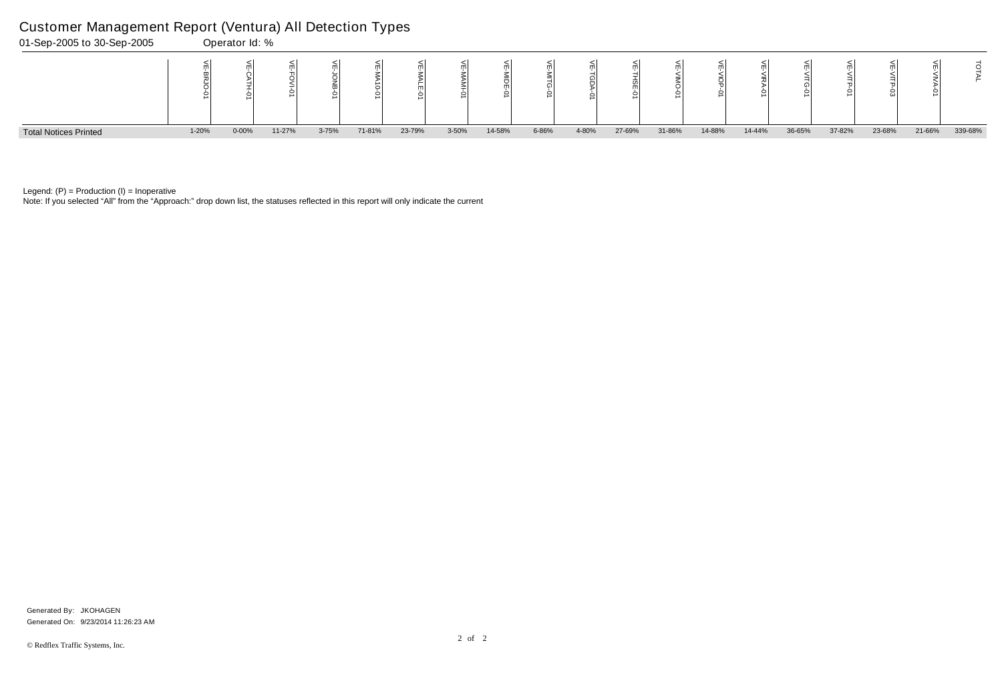Note: If you selected "All" from the "Approach:" drop down list, the statuses reflected in this report will only indicate the current



Legend:  $(P)$  = Production  $(I)$  = Inoperative

### Customer Management Report (Ventura) All Detection Types

|   | ⋚<br><b>VITG-01</b> | ₹      | 닞<br>NTP<br>8 | т      | ⊵       |
|---|---------------------|--------|---------------|--------|---------|
| 6 | 36-65%              | 37-82% | 23-68%        | 21-66% | 339-68% |

Generated On: 9/23/2014 11:26:23 AM Generated By: JKOHAGEN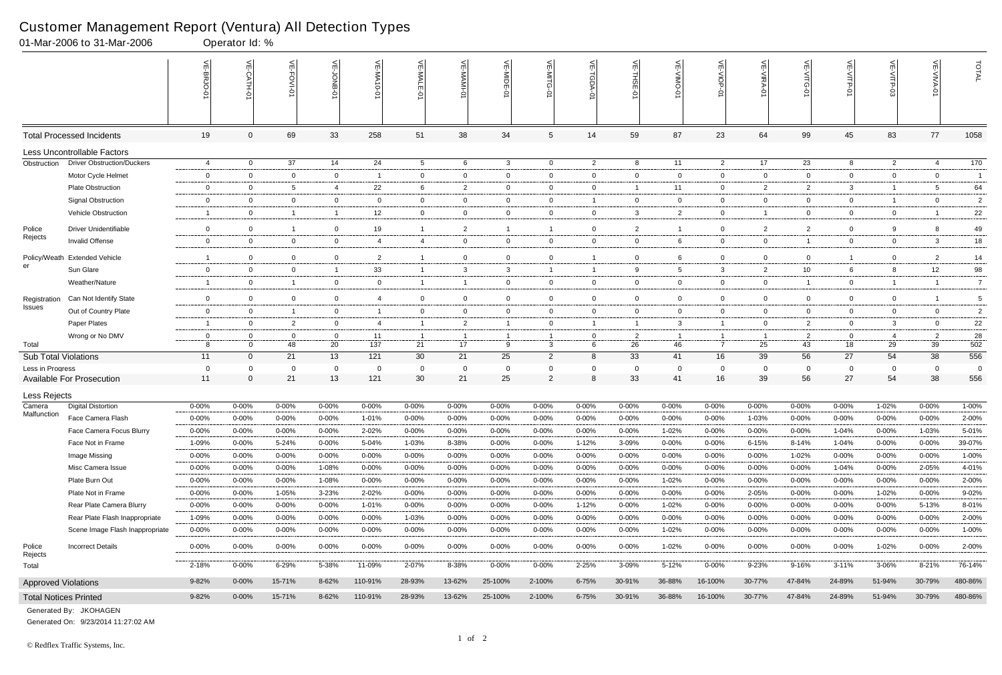|                              | 01-Mar-2006 to 31-Mar-2006           |                        | Operator Id: %         |                     |                    |                   |                     |                         |                        |                             |                     |                        |                    |                          |                    |                        |                    |                    |                     |                |
|------------------------------|--------------------------------------|------------------------|------------------------|---------------------|--------------------|-------------------|---------------------|-------------------------|------------------------|-----------------------------|---------------------|------------------------|--------------------|--------------------------|--------------------|------------------------|--------------------|--------------------|---------------------|----------------|
|                              |                                      |                        | $\leq$                 | भ<br><b>FOVI-0</b>  | 녽                  | 닞<br>$-0-0$       | VE-MALE             |                         | VE-MIDE-01             | VE-MITG-<br>$\dot{\varphi}$ | VE-TGDA-0           | VE-THSE-01             | VE-VIMO-01         | VE-VIOP-07               | VE-VIRA-01         | ے<br><b>NITG</b><br>Ò  | VE-VITP-01         |                    | 늦                   | TOTAL          |
|                              | <b>Total Processed Incidents</b>     | 19                     | $\Omega$               | 69                  | 33                 | 258               | 51                  | 38                      | 34                     | 5                           | 14                  | 59                     | 87                 | 23                       | 64                 | 99                     | 45                 | 83                 | 77                  | 1058           |
|                              | Less Uncontrollable Factors          |                        |                        |                     |                    |                   |                     |                         |                        |                             |                     |                        |                    |                          |                    |                        |                    |                    |                     |                |
| Obstruction                  | <b>Driver Obstruction/Duckers</b>    | 4                      | $\overline{0}$         | 37                  | 14                 | 24                | $5^{\circ}$         | 6                       | $\mathbf{3}$           | $\overline{0}$              | $\overline{2}$      | 8                      | 11                 | $\overline{2}$           | 17                 | 23                     | 8                  | $\overline{2}$     | 4                   | 170            |
|                              | Motor Cycle Helmet                   | $\overline{0}$         | $\Omega$               | $\overline{0}$      | $\overline{0}$     | - 1               | $\mathbf{0}$        | $\mathbf 0$             | 0                      | 0                           | $\mathbf 0$         | $\overline{0}$         | $\mathbf{0}$       | $\overline{0}$           | $\overline{0}$     | 0                      | $\overline{0}$     | $\mathbf 0$        | $\overline{0}$      | $\overline{1}$ |
|                              | <b>Plate Obstruction</b>             | $\overline{0}$         | $\Omega$               | 5                   | $\overline{4}$     | 22                | 6                   | $\overline{2}$          | $\mathbf 0$            | $\mathbf{0}$                | 0                   | -1                     | 11                 | $\overline{0}$           | $\overline{2}$     | $\overline{2}$         | $\mathbf{3}$       | $\overline{1}$     | 5                   | 64             |
|                              | <b>Signal Obstruction</b>            | $\mathbf 0$            | $\Omega$               | $\mathbf 0$         | $\mathbf 0$        | $\Omega$          | $\overline{0}$      | $\mathbf 0$             | $\mathbf 0$            | 0                           | $\overline{1}$      | $\overline{0}$         | $\mathbf{0}$       | $\overline{0}$           | $\overline{0}$     | $\mathbf 0$            | $\overline{0}$     | $\overline{1}$     | $\overline{0}$      | $\overline{2}$ |
|                              | Vehicle Obstruction                  | -1                     | 0                      | $\overline{1}$      | $\overline{1}$     | $12 \overline{ }$ | $\mathbf{0}$        | $\overline{0}$          | $\overline{0}$         | $\mathbf{0}$                | $\overline{0}$      | $\mathbf{3}$           | $\mathbf{2}$       | $\overline{0}$           | $\overline{1}$     | $\mathbf{0}$           | $\overline{0}$     | $\mathbf{0}$       | -1                  | 22             |
| Police                       | <b>Driver Unidentifiable</b>         | $\overline{0}$         | $\overline{0}$         | $\overline{1}$      | $\mathbf 0$        | 19                | $\mathbf{1}$        | $\overline{2}$          |                        | -1                          | 0                   | $\overline{2}$         | -1                 | $\overline{0}$           | $\overline{2}$     | $\overline{2}$         | $\overline{0}$     | 9                  | 8                   | 49             |
| Rejects                      | Invalid Offense                      | $\mathbf 0$            | $\Omega$               | $\mathbf 0$         | $\mathbf 0$        | 4                 | $\overline{4}$      | $\mathbf 0$             | $\mathbf 0$            | $\overline{0}$              | $\mathbf 0$         | $\overline{0}$         | 6                  | $\mathbf 0$              | $\mathbf 0$        |                        | $\mathbf 0$        | $\mathbf 0$        | $\mathbf{3}$        | $18\,$         |
| Policy/Weath                 | <b>Extended Vehicle</b>              | -1                     | $\Omega$               | $\overline{0}$      | $\mathbf 0$        | $\overline{2}$    |                     | $\mathbf 0$             | $\mathbf 0$            | $\mathbf 0$                 |                     | $\overline{0}$         | 6                  | $\mathbf 0$              | $\mathbf 0$        | $\mathbf 0$            | $\overline{1}$     | $\mathbf 0$        | $\overline{2}$      | 14             |
| er                           | Sun Glare                            | $\overline{0}$         | $\overline{0}$         | $\overline{0}$      | $\overline{1}$     | 33                |                     | $\mathbf{3}$            | $\mathbf{3}$           | 1                           | -1                  | 9                      | 5                  | $\mathbf{3}$             | $\overline{2}$     | 10 <sup>°</sup>        | 6                  | 8                  | 12                  | 98             |
|                              | Weather/Nature                       | -1                     | $\overline{0}$         | $\overline{1}$      | $\overline{0}$     | $\mathbf 0$       | $\overline{1}$      | $\overline{1}$          | $\mathbf 0$            | $\overline{0}$              | $\mathbf 0$         | $\overline{0}$         | $\mathbf{0}$       | $\overline{0}$           | $\overline{0}$     | $\overline{1}$         | $\overline{0}$     | $\overline{1}$     | $\overline{1}$      | $\overline{7}$ |
| Registration                 | Can Not Identify State               | $\mathbf 0$            | $\Omega$               | $\mathbf 0$         | $\mathbf 0$        | 4                 | $\overline{0}$      | $\overline{0}$          | $\mathbf 0$            | $\mathbf 0$                 | $\mathbf 0$         | $\overline{0}$         | $\mathbf{0}$       | $\overline{0}$           | $\mathbf 0$        | $\mathbf 0$            | $\mathbf 0$        | $\mathbf 0$        |                     | 5              |
| Issues                       | Out of Country Plate                 | $\overline{0}$         | $\overline{0}$         | $\overline{1}$      | $\mathbf 0$        | -1                | $\mathbf{0}$        | $\overline{0}$          | $\mathbf 0$            | $\overline{0}$              | $\mathbf 0$         | $\overline{0}$         | $\mathbf{0}$       | $\overline{0}$           | $\overline{0}$     | 0                      | $\overline{0}$     | $\mathbf 0$        | $\overline{0}$      | $\overline{2}$ |
|                              | Paper Plates                         | -1                     | $\Omega$               | 2                   | $\overline{0}$     | 4                 | $\overline{1}$      | $\overline{2}$          |                        | 0                           | $\overline{1}$      | -1                     | 3                  | $\mathbf{1}$             | $\Omega$           | $\overline{2}$         | $\overline{0}$     | 3                  | $\mathbf 0$         | 22             |
|                              | Wrong or No DMV                      | $\mathbf 0$            |                        | 0                   | - 0                | 11                |                     | $\overline{1}$          |                        |                             | $\mathbf{0}$        | $\overline{2}$         |                    | -1                       |                    | $\overline{2}$         | $\overline{0}$     | 4                  | $\overline{2}$      | 28             |
| Total                        |                                      | 8                      | $\Omega$               | 48                  | 20                 | 137               | 21                  | 17                      | 9                      | 3                           | 6                   | 26                     | 46                 | $\overline{7}$           | 25                 | 43                     | 18                 | 29                 | 39                  | 502            |
| Sub Total Violations         |                                      | 11                     | $\overline{0}$         | 21                  | 13                 | 121               | 30                  | 21                      | 25                     | $\overline{2}$              | 8                   | 33                     | 41                 | 16                       | 39                 | 56                     | 27                 | 54                 | 38                  | 556            |
| Less in Progress             |                                      | 0                      | $\Omega$               | $\mathbf 0$         | $\mathbf{0}$       | 0                 | $\mathbf 0$         | $\overline{0}$          | 0                      | $\mathbf 0$                 | $\mathbf 0$         | $\overline{0}$         | $\Omega$           | $\mathbf 0$              | $\Omega$           | $\mathbf 0$            | 0                  | $\mathbf{0}$       | $\mathbf 0$         | 0              |
|                              | <b>Available For Prosecution</b>     | 11                     | $\Omega$               | 21                  | 13                 | 121               | 30                  | 21                      | 25                     | $2^{\circ}$                 | 8                   | 33                     | 41                 | 16                       | 39                 | 56                     | 27                 | 54                 | 38                  | 556            |
| Less Rejects                 |                                      |                        |                        |                     |                    |                   |                     |                         |                        |                             |                     |                        |                    |                          |                    |                        |                    |                    |                     |                |
| Camera<br>Malfunction        | <b>Digital Distortion</b>            | $0 - 00%$              | 0-00%                  | $0 - 00%$           | $0 - 00%$          | $0 - 00%$         | $0 - 00%$           | $0 - 00%$               | 0-00%                  | $0 - 00%$                   | $0 - 00%$           | $0 - 00%$              | $0 - 00%$          | $0 - 00%$                | $0 - 00%$          | 0-00%                  | 0-00%              | 1-02%              | $0 - 00%$           | 1-00%          |
|                              | Face Camera Flash                    | $0 - 00%$              | 0-00%                  | $0 - 00\%$          | $0 - 00%$          | 1-01%             | $0 - 00\%$          | $0 - 00%$               | $0 - 00%$              | $0 - 00%$                   | $0 - 00%$           | $0 - 00%$              | 0-00%              | $0 - 00%$                | 1-03%              | $0 - 00%$              | 0-00%              | $0 - 00\%$         | $0 - 00\%$          | $2 - 00%$      |
|                              | Face Camera Focus Blurry             | $0 - 00%$              | 0-00%                  | $0 - 00%$           | $0 - 00%$          | 2-02%             | $0 - 00\%$          | $0 - 00%$               | 0-00%                  | $0 - 00%$                   | 0-00%               | $0 - 00%$              | 1-02%              | $0 - 00%$                | $0 - 00\%$         | 0-00%                  | 1-04%              | $0 - 00%$          | 1-03%               | 5-01%          |
|                              | Face Not in Frame                    | 1-09%                  | $0 - 00\%$             | 5-24%               | $0 - 00%$          | 5-04%             | 1-03%               | 8-38%                   | $0 - 00%$              | $0 - 00%$                   | 1-12%               | 3-09%                  | $0 - 00%$          | $0 - 00\%$               | $6 - 15%$          | 8-14%                  | $1 - 04%$          | 0-00%              | $0 - 00\%$          | 39-07%         |
|                              | Image Missing                        | $0 - 00%$              | $0 - 00%$              | $0 - 00\%$          | $0 - 00%$          | $0 - 00%$         | 0-00%               | $0 - 00\%$              | $0 - 00%$              | $0 - 00%$                   | 0-00%               | $0 - 00%$              | $0 - 00%$          | $0 - 00%$                | 0-00%              | 1-02%                  | 0-00%              | $0 - 00\%$         | 0-00%               | 1-00%          |
|                              | Misc Camera Issue                    | $0 - 00%$              | $0 - 00%$              | $0 - 00\%$          | 1-08%              | $0 - 00%$         | $0 - 00\%$          | 0-00%                   | $0 - 00%$              | $0 - 00%$                   | $0 - 00\%$          | $0 - 00%$              | $0 - 00%$          | $0 - 00\%$               | $0 - 00\%$         | $0 - 00%$              | 1-04%              | $0 - 00\%$         | 2-05%               | 4-01%          |
|                              | Plate Burn Out<br>Plate Not in Frame | $0 - 00\%$             | $0 - 00\%$             | $0 - 00\%$          | 1-08%              | $0 - 00%$         | 0-00%               | 0-00%                   | $0 - 00%$              | $0 - 00\%$                  | 0-00%               | $0 - 00%$              | 1-02%              | $0 - 00\%$               | $0 - 00%$          | $0 - 00%$              | $0 - 00%$          | $0 - 00\%$         | $0 - 00\%$          | 2-00%<br>9-02% |
|                              | Rear Plate Camera Blurry             | $0 - 00%$<br>$0 - 00%$ | $0 - 00%$<br>$0 - 00%$ | 1-05%<br>$0 - 00\%$ | 3-23%<br>$0 - 00%$ | 2-02%<br>1-01%    | 0-00%<br>$0 - 00\%$ | $0 - 00%$<br>$0 - 00\%$ | $0 - 00%$<br>$0 - 00%$ | 0-00%<br>$0 - 00\%$         | $0 - 00\%$<br>1-12% | $0 - 00%$<br>$0 - 00%$ | $0 - 00%$<br>1-02% | $0 - 00\%$<br>$0 - 00\%$ | 2-05%<br>$0 - 00%$ | $0 - 00%$<br>$0 - 00%$ | 0-00%<br>$0 - 00%$ | 1-02%<br>$0 - 00%$ | $0 - 00\%$<br>5-13% | 8-01%          |
|                              | Rear Plate Flash Inappropriate       | 1-09%                  | 0-00%                  | $0 - 00%$           | $0 - 00%$          | $0 - 00%$         | 1-03%               | $0 - 00\%$              | $0 - 00%$              | $0 - 00\%$                  | 0-00%               | $0 - 00%$              | $0 - 00%$          | $0 - 00\%$               | $0 - 00\%$         | $0 - 00%$              | 0-00%              | $0 - 00%$          | $0 - 00%$           | 2-00%          |
|                              | Scene Image Flash Inappropriate      | $0 - 00\%$             | $0 - 00\%$             | 0-00%               | $0 - 00%$          | $0 - 00%$         | 0-00%               | 0-00%                   | $0 - 00%$              | 0-00%                       | 0-00%               | $0 - 00%$              | 1-02%              | $0 - 00\%$               | $0 - 00%$          | $0 - 00%$              | 0-00%              | 0-00%              | $0 - 00%$           | 1-00%          |
|                              |                                      |                        |                        |                     |                    |                   |                     |                         |                        |                             |                     |                        |                    |                          |                    |                        |                    |                    |                     |                |
| Police<br>Rejects            | <b>Incorrect Details</b>             | $0 - 00\%$             | $0 - 00\%$             | $0 - 00\%$          | $0 - 00\%$         | $0 - 00\%$        | $0 - 00\%$          | 0-00%                   | $0 - 00%$              | $0 - 00\%$                  | $0 - 00\%$          | $0 - 00%$              | 1-02%              | $0 - 00\%$               | $0 - 00\%$         | $0 - 00%$              | $0 - 00\%$         | 1-02%              | $0 - 00\%$          | 2-00%          |
| Total                        |                                      | 2-18%                  | $0 - 00%$              | 6-29%               | 5-38%              | 11-09%            | 2-07%               | 8-38%                   | $0 - 00%$              | $0 - 00\%$                  | 2-25%               | 3-09%                  | 5-12%              | $0 - 00\%$               | 9-23%              | 9-16%                  | $3 - 11%$          | 3-06%              | 8-21%               | 76-14%         |
| <b>Approved Violations</b>   |                                      | 9-82%                  | $0 - 00\%$             | 15-71%              | 8-62%              | 110-91%           | 28-93%              | 13-62%                  | 25-100%                | 2-100%                      | $6 - 75%$           | 30-91%                 | 36-88%             | 16-100%                  | 30-77%             | 47-84%                 | 24-89%             | 51-94%             | 30-79%              | 480-86%        |
| <b>Total Notices Printed</b> |                                      | 9-82%                  | $0 - 00\%$             | 15-71%              | 8-62%              | 110-91%           | 28-93%              | 13-62%                  | 25-100%                | 2-100%                      | $6 - 75%$           | 30-91%                 | 36-88%             | 16-100%                  | 30-77%             | 47-84%                 | 24-89%             | 51-94%             | 30-79%              | 480-86%        |

Generated On: 9/23/2014 11:27:02 AM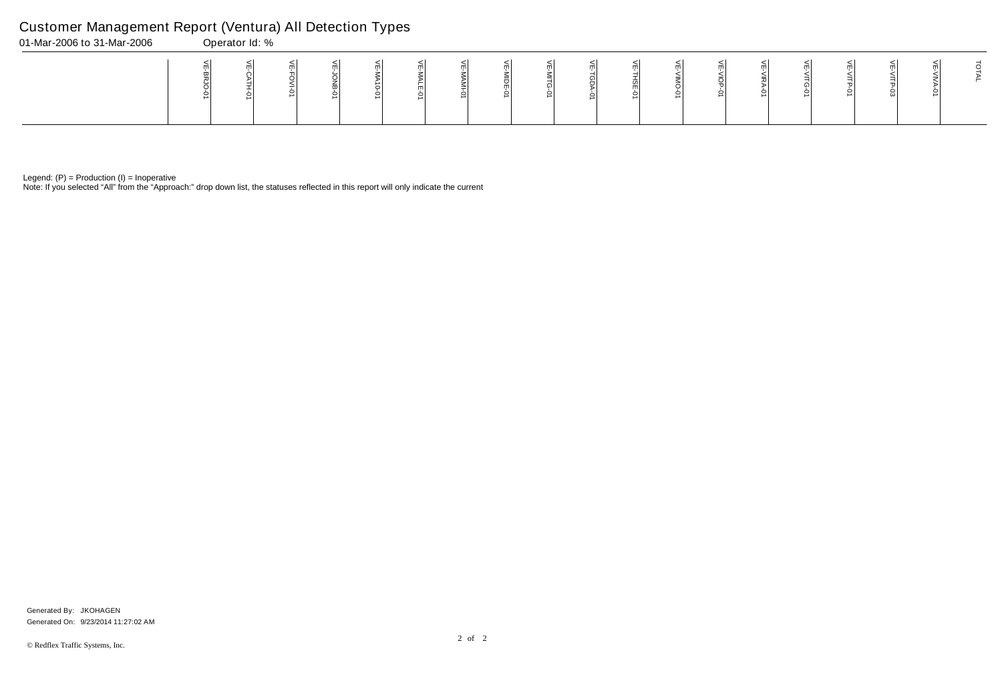Note: If you selected "All" from the "Approach:" drop down list, the statuses reflected in this report will only indicate the current

# Customer Management Report (Ventura) All Detection Types

| 01-Mar-2006 to 31-Mar-2006 | Operator Id: % |  |  |  |  |  |  |  |  |  |
|----------------------------|----------------|--|--|--|--|--|--|--|--|--|
|                            |                |  |  |  |  |  |  |  |  |  |

Generated On: 9/23/2014 11:27:02 AM Generated By: JKOHAGEN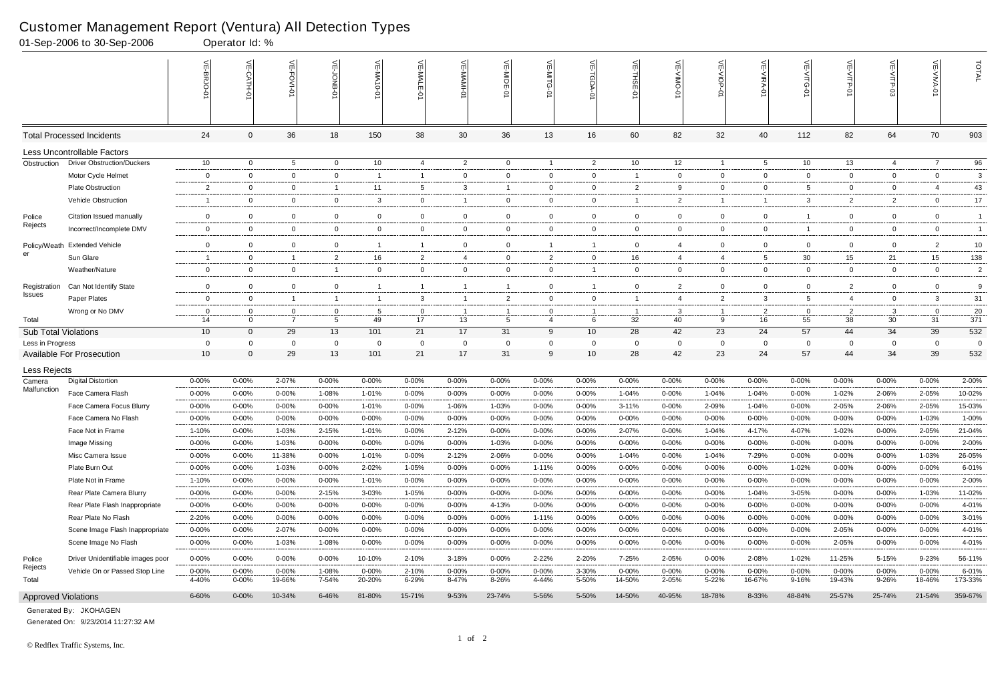|                             | 01-Sep-2006 to 30-Sep-2006                             |                     | Operator Id: %          |                     |                         |                        |                         |                    |                        |                    |                    |                        |                          |                         |                          |                        |                     |                         |                         |                  |
|-----------------------------|--------------------------------------------------------|---------------------|-------------------------|---------------------|-------------------------|------------------------|-------------------------|--------------------|------------------------|--------------------|--------------------|------------------------|--------------------------|-------------------------|--------------------------|------------------------|---------------------|-------------------------|-------------------------|------------------|
|                             |                                                        |                     | $\leq$                  | 븻<br>FOVI-0         | m                       | $\leq$<br>$-0 - 0$     | VE-MAL                  |                    | VE-MIDE-01             |                    | ₹<br><b>TGDA-0</b> | VE-THSE-01             | 븻<br>$\overline{5}$<br>Ò | VE-VIOP-<br>Ò           | VE-VIRA-01               | VE-VITG-01             | VE-VITP-01          | $VE-V1TP-03$            | VE-VIVA-0               | TOTAL            |
|                             | <b>Total Processed Incidents</b>                       | 24                  | $\Omega$                | 36                  | 18                      | 150                    | 38                      | 30                 | 36                     | 13                 | 16                 | 60                     | 82                       | 32                      | 40                       | 112                    | 82                  | 64                      | 70                      | 903              |
|                             | Less Uncontrollable Factors                            |                     |                         |                     |                         |                        |                         |                    |                        |                    |                    |                        |                          |                         |                          |                        |                     |                         |                         |                  |
| Obstruction                 | <b>Driver Obstruction/Duckers</b>                      | 10 <sup>°</sup>     | $\overline{0}$          | 5                   | $\overline{0}$          | 10 <sup>°</sup>        | 4                       | $\overline{2}$     | $\overline{0}$         | $\overline{1}$     | $\overline{2}$     | 10                     | 12                       | $\overline{1}$          | 5                        | 10                     | 13                  | 4                       | $\overline{7}$          | 96               |
|                             | Motor Cycle Helmet                                     | $\overline{0}$      | $\Omega$                | $\overline{0}$      | $\mathbf 0$             | - 1                    | $\mathbf{1}$            | $\mathbf{0}$       | $\mathbf 0$            | 0                  | $\mathbf{0}$       | - 1                    | 0                        | $\mathbf{0}$            | $\overline{0}$           | $\mathbf 0$            | $\mathbf 0$         | $\overline{0}$          | $\mathbf 0$             | 3                |
|                             | <b>Plate Obstruction</b>                               | $\overline{2}$      | $\mathbf 0$             | $\overline{0}$      | $\overline{1}$          | 11                     | 5                       | $\mathbf{3}$       |                        | 0                  | $\mathbf{0}$       | $\overline{2}$         | 9                        | $\mathbf{0}$            | 0                        | 5                      | $\mathbf 0$         | $\mathbf 0$             |                         | 43               |
|                             | Vehicle Obstruction                                    | -1                  | $\Omega$                | $\mathbf 0$         | $\mathbf 0$             | 3                      | $\overline{0}$          |                    | $\mathbf 0$            | 0                  | $\mathbf 0$        |                        | 2                        | $\overline{1}$          |                          | 3                      | $\overline{2}$      | 2                       | $\overline{0}$          | 17               |
| Police                      | Citation Issued manually                               | $\mathbf 0$         | $\Omega$                | $\mathbf 0$         | $\mathbf 0$             | $\mathbf{0}$           | $\mathbf 0$             | $\mathbf 0$        | $\overline{0}$         | $\mathbf 0$        | $\mathbf 0$        | $\mathbf 0$            | $\mathbf 0$              | $\mathbf 0$             | $\overline{0}$           |                        | $\mathbf 0$         | 0                       | $\mathbf 0$             | $\overline{1}$   |
| Rejects                     | Incorrect/Incomplete DMV                               | 0                   | $\Omega$                | $\overline{0}$      | $\mathbf{0}$            | $\mathbf 0$            | $\overline{0}$          | $\overline{0}$     | 0                      | 0                  | $\mathbf 0$        | $\overline{0}$         | $\mathbf{0}$             | $\mathbf{0}$            | $\Omega$                 |                        | $\mathbf{0}$        | $\mathbf 0$             | $\mathbf 0$             | $\overline{1}$   |
| Policy/Weath                | <b>Extended Vehicle</b>                                | $\mathbf 0$         | $\Omega$                | $\overline{0}$      | $\mathbf 0$             | -1                     | -1                      | $\mathbf 0$        | $\Omega$               | -1                 | $\overline{1}$     | $\mathbf 0$            | 4                        | $\mathbf 0$             | $\Omega$                 | $\mathbf 0$            | $\mathbf 0$         | $\overline{0}$          | $\overline{2}$          | $10$             |
| er                          | Sun Glare                                              | -1                  | $\mathbf 0$             | $\overline{1}$      | $\overline{2}$          | 16                     | $\overline{2}$          | $\overline{4}$     | $\mathbf 0$            | 2                  | $\mathbf{0}$       | 16                     | $\overline{4}$           | 4                       | -5                       | 30                     | 15                  | 21                      | 15                      | 138              |
|                             | Weather/Nature                                         | $\overline{0}$      | $\Omega$                | $\overline{0}$      | $\overline{\mathbf{1}}$ | $\mathbf 0$            | $\overline{0}$          | $\overline{0}$     | 0                      | 0                  | $\overline{1}$     | $\overline{0}$         | 0                        | $\overline{0}$          | 0                        | $\mathbf 0$            | $\mathbf 0$         | $\mathbf 0$             | $\mathbf 0$             | $\overline{2}$   |
| Registration                | Can Not Identify State                                 | $\mathbf 0$         | $\Omega$                | $\overline{0}$      | $\mathbf 0$             | -1                     | -1                      |                    |                        | $\mathbf 0$        | -1                 | $\mathbf 0$            | 2                        | $\mathbf 0$             | $\Omega$                 | $\mathbf 0$            | $\overline{2}$      | 0                       | $\mathbf 0$             | 9                |
| <b>Issues</b>               | Paper Plates                                           | $\overline{0}$      | $\Omega$                | $\overline{1}$      | $\overline{1}$          | - 1                    | 3                       | $\overline{1}$     | $\overline{2}$         | $\mathbf 0$        | $\mathbf{0}$       | $\overline{1}$         | 4                        | $\overline{2}$          | -3                       | 5                      | $\overline{4}$      | $\overline{0}$          | 3                       | 31               |
|                             | Wrong or No DMV                                        | $\Omega$            | $\Omega$                | 0                   | $\overline{0}$          | -5                     | $\Omega$                | -1                 |                        | $\Omega$           |                    |                        | 3                        | $\overline{1}$          | 2                        | 0                      | $\overline{2}$      | 3                       | $\mathbf{0}$            | 20               |
| Total                       |                                                        | 14                  | $\Omega$                | $\overline{7}$      | 5                       | 49                     | 17                      | 13                 | 5                      | 4                  | 6                  | 32                     | 40                       | 9                       | 16                       | 55                     | 38                  | 30                      | 31                      | $\overline{371}$ |
| <b>Sub Total Violations</b> |                                                        | 10 <sup>°</sup>     | $\Omega$                | 29                  | 13                      | 101                    | 21                      | 17                 | 31                     | 9                  | 10 <sup>°</sup>    | 28                     | 42                       | 23                      | 24                       | 57                     | 44                  | 34                      | 39                      | 532              |
| Less in Progress            |                                                        | 0                   |                         | $\Omega$            | $\mathbf 0$             | -0                     | $\Omega$                | $\mathbf 0$        |                        | 0                  | $\mathbf{0}$       | $\Omega$               | 0                        | $\mathbf 0$             | $\Omega$                 | 0                      | 0                   | $\mathbf 0$             | $\Omega$                | $\overline{0}$   |
|                             | <b>Available For Prosecution</b>                       | 10 <sup>°</sup>     | $\Omega$                | 29                  | 13                      | 101                    | 21                      | 17                 | 31                     | 9                  | 10                 | 28                     | 42                       | 23                      | 24                       | 57                     | 44                  | 34                      | 39                      | 532              |
| Less Rejects                |                                                        |                     |                         |                     |                         |                        |                         |                    |                        |                    |                    |                        |                          |                         |                          |                        |                     |                         |                         |                  |
| Camera<br>Malfunction       | <b>Digital Distortion</b>                              | $0 - 00%$           | 0-00%                   | 2-07%               | 0-00%                   | $0 - 00%$              | $0 - 00\%$              | $0 - 00%$          | 0-00%                  | $0 - 00%$          | $0 - 00\%$         | $0 - 00%$              | 0-00%                    | $0 - 00%$               | $0 - 00%$                | $0 - 00%$              | $0 - 00%$           | 0-00%                   | $0 - 00%$               | 2-00%            |
|                             | Face Camera Flash                                      | 0-00%               | $0 - 00%$               | $0 - 00%$           | 1-08%                   | 1-01%                  | $0 - 00%$               | $0 - 00%$          | 0-00%                  | $0 - 00%$          | $0 - 00\%$         | $1 - 04%$              | $0 - 00%$                | 1-04%                   | 1-04%                    | $0 - 00%$              | 1-02%               | 2-06%                   | 2-05%                   | 10-02%           |
|                             | Face Camera Focus Blurry                               | 0-00%               | $0 - 00%$               | $0 - 00%$           | $0 - 00%$               | 1-01%                  | $0 - 00%$               | 1-06%              | 1-03%                  | $0 - 00%$          | $0 - 00\%$         | $3 - 11%$              | $0 - 00%$                | 2-09%                   | 1-04%                    | $0 - 00%$              | 2-05%               | 2-06%                   | 2-05%                   | 15-03%           |
|                             | Face Camera No Flash                                   | $0 - 00%$           | 0-00%                   | $0 - 00\%$          | $0 - 00%$               | $0 - 00%$              | $0 - 00%$               | $0 - 00%$          | $0 - 00%$              | $0 - 00%$          | $0 - 00%$          | $0 - 00%$              | 0-00%                    | 0-00%                   | $0 - 00%$                | $0 - 00%$              | 0-00%               | 0-00%                   | 1-03%                   | 1-00%            |
|                             | Face Not in Frame                                      | 1-10%               | 0-00%                   | 1-03%               | 2-15%                   | 1-01%                  | $0 - 00\%$              | 2-12%              | 0-00%                  | $0 - 00%$          | $0 - 00%$          | 2-07%                  | 0-00%                    | 1-04%                   | 4-17%                    | 4-07%                  | 1-02%               | 0-00%                   | 2-05%                   | 21-04%           |
|                             | Image Missing                                          | $0 - 00%$           | $0 - 00%$               | 1-03%               | 0-00%                   | $0 - 00%$              | $0 - 00%$               | $0 - 00%$          | 1-03%                  | $0 - 00%$          | $0 - 00\%$         | $0 - 00%$              | $0 - 00%$                | $0 - 00\%$              | $0 - 00\%$               | $0 - 00%$              | $0 - 00%$           | $0 - 00\%$              | $0 - 00%$               | 2-00%            |
|                             | Misc Camera Issue                                      | $0 - 00%$           | $0 - 00%$               | 11-38%              | $0 - 00%$               | 1-01%                  | 0-00%                   | 2-12%              | 2-06%                  | $0 - 00%$          | $0 - 00\%$         | 1-04%                  | $0 - 00%$                | 1-04%                   | 7-29%                    | $0 - 00%$              | $0 - 00%$           | $0 - 00%$               | 1-03%                   | 26-05%           |
|                             | Plate Burn Out                                         | $0 - 00%$           | $0 - 00%$               | 1-03%               | 0-00%                   | 2-02%                  | 1-05%                   | $0 - 00%$          | 0-00%                  | 1-11%              | $0 - 00\%$         | $0 - 00%$              | $0 - 00%$                | $0 - 00\%$              | $0 - 00\%$               | 1-02%                  | $0 - 00%$           | 0-00%                   | $0 - 00%$               | 6-01%            |
|                             | Plate Not in Frame                                     | 1-10%               | $0 - 00\%$              | $0 - 00\%$          | $0 - 00%$               | 1-01%                  | $0 - 00\%$              | $0 - 00\%$         | $0 - 00%$              | $0 - 00\%$         | $0 - 00\%$         | $0 - 00%$              | $0 - 00%$                | $0 - 00\%$              | $0 - 00\%$               | $0 - 00%$              | $0 - 00%$           | $0 - 00\%$              | $0 - 00\%$              | 2-00%            |
|                             | Rear Plate Camera Blurry                               | $0 - 00%$           | $0 - 00\%$              | 0-00%               | 2-15%                   | 3-03%                  | 1-05%                   | $0 - 00%$          | $0 - 00%$              | 0-00%              | $0 - 00\%$         | $0 - 00%$              | 0-00%                    | $0 - 00\%$              | 1-04%                    | 3-05%                  | $0 - 00%$           | 0-00%                   | 1-03%                   | 11-02%           |
|                             | Rear Plate Flash Inappropriate                         | $0 - 00%$           | $0 - 00%$               | $0 - 00%$           | 0-00%                   | $0 - 00%$              | $0 - 00\%$              | $0 - 00\%$         | 4-13%                  | $0 - 00%$          | $0 - 00\%$         | $0 - 00%$              | 0-00%                    | $0 - 00\%$              | $0 - 00\%$               | $0 - 00%$              | $0 - 00%$           | $0 - 00%$               | $0 - 00%$               | 4-01%            |
|                             | Rear Plate No Flash<br>Scene Image Flash Inappropriate | 2-20%<br>$0 - 00\%$ | $0 - 00\%$<br>$0 - 00%$ | $0 - 00%$<br>2-07%  | $0 - 00%$               | $0 - 00%$<br>$0 - 00%$ | $0 - 00%$<br>$0 - 00\%$ | $0 - 00\%$         | $0 - 00%$<br>$0 - 00%$ | 1-11%              | $0 - 00\%$         | $0 - 00%$<br>$0 - 00%$ | $0 - 00%$<br>$0 - 00%$   | $0 - 00%$<br>$0 - 00\%$ | $0 - 00\%$<br>$0 - 00\%$ | $0 - 00%$<br>$0 - 00%$ | $0 - 00%$           | $0 - 00%$<br>$0 - 00\%$ | $0 - 00%$<br>$0 - 00\%$ | 3-01%<br>4-01%   |
|                             |                                                        |                     |                         |                     | 0-00%                   |                        |                         | 0-00%              |                        | $0 - 00%$          | 0-00%              |                        |                          |                         |                          |                        | 2-05%               |                         |                         |                  |
|                             | Scene Image No Flash                                   | $0 - 00%$           | $0 - 00%$               | 1-03%               | 1-08%                   | $0 - 00%$              | $0 - 00%$               | 0-00%              | $0 - 00%$              | $0 - 00%$          | $0 - 00\%$         | $0 - 00%$              | 0-00%                    | $0 - 00\%$              | $0 - 00\%$               | $0 - 00%$              | 2-05%               | $0 - 00%$               | $0 - 00%$               | 4-01%            |
| Police<br>Rejects           | Driver Unidentifiable images poor                      | $0 - 00%$           | $0 - 00%$               | $0 - 00\%$          | 0-00%                   | 10-10%                 | 2-10%                   | 3-18%              | $0 - 00%$              | 2-22%              | 2-20%              | 7-25%                  | 2-05%                    | $0 - 00\%$              | 2-08%                    | 1-02%                  | 11-25%              | 5-15%                   | 9-23%                   | 56-11%           |
| Total                       | Vehicle On or Passed Stop Line                         | $0 - 00%$<br>4-40%  | $0 - 00%$<br>$0 - 00\%$ | $0 - 00%$<br>19-66% | 1-08%<br>7-54%          | $0 - 00%$<br>20-20%    | 2-10%<br>6-29%          | $0 - 00%$<br>8-47% | $0 - 00%$<br>8-26%     | $0 - 00%$<br>4-44% | 3-30%<br>5-50%     | $0 - 00%$<br>14-50%    | 0-00%<br>2-05%           | $0 - 00\%$<br>5-22%     | 0-00%<br>16-67%          | $0 - 00%$<br>9-16%     | $0 - 00%$<br>19-43% | $0 - 00%$<br>9-26%      | $0 - 00%$<br>18-46%     | 6-01%<br>173-33% |
| <b>Approved Violations</b>  |                                                        | 6-60%               | $0 - 00\%$              | 10-34%              | 6-46%                   | 81-80%                 | 15-71%                  | 9-53%              | 23-74%                 | 5-56%              | 5-50%              | 14-50%                 | 40-95%                   | 18-78%                  | 8-33%                    | 48-84%                 | 25-57%              | 25-74%                  | 21-54%                  | 359-67%          |

Generated On: 9/23/2014 11:27:32 AM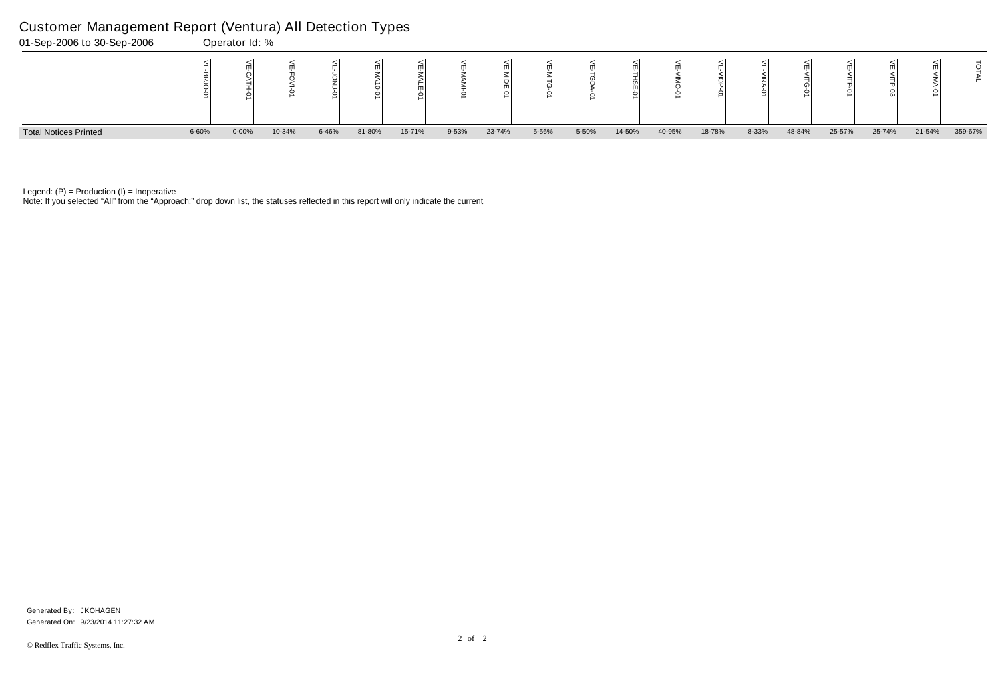Note: If you selected "All" from the "Approach:" drop down list, the statuses reflected in this report will only indicate the current



Legend:  $(P)$  = Production  $(I)$  = Inoperative

### Customer Management Report (Ventura) All Detection Types

|   | ⋚<br><b>VITG-01</b> | چ<br>NTP-01 | 닞<br><b>VITP-03</b> | щ<br>– | 고       |
|---|---------------------|-------------|---------------------|--------|---------|
| 6 | 48-84%              | 25-57%      | 25-74%              | 21-54% | 359-67% |

Generated On: 9/23/2014 11:27:32 AM Generated By: JKOHAGEN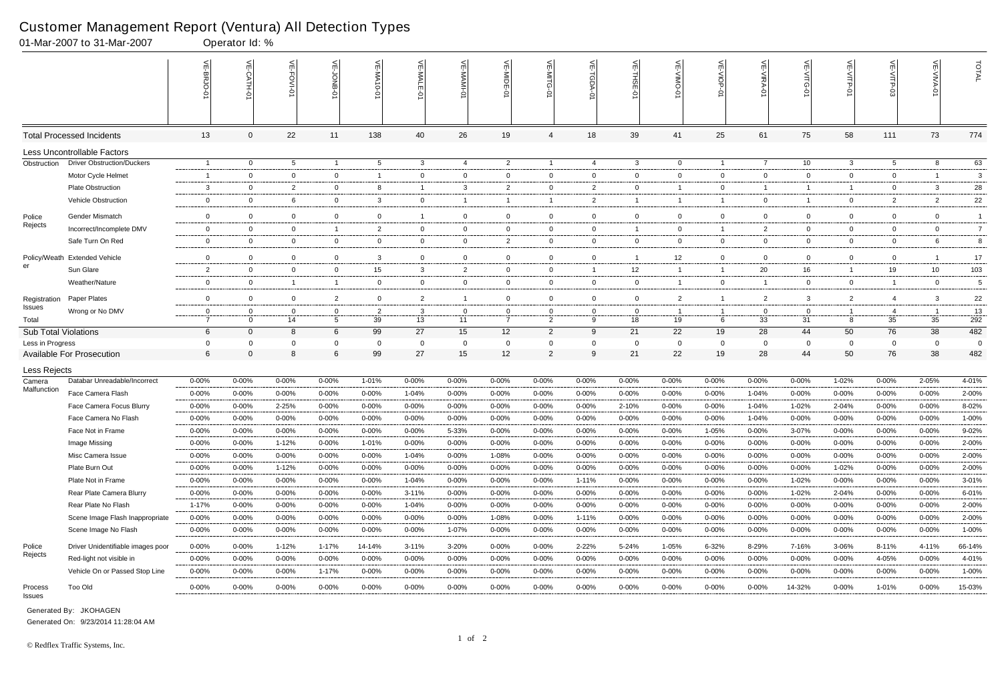|                               | 01-Mar-2007 to 31-Mar-2007        |                            | Operator Id: %          |                   |                   |                             |                |                    |                       |                |                  |                         |                 |                |                                  |                    |                   |                 |                |                |
|-------------------------------|-----------------------------------|----------------------------|-------------------------|-------------------|-------------------|-----------------------------|----------------|--------------------|-----------------------|----------------|------------------|-------------------------|-----------------|----------------|----------------------------------|--------------------|-------------------|-----------------|----------------|----------------|
|                               |                                   |                            | $\leq$<br>CATH-0        | 븬<br>FOVI-01      |                   | $\widetilde{E}$<br>-MA10-01 | VE-MAL         |                    | VE-MIDE-01            |                | ⋦                | 늰<br>ş                  | 닞               | $\leq$<br>Q    | $\widetilde{\mathbb{F}}$<br>ミアイー | 늦                  | 닞<br><b>TP-01</b> |                 | VE-VIVA-0      | TOTAL          |
|                               | <b>Total Processed Incidents</b>  | 13                         | $\Omega$                | 22                | 11                | 138                         | 40             | 26                 | 19                    | 4              | 18               | 39                      | 41              | 25             | 61                               | 75                 | 58                | 111             | 73             | 774            |
|                               | Less Uncontrollable Factors       |                            |                         |                   |                   |                             |                |                    |                       |                |                  |                         |                 |                |                                  |                    |                   |                 |                |                |
| Obstruction                   | <b>Driver Obstruction/Duckers</b> | -1                         | $\overline{0}$          | $5\overline{)}$   | $\overline{1}$    | $5\overline{)}$             | 3              | $\overline{4}$     | $\overline{2}$        | $\overline{1}$ | 4                | 3                       | $\overline{0}$  | $\overline{1}$ | 7                                | 10                 | $\mathbf{3}$      | $5\overline{)}$ | 8              | 63             |
|                               | Motor Cycle Helmet                | $\overline{1}$             | $\Omega$                | $\overline{0}$    | $\mathbf 0$       | -1                          | $\mathbf 0$    | $\mathbf 0$        | 0                     | $\overline{0}$ | $\overline{0}$   | $\mathbf 0$             | 0               | $\overline{0}$ | $\mathbf 0$                      | $\mathbf{0}$       | $\mathbf 0$       | $\mathbf 0$     |                | 3              |
|                               | <b>Plate Obstruction</b>          | 3                          | 0                       | $\overline{2}$    | $\overline{0}$    | 8                           | -1             | $\mathbf{3}$       | $\overline{2}$        | 0              | $\overline{2}$   | $\mathbf 0$             |                 | $\overline{0}$ | -1                               |                    | $\overline{1}$    | $\mathbf{0}$    | -3             | 28             |
|                               | Vehicle Obstruction               | $\mathbf 0$                | 0                       | 6                 | $\mathbf{0}$      | 3                           | $\mathbf 0$    | $\overline{1}$     | -1                    | -1             | $\overline{2}$   |                         |                 | $\overline{1}$ | $\mathbf 0$                      |                    | $\overline{0}$    | $\overline{2}$  | $\overline{2}$ | 22             |
| Police                        | <b>Gender Mismatch</b>            | $\mathbf 0$                | $\Omega$                | $\mathbf 0$       | $\mathbf 0$       | $\overline{0}$              | $\overline{1}$ | $\mathbf 0$        | 0                     | $\overline{0}$ | $\mathbf 0$      | $\mathbf 0$             | 0               | $\overline{0}$ | $\Omega$                         | $\mathbf{0}$       | $\mathbf 0$       | $\mathbf 0$     | $\mathbf{0}$   | $\overline{1}$ |
| Rejects                       | Incorrect/Incomplete DMV          | 0                          | $\mathbf 0$             | $\overline{0}$    | $\overline{1}$    | $\overline{2}$              | $\mathbf 0$    | $\mathbf 0$        | 0                     | $\mathbf 0$    | $\overline{0}$   | $\overline{\mathbf{1}}$ | 0               | $\overline{1}$ | $\overline{2}$                   | $\overline{0}$     | $\mathbf 0$       | $\mathbf 0$     | $\overline{0}$ | $\overline{7}$ |
|                               | Safe Turn On Red                  | $\mathbf 0$                | $\Omega$                | $\overline{0}$    | $\mathbf{0}$      | 0                           | $\mathbf 0$    | $\overline{0}$     | $\overline{2}$        | 0              | $\overline{0}$   | $\mathbf 0$             | 0               | $\overline{0}$ | $\Omega$                         | $\overline{0}$     | $\overline{0}$    | $\mathbf 0$     | 6              | 8              |
| Policy/Weath                  | <b>Extended Vehicle</b>           | $\mathbf 0$                | $\mathbf 0$             | $\mathbf 0$       | $\mathbf 0$       | 3                           | $\mathbf 0$    | $\mathbf 0$        | $\overline{0}$        | $\overline{0}$ | $\mathbf 0$      | $\overline{1}$          | 12 <sup>°</sup> | $\mathbf 0$    | $\Omega$                         | $\mathbf{0}$       | $\mathbf 0$       | $\mathbf 0$     |                | 17             |
| er                            | Sun Glare                         | $\overline{2}$             | $\mathbf 0$             | $\mathbf 0$       | $\mathbf 0$       | 15                          | 3              | $\overline{2}$     | - 0                   | $\mathbf 0$    | $\overline{1}$   | 12                      | -1              | $\overline{1}$ | 20                               | 16                 | $\overline{1}$    | 19              | 10             | 103            |
|                               | Weather/Nature                    | 0                          | $\Omega$                | $\overline{1}$    | $\overline{1}$    | $\mathbf 0$                 | $\overline{0}$ | $\mathbf 0$        | 0                     | $\mathbf 0$    | $\overline{0}$   | $\mathbf 0$             |                 | $\overline{0}$ | -1                               | $\mathbf{0}$       | $\mathbf 0$       | -1              | $\overline{0}$ | $\sqrt{5}$     |
|                               |                                   |                            |                         |                   |                   |                             |                | $\overline{1}$     |                       |                |                  |                         |                 | $\overline{1}$ |                                  |                    |                   |                 |                |                |
| Registration<br><b>Issues</b> | Paper Plates                      | $\mathbf 0$<br>$\mathbf 0$ | $\mathbf 0$             | $\mathbf 0$       | $\overline{c}$    | $\overline{0}$              | 2              |                    | $\overline{0}$        | 0<br>$\Omega$  | $\mathbf 0$      | $\mathbf 0$             | $\overline{2}$  | -1             | $\overline{2}$                   | 3                  | $\overline{2}$    | $\overline{4}$  | 3              | $22\,$         |
| Total                         | Wrong or No DMV                   | $\overline{7}$             | $\mathbf 0$<br>$\Omega$ | $\mathbf 0$<br>14 | $\mathbf{0}$<br>5 | 2<br>39                     | 3<br>13        | $\mathbf{0}$<br>11 | - 0<br>$\overline{7}$ | $\overline{2}$ | $\mathbf 0$<br>9 | $\mathbf{0}$<br>18      | 19              | 6              | $\mathbf 0$<br>33                | $\mathbf{0}$<br>31 | -1<br>8           | -4<br>35        | 35             | 13<br>292      |
| <b>Sub Total Violations</b>   |                                   | 6                          | $\Omega$                | 8                 | 6                 | 99                          | 27             | 15                 | 12                    | $\overline{2}$ | 9                | 21                      | 22              | 19             | 28                               | 44                 | 50                | 76              | 38             | 482            |
| Less in Progress              |                                   | 0                          |                         |                   | 0                 | 0                           | 0              | $\mathbf 0$        | $\mathbf 0$           | 0              | 0                | - 0                     | 0               | $\mathbf 0$    | $\Omega$                         | 0                  | $\mathbf 0$       | 0               | $\Omega$       | $\mathbf 0$    |
|                               | <b>Available For Prosecution</b>  | 6                          | $\Omega$                | 8                 | $\,6\,$           | 99                          | 27             | 15                 | 12                    | $\overline{2}$ | 9                | 21                      | 22              | 19             | 28                               | 44                 | 50                | 76              | 38             | 482            |
| Less Rejects                  |                                   |                            |                         |                   |                   |                             |                |                    |                       |                |                  |                         |                 |                |                                  |                    |                   |                 |                |                |
| Camera                        | Databar Unreadable/Incorrect      | $0 - 00%$                  | 0-00%                   | $0 - 00%$         | 0-00%             | 1-01%                       | $0 - 00\%$     | $0 - 00%$          | 0-00%                 | 0-00%          | $0 - 00%$        | $0 - 00%$               | 0-00%           | $0 - 00%$      | $0 - 00%$                        | $0 - 00%$          | 1-02%             | 0-00%           | 2-05%          | 4-01%          |
| Malfunction                   | Face Camera Flash                 | 0-00%                      | $0 - 00%$               | $0 - 00%$         | 0-00%             | $0 - 00%$                   | 1-04%          | $0 - 00%$          | 0-00%                 | 0-00%          | $0 - 00%$        | $0 - 00%$               | $0 - 00%$       | $0 - 00%$      | $1 - 04%$                        | 0-00%              | $0 - 00%$         | 0-00%           | $0 - 00%$      | 2-00%          |
|                               | Face Camera Focus Blurry          | 0-00%                      | $0 - 00%$               | 2-25%             | $0 - 00%$         | $0 - 00%$                   | $0 - 00%$      | $0 - 00%$          | $0 - 00%$             | 0-00%          | $0 - 00%$        | 2-10%                   | $0 - 00%$       | $0 - 00%$      | $1 - 04%$                        | 1-02%              | 2-04%             | $0 - 00%$       | $0 - 00%$      | 8-02%          |
|                               | Face Camera No Flash              | $0 - 00%$                  | 0-00%                   | $0 - 00%$         | $0 - 00%$         | $0 - 00%$                   | $0 - 00%$      | $0 - 00%$          | 0-00%                 | 0-00%          | $0 - 00%$        | $0 - 00%$               | $0 - 00%$       | $0 - 00%$      | 1-04%                            | $0 - 00%$          | $0 - 00%$         | $0 - 00%$       | $0 - 00\%$     | $1 - 00%$      |
|                               | Face Not in Frame                 | $0 - 00%$                  | 0-00%                   | $0 - 00%$         | 0-00%             | $0 - 00%$                   | $0 - 00\%$     | 5-33%              | 0-00%                 | $0 - 00%$      | $0 - 00%$        | $0 - 00%$               | 0-00%           | 1-05%          | $0 - 00%$                        | 3-07%              | $0 - 00%$         | $0 - 00%$       | $0 - 00%$      | 9-02%          |
|                               | Image Missing                     | $0 - 00%$                  | $0 - 00%$               | $1 - 12%$         | 0-00%             | 1-01%                       | $0 - 00\%$     | $0 - 00%$          | $0 - 00%$             | $0 - 00%$      | $0 - 00\%$       | $0 - 00%$               | 0-00%           | $0 - 00\%$     | $0 - 00\%$                       | $0 - 00%$          | $0 - 00\%$        | 0-00%           | $0 - 00%$      | 2-00%          |
|                               | Misc Camera Issue                 | $0 - 00%$                  | $0 - 00%$               | $0 - 00\%$        | $0 - 00%$         | $0 - 00%$                   | 1-04%          | $0 - 00%$          | 1-08%                 | $0 - 00%$      | $0 - 00\%$       | $0 - 00%$               | $0 - 00%$       | $0 - 00%$      | $0 - 00\%$                       | $0 - 00%$          | $0 - 00%$         | $0 - 00%$       | $0 - 00\%$     | 2-00%          |
|                               | Plate Burn Out                    | $0 - 00%$                  | $0 - 00\%$              | 1-12%             | 0-00%             | $0 - 00%$                   | $0 - 00\%$     | $0 - 00%$          | 0-00%                 | $0 - 00\%$     | $0 - 00\%$       | $0 - 00\%$              | 0-00%           | $0 - 00\%$     | $0 - 00\%$                       | $0 - 00%$          | $1 - 02%$         | $0 - 00%$       | $0 - 00%$      | 2-00%          |
|                               | Plate Not in Frame                | 0-00%                      | $0 - 00%$               | $0 - 00%$         | $0 - 00%$         | 0-00%                       | 1-04%          | $0 - 00%$          | $0 - 00%$             | $0 - 00%$      | 1-11%            | $0 - 00%$               | $0 - 00%$       | $0 - 00\%$     | $0 - 00\%$                       | 1-02%              | $0 - 00%$         | 0-00%           | $0 - 00%$      | $3 - 01%$      |
|                               | Rear Plate Camera Blurry          | $0 - 00%$                  | $0 - 00\%$              | $0 - 00%$         | 0-00%             | 0-00%                       | 3-11%          | $0 - 00%$          | $0 - 00%$             | 0-00%          | $0 - 00\%$       | $0 - 00%$               | 0-00%           | 0-00%          | $0 - 00\%$                       | 1-02%              | 2-04%             | 0-00%           | 0-00%          | 6-01%          |
|                               | Rear Plate No Flash               | 1-17%                      | $0 - 00\%$              | $0 - 00\%$        | $0 - 00%$         | 0-00%                       | 1-04%          | $0 - 00%$          | 0-00%                 | 0-00%          | $0 - 00\%$       | $0 - 00%$               | 0-00%           | $0 - 00\%$     | $0 - 00\%$                       | $0 - 00%$          | $0 - 00\%$        | 0-00%           | $0 - 00%$      | 2-00%          |
|                               | Scene Image Flash Inappropriate   | $0 - 00%$                  | 0-00%                   | $0 - 00%$         | $0 - 00%$         | $0 - 00%$                   | $0 - 00\%$     | $0 - 00%$          | 1-08%                 | $0 - 00%$      | $1 - 11%$        | $0 - 00%$               | $0 - 00%$       | $0 - 00\%$     | $0 - 00\%$                       | $0 - 00%$          | $0 - 00%$         | 0-00%           | $0 - 00\%$     | 2-00%          |
|                               | Scene Image No Flash              | $0 - 00%$                  | $0 - 00%$               | 0-00%             | 0-00%             | $0 - 00%$                   | $0 - 00\%$     | 1-07%              | $0 - 00%$             | $0 - 00%$      | 0-00%            | $0 - 00%$               | $0 - 00%$       | 0-00%          | 0-00%                            | $0 - 00%$          | $0 - 00%$         | $0 - 00\%$      | $0 - 00\%$     | 1-00%          |
| Police                        | Driver Unidentifiable images poor | 0-00%                      | $0 - 00\%$              | 1-12%             | 1-17%             | 14-14%                      | $3 - 11%$      | 3-20%              | $0 - 00%$             | $0 - 00%$      | 2-22%            | 5-24%                   | 1-05%           | 6-32%          | 8-29%                            | 7-16%              | 3-06%             | 8-11%           | 4-11%          | 66-14%         |
| Rejects                       | Red-light not visible in          | 0-00%                      | $0 - 00\%$              | $0 - 00%$         | $0 - 00%$         | 0-00%                       | $0 - 00\%$     | $0 - 00%$          | $0 - 00%$             | $0 - 00%$      | $0 - 00\%$       | $0 - 00%$               | 0-00%           | $0 - 00\%$     | $0 - 00\%$                       | $0 - 00%$          | $0 - 00%$         | 4-05%           | $0 - 00%$      | 4-01%          |
|                               | Vehicle On or Passed Stop Line    | 0-00%                      | $0 - 00%$               | $0 - 00\%$        | 1-17%             | 0-00%                       | $0 - 00\%$     | 0-00%              | $0 - 00%$             | $0 - 00%$      | 0-00%            | $0 - 00%$               | $0 - 00%$       | 0-00%          | $0 - 00\%$                       | $0 - 00%$          | $0 - 00%$         | 0-00%           | $0 - 00%$      | 1-00%          |
| Process<br>Issues             | <b>Too Old</b>                    | $0 - 00\%$                 | $0 - 00\%$              | $0 - 00\%$        | $0 - 00%$         | $0 - 00%$                   | $0 - 00\%$     | $0 - 00%$          | $0 - 00%$             | $0 - 00\%$     | $0 - 00\%$       | $0 - 00%$               | $0 - 00%$       | $0 - 00\%$     | $0 - 00\%$                       | 14-32%             | $0 - 00%$         | 1-01%           | $0 - 00\%$     | 15-03%         |
|                               |                                   |                            |                         |                   |                   |                             |                |                    |                       |                |                  |                         |                 |                |                                  |                    |                   |                 |                |                |

Generated On: 9/23/2014 11:28:04 AM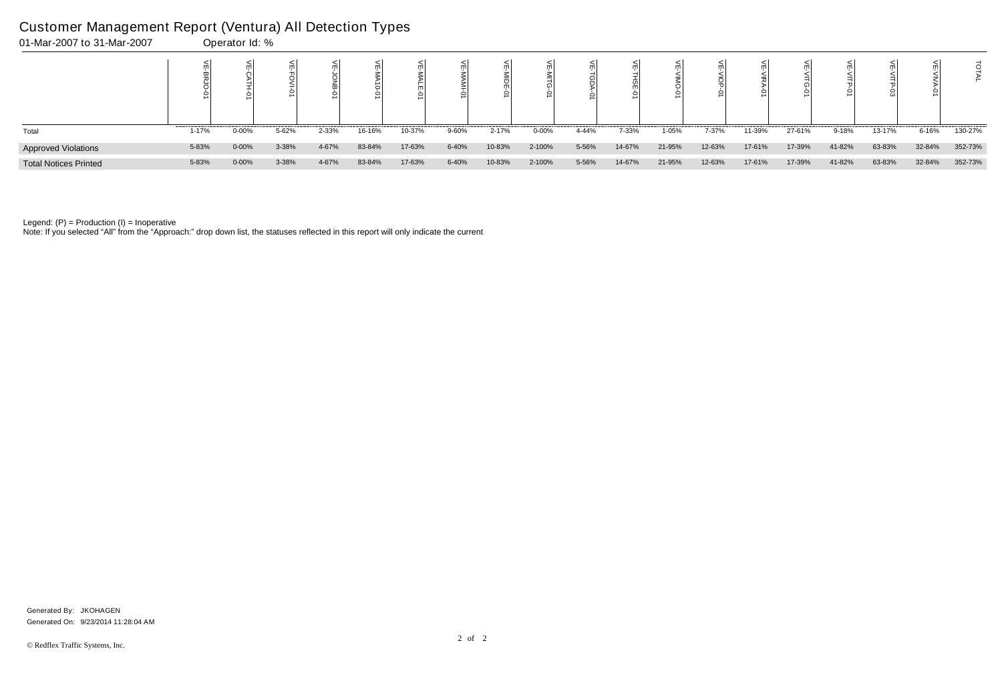| 01-Mar-2007 to 31-Mar-2007   |       | Operator Id: % |       |       |        |        |           |        |        |       |        |        |        |        |        |        |        |        |         |
|------------------------------|-------|----------------|-------|-------|--------|--------|-----------|--------|--------|-------|--------|--------|--------|--------|--------|--------|--------|--------|---------|
|                              |       |                |       |       |        |        |           |        |        |       |        |        |        |        |        |        |        |        |         |
| Total                        | 1-17% | $0 - 00%$      | 5-62% | 2-33% | 16-16% | 10-37% | 9-60%     | 2-17%  | 0-00%  | 4-44% | 7-33%  | 1-05%  | 7-37%  | 11-39% | 27-61% | 9-18%  | 13-17% | 6-16%  | 130-27% |
| <b>Approved Violations</b>   | 5-83% | $0 - 00%$      | 3-38% | 4-67% | 83-84% | 17-63% | $6 - 40%$ | 10-83% | 2-100% | 5-56% | 14-67% | 21-95% | 12-63% | 17-61% | 17-39% | 41-82% | 63-83% | 32-84% | 352-73% |
| <b>Total Notices Printed</b> | 5-83% | $0 - 00%$      | 3-38% | 4-67% | 83-84% | 17-63% | $6 - 40%$ | 10-83% | 2-100% | 5-56% | 14-67% | 21-95% | 12-63% | 17-61% | 17-39% | 41-82% | 63-83% | 32-84% | 352-73% |

Note: If you selected "All" from the "Approach:" drop down list, the statuses reflected in this report will only indicate the current

### Customer Management Report (Ventura) All Detection Types

Generated On: 9/23/2014 11:28:04 AM Generated By: JKOHAGEN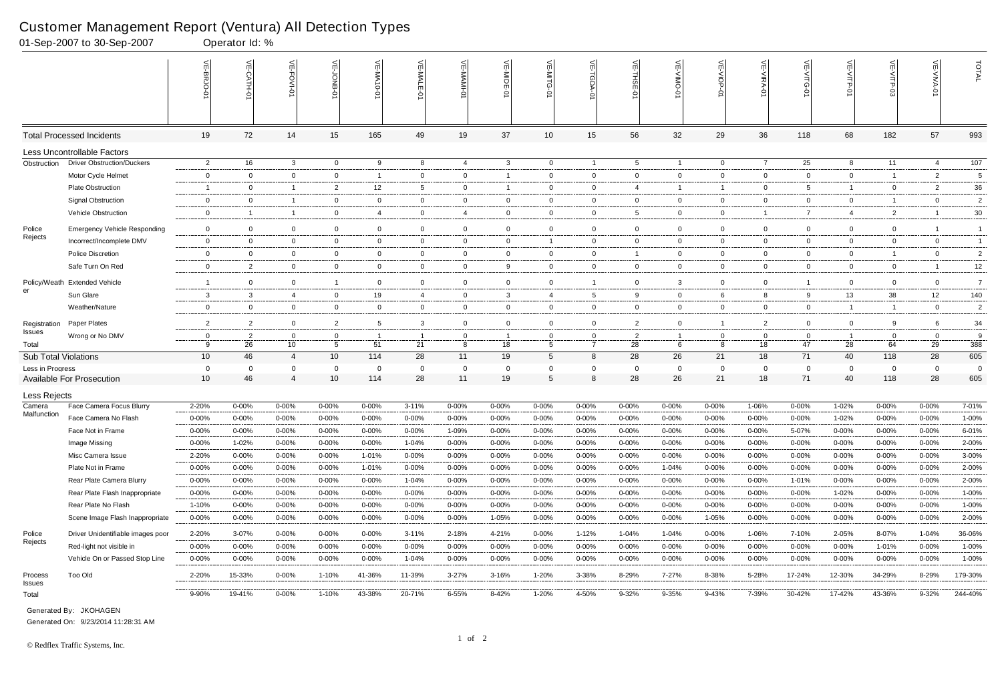|                             | 01-Sep-2007 to 30-Sep-2007          |                 | Operator Id: %   |                |                 |                            |                |                |                |                 |                  |                 |                  |                |                |                   |                |                |                |                 |
|-----------------------------|-------------------------------------|-----------------|------------------|----------------|-----------------|----------------------------|----------------|----------------|----------------|-----------------|------------------|-----------------|------------------|----------------|----------------|-------------------|----------------|----------------|----------------|-----------------|
|                             |                                     |                 | $\leq$<br>CATH-0 | 늰<br>FOVI-01   | 늦               | $\leq$<br>-NA<br>$10 - 01$ | VE-MAL         |                | VE-MIDE-01     |                 | $\leq$<br>TGDA-0 | VE-THSE-01      | 븻<br>-VIINO<br>ò | VE-VIOP-<br>Ģ  | VE-VIRA-01     | <b>VE-VITG-01</b> | VE-VITP-01     | VE-VITP-03     | VE-VIVA-01     | TOTAL           |
|                             | <b>Total Processed Incidents</b>    | 19              | 72               | 14             | 15              | 165                        | 49             | 19             | 37             | 10 <sup>°</sup> | 15               | 56              | 32               | 29             | 36             | 118               | 68             | 182            | 57             | 993             |
|                             | Less Uncontrollable Factors         |                 |                  |                |                 |                            |                |                |                |                 |                  |                 |                  |                |                |                   |                |                |                |                 |
| Obstruction                 | <b>Driver Obstruction/Duckers</b>   | $\overline{2}$  | 16               | $\mathbf{3}$   | $\overline{0}$  | 9                          | 8              | 4              | $\mathbf{3}$   | $\overline{0}$  | $\overline{1}$   | $5\overline{5}$ | -1               | $\overline{0}$ | $\overline{7}$ | 25                | 8              | 11             | -4             | 107             |
|                             | Motor Cycle Helmet                  | $\mathbf 0$     | $\Omega$         | $\overline{0}$ | $\mathbf 0$     | - 1                        | $\mathbf 0$    | $\overline{0}$ | -1             | 0               | $\mathbf{0}$     | $\mathbf 0$     | $\mathbf{0}$     | $\overline{0}$ | $\overline{0}$ | $\mathbf 0$       | $\mathbf 0$    | $\overline{1}$ | $\overline{2}$ | $\sqrt{5}$      |
|                             | <b>Plate Obstruction</b>            | -1              | $\Omega$         | $\overline{1}$ | $\overline{2}$  | $12 \overline{ }$          | 5              | $\overline{0}$ | - 1            | $\mathbf{0}$    | $\mathbf{0}$     | $\overline{4}$  |                  | $\mathbf{1}$   | $\mathbf 0$    | 5                 | $\mathbf{1}$   | $\overline{0}$ | $\overline{2}$ | $36\,$          |
|                             | <b>Signal Obstruction</b>           | $\mathbf 0$     | $\Omega$         |                | $\mathbf 0$     | $\mathbf{0}$               | $\overline{0}$ | $\mathbf 0$    | $\mathbf 0$    | $\mathbf 0$     | $\mathbf{0}$     | $\overline{0}$  | $\overline{0}$   | $\overline{0}$ | $\Omega$       | $\overline{0}$    | $\mathbf 0$    | -1             | $\overline{0}$ | $\overline{2}$  |
|                             | Vehicle Obstruction                 | $\overline{0}$  | -1               | $\overline{1}$ | $\mathbf{0}$    | $\overline{4}$             | $\mathbf{0}$   | $\overline{4}$ | $\overline{0}$ | $\mathbf{0}$    | $\overline{0}$   | -5              | $\mathbf{0}$     | $\overline{0}$ | $\overline{1}$ | -7                | $\overline{4}$ | $\overline{2}$ |                | 30              |
| Police                      | <b>Emergency Vehicle Responding</b> | $\overline{0}$  | $\Omega$         | $\overline{0}$ | $\mathbf 0$     | $\mathbf 0$                | $\overline{0}$ | $\overline{0}$ | $\overline{0}$ | 0               | $\mathbf{0}$     | $\overline{0}$  | $\mathbf{0}$     | $\overline{0}$ | $\overline{0}$ | $\mathbf 0$       | $\mathbf 0$    | $\overline{0}$ |                | $\overline{1}$  |
| Rejects                     | Incorrect/Incomplete DMV            | $\overline{0}$  | $\Omega$         | $\overline{0}$ | $\mathbf 0$     | 0                          | $\overline{0}$ | $\mathbf 0$    | $\mathbf 0$    |                 | $\mathbf{0}$     | $\overline{0}$  | $\mathbf 0$      | $\mathbf{0}$   | $\overline{0}$ | $\mathbf 0$       | $\mathbf 0$    | $\mathbf 0$    | $\mathbf 0$    | $\overline{1}$  |
|                             | <b>Police Discretion</b>            | $\overline{0}$  | $\overline{0}$   | $\overline{0}$ | $\overline{0}$  | $\mathbf 0$                | $\mathbf 0$    | $\overline{0}$ | $\overline{0}$ | $\mathbf{0}$    | $\mathbf{0}$     |                 | $\mathbf{0}$     | $\overline{0}$ | $\overline{0}$ | $\overline{0}$    | $\overline{0}$ | $\overline{1}$ | $\overline{0}$ | $\overline{2}$  |
|                             | Safe Turn On Red                    | $\mathbf 0$     | $\overline{2}$   | $\overline{0}$ | $\mathbf 0$     | $\mathbf 0$                | $\mathbf 0$    | $\overline{0}$ | 9              | $\overline{0}$  | $\mathbf 0$      | $\overline{0}$  | $\overline{0}$   | $\overline{0}$ | $\overline{0}$ | $\overline{0}$    | $\overline{0}$ | $\mathbf{0}$   |                | 12              |
| Policy/Weath                | <b>Extended Vehicle</b>             | -1              | $\overline{0}$   | $\overline{0}$ | $\overline{1}$  | $\mathbf 0$                | $\overline{0}$ | $\overline{0}$ | $\mathbf 0$    | $\overline{0}$  | $\overline{1}$   | $\overline{0}$  | 3                | $\overline{0}$ | $\overline{0}$ |                   | $\overline{0}$ | $\overline{0}$ | $\overline{0}$ | $\overline{7}$  |
| er                          | Sun Glare                           | $\mathbf{3}$    | 3                | $\overline{4}$ | $\mathbf{0}$    | 19                         | 4              | $\overline{0}$ | -3             | 4               | $5\overline{)}$  | 9               | $\mathbf{0}$     | 6              | 8              | 9                 | 13             | 38             | 12             | 140             |
|                             | Weather/Nature                      | $\overline{0}$  | $\overline{0}$   | $\overline{0}$ | $\mathbf 0$     | $\mathbf{0}$               | $\overline{0}$ | $\overline{0}$ | $\mathbf 0$    | $\mathbf{0}$    | $\mathbf{0}$     | $\overline{0}$  | $\mathbf{0}$     | $\overline{0}$ | $\overline{0}$ | $\overline{0}$    | $\mathbf{1}$   | $\overline{1}$ | $\overline{0}$ | $\overline{2}$  |
|                             | Paper Plates                        | $\overline{2}$  | $\overline{2}$   | $\overline{0}$ | 2               | 5                          | 3              | $\overline{0}$ | $\mathbf 0$    | 0               | $\mathbf 0$      | $\overline{2}$  | $\mathbf{0}$     | $\overline{1}$ | 2              | $\overline{0}$    | $\overline{0}$ | 9              | 6              | 34              |
| Registration<br>Issues      | Wrong or No DMV                     | $\mathbf 0$     | 2                | 0              | $\mathbf 0$     |                            |                | $\mathbf{0}$   |                | 0               | $\mathbf{0}$     | $\overline{2}$  |                  | 0              | 0              | $\overline{0}$    | -1             | $\mathbf 0$    | $\overline{0}$ | 9               |
| Total                       |                                     | 9               | 26               | 10             | $5\overline{)}$ | 51                         | 21             | 8              | 18             | 5               | $\overline{7}$   | 28              | 6                | 8              | 18             | 47                | 28             | 64             | 29             | $\frac{1}{388}$ |
| <b>Sub Total Violations</b> |                                     | 10 <sup>°</sup> | 46               | $\overline{4}$ | 10              | 114                        | 28             | 11             | 19             | 5               | 8                | 28              | 26               | 21             | 18             | 71                | 40             | 118            | 28             | 605             |
| Less in Progress            |                                     | 0               | $\Omega$         | $\Omega$       | 0               | $\Omega$                   | $\Omega$       | $\mathbf 0$    | $\Omega$       | $\Omega$        | $\mathbf 0$      | $\overline{0}$  | $\Omega$         | $\mathbf 0$    | $\Omega$       | $\mathbf 0$       | $\mathbf 0$    | $\overline{0}$ | $\overline{0}$ | $\overline{0}$  |
|                             | <b>Available For Prosecution</b>    | 10 <sup>°</sup> | 46               | $\overline{4}$ | 10              | 114                        | 28             | 11             | 19             | 5               | 8                | 28              | 26               | 21             | 18             | 71                | 40             | 118            | 28             | 605             |
| Less Rejects                |                                     |                 |                  |                |                 |                            |                |                |                |                 |                  |                 |                  |                |                |                   |                |                |                |                 |
| Camera<br>Malfunction       | Face Camera Focus Blurry            | 2-20%           | 0-00%            | $0 - 00%$      | 0-00%           | 0-00%                      | $3 - 11%$      | $0 - 00%$      | 0-00%          | $0 - 00\%$      | $0 - 00\%$       | $0 - 00%$       | $0 - 00%$        | $0 - 00%$      | 1-06%          | $0 - 00%$         | 1-02%          | 0-00%          | $0 - 00%$      | 7-01%           |
|                             | Face Camera No Flash                | $0 - 00%$       | 0-00%            | $0 - 00\%$     | $0 - 00%$       | $0 - 00%$                  | $0 - 00\%$     | $0 - 00%$      | $0 - 00%$      | $0 - 00%$       | $0 - 00\%$       | $0 - 00%$       | 0-00%            | 0-00%          | $0 - 00\%$     | $0 - 00%$         | 1-02%          | $0 - 00%$      | $0 - 00%$      | $1 - 00%$       |
|                             | Face Not in Frame                   | $0 - 00%$       | 0-00%            | $0 - 00%$      | 0-00%           | $0 - 00%$                  | $0 - 00\%$     | 1-09%          | $0 - 00%$      | $0 - 00\%$      | $0 - 00%$        | $0 - 00%$       | 0-00%            | $0 - 00%$      | $0 - 00%$      | 5-07%             | $0 - 00%$      | $0 - 00%$      | $0 - 00%$      | 6-01%           |
|                             | Image Missing                       | $0 - 00%$       | 1-02%            | $0 - 00%$      | 0-00%           | $0 - 00%$                  | 1-04%          | $0 - 00%$      | $0 - 00%$      | $0 - 00\%$      | $0 - 00\%$       | $0 - 00%$       | 0-00%            | $0 - 00\%$     | 0-00%          | 0-00%             | $0 - 00%$      | $0 - 00\%$     | $0 - 00\%$     | 2-00%           |
|                             | Misc Camera Issue                   | 2-20%           | 0-00%            | 0-00%          | $0 - 00%$       | 1-01%                      | 0-00%          | $0 - 00\%$     | $0 - 00%$      | $0 - 00\%$      | $0 - 00\%$       | $0 - 00%$       | $0 - 00%$        | $0 - 00\%$     | 0-00%          | $0 - 00%$         | $0 - 00%$      | 0-00%          | $0 - 00%$      | 3-00%           |
|                             | Plate Not in Frame                  | $0 - 00%$       | $0 - 00%$        | $0 - 00\%$     | 0-00%           | 1-01%                      | $0 - 00\%$     | 0-00%          | $0 - 00%$      | $0 - 00\%$      | $0 - 00\%$       | $0 - 00%$       | 1-04%            | $0 - 00\%$     | 0-00%          | $0 - 00%$         | $0 - 00%$      | $0 - 00%$      | $0 - 00\%$     | 2-00%           |
|                             | Rear Plate Camera Blurry            | $0 - 00%$       | $0 - 00\%$       | $0 - 00\%$     | $0 - 00%$       | $0 - 00%$                  | 1-04%          | 0-00%          | $0 - 00%$      | $0 - 00\%$      | $0 - 00\%$       | $0 - 00%$       | $0 - 00%$        | $0 - 00\%$     | 0-00%          | 1-01%             | $0 - 00%$      | 0-00%          | $0 - 00\%$     | 2-00%           |
|                             | Rear Plate Flash Inappropriate      | $0 - 00%$       | $0 - 00\%$       | 0-00%          | 0-00%           | $0 - 00%$                  | 0-00%          | $0 - 00%$      | 0-00%          | 0-00%           | $0 - 00\%$       | $0 - 00%$       | $0 - 00%$        | $0 - 00\%$     | $0 - 00\%$     | $0 - 00\%$        | 1-02%          | $0 - 00%$      | $0 - 00\%$     | 1-00%           |
|                             | Rear Plate No Flash                 | 1-10%           | $0 - 00%$        | $0 - 00\%$     | $0 - 00\%$      | $0 - 00%$                  | $0 - 00\%$     | $0 - 00\%$     | $0 - 00%$      | $0 - 00\%$      | $0 - 00\%$       | $0 - 00%$       | $0 - 00%$        | $0 - 00\%$     | $0 - 00\%$     | $0 - 00%$         | $0 - 00%$      | 0-00%          | $0 - 00\%$     | 1-00%           |
|                             | Scene Image Flash Inappropriate     | $0 - 00\%$      | $0 - 00\%$       | $0 - 00%$      | $0 - 00%$       | $0 - 00%$                  | $0 - 00\%$     | $0 - 00\%$     | 1-05%          | $0 - 00\%$      | $0 - 00\%$       | $0 - 00%$       | $0 - 00%$        | 1-05%          | $0 - 00\%$     | $0 - 00%$         | $0 - 00%$      | $0 - 00\%$     | $0 - 00\%$     | 2-00%           |
| Police                      | Driver Unidentifiable images poor   | 2-20%           | 3-07%            | $0 - 00%$      | $0 - 00%$       | $0 - 00\%$                 | $3 - 11%$      | 2-18%          | 4-21%          | $0 - 00\%$      | 1-12%            | 1-04%           | 1-04%            | $0 - 00\%$     | 1-06%          | 7-10%             | 2-05%          | 8-07%          | 1-04%          | 36-06%          |
| Rejects                     | Red-light not visible in            | 0-00%           | $0 - 00%$        | $0 - 00%$      | $0 - 00%$       | $0 - 00%$                  | $0 - 00\%$     | $0 - 00%$      | $0 - 00%$      | $0 - 00\%$      | $0 - 00\%$       | $0 - 00%$       | $0 - 00%$        | $0 - 00\%$     | $0 - 00\%$     | $0 - 00%$         | $0 - 00%$      | 1-01%          | $0 - 00\%$     | 1-00%           |
|                             | Vehicle On or Passed Stop Line      | $0 - 00\%$      | 0-00%            | $0 - 00%$      | $0 - 00\%$      | $0 - 00\%$                 | 1-04%          | $0 - 00\%$     | $0 - 00%$      | $0 - 00\%$      | $0 - 00\%$       | $0 - 00\%$      | $0 - 00%$        | $0 - 00\%$     | 0-00%          | $0 - 00%$         | $0 - 00%$      | $0 - 00\%$     | $0 - 00\%$     | 1-00%           |
| Process<br>Issues           | Too Old                             | 2-20%           | 15-33%           | $0 - 00\%$     | 1-10%           | 41-36%                     | 11-39%         | $3 - 27%$      | 3-16%          | 1-20%           | 3-38%            | 8-29%           | 7-27%            | 8-38%          | 5-28%          | 17-24%            | 12-30%         | 34-29%         | 8-29%          | 179-30%         |
| Total                       |                                     | 9-90%           | 19-41%           | $0 - 00\%$     | 1-10%           | 43-38%                     | 20-71%         | 6-55%          | 8-42%          | 1-20%           | 4-50%            | 9-32%           | 9-35%            | 9-43%          | 7-39%          | 30-42%            | 17-42%         | 43-36%         | 9-32%          | 244-40%         |

Generated On: 9/23/2014 11:28:31 AM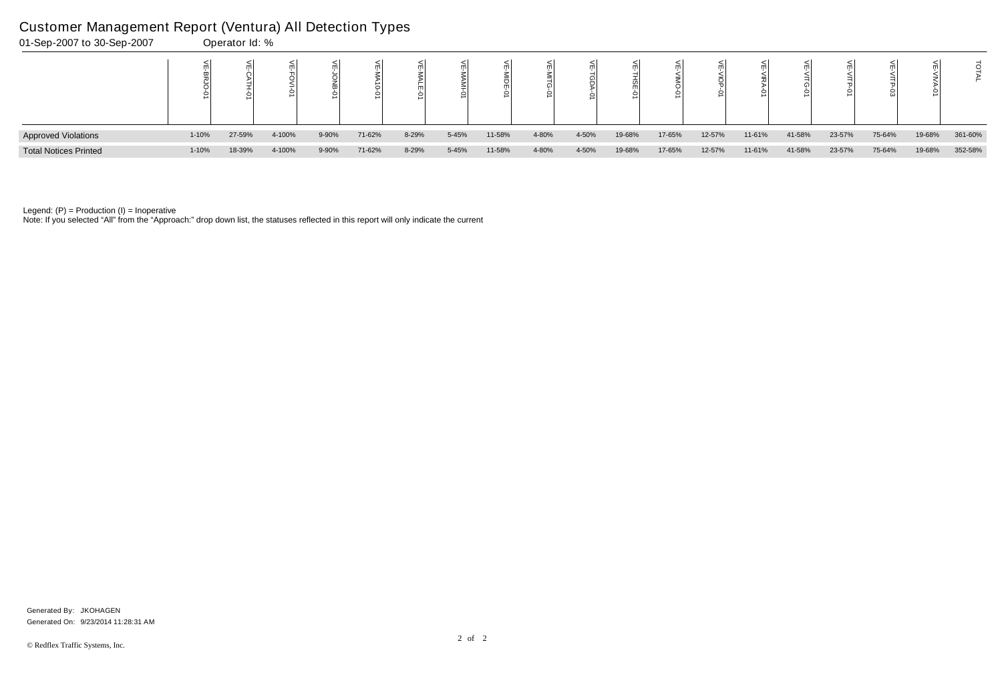| 01-Sep-2007 to 30-Sep-2007   |           | Operator Id: % |        |       |        |       |       |        |       |       |        |        |        |        |        |        |        |        |         |
|------------------------------|-----------|----------------|--------|-------|--------|-------|-------|--------|-------|-------|--------|--------|--------|--------|--------|--------|--------|--------|---------|
|                              |           |                |        |       | ○      |       |       |        |       |       |        |        |        |        |        |        |        |        |         |
| <b>Approved Violations</b>   | $1 - 10%$ | 27-59%         | 4-100% | 9-90% | 71-62% | 8-29% | 5-45% | 11-58% | 4-80% | 4-50% | 19-68% | 17-65% | 12-57% | 11-61% | 41-58% | 23-57% | 75-64% | 19-68% | 361-60% |
| <b>Total Notices Printed</b> | $1 - 10%$ | 18-39%         | 4-100% | 9-90% | 71-62% | 8-29% | 5-45% | 11-58% | 4-80% | 4-50% | 19-68% | 17-65% | 12-57% | 11-61% | 41-58% | 23-57% | 75-64% | 19-68% | 352-58% |

Note: If you selected "All" from the "Approach:" drop down list, the statuses reflected in this report will only indicate the current

# Customer Management Report (Ventura) All Detection Types

Generated On: 9/23/2014 11:28:31 AM Generated By: JKOHAGEN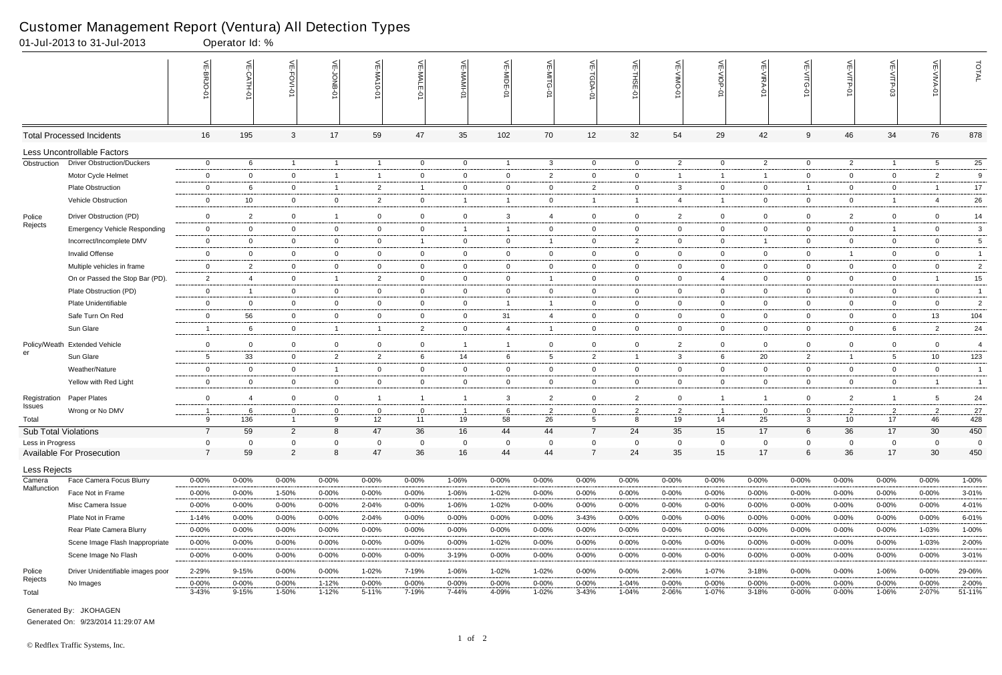|                             | 01-Jul-2013 to 31-Jul-2013          |                         | Operator Id: %      |                    |                        |                    |                     |                |                    |                     |                    |                    |                    |                     |                     |                    |                    |                     |                    |                 |
|-----------------------------|-------------------------------------|-------------------------|---------------------|--------------------|------------------------|--------------------|---------------------|----------------|--------------------|---------------------|--------------------|--------------------|--------------------|---------------------|---------------------|--------------------|--------------------|---------------------|--------------------|-----------------|
|                             |                                     | VE-BRJO-0'              | VE-CATH-01          | VE-FOVI-01         | VE-JONB-01             | VE-MA10-01         | VE-MALE-01          | VE-MAMI-0      | VE-MIDE-01         | VE-MITG-01          | VE-TGDA-0          | VE-THSE-01         | VE-VINO-01         | VE-VIOP-01          | VE-VIRA-01          | VE-VITG-01         | VE-VITP-01         | VE-VITP-03          | VE-VIVA-0          | TOTAL           |
|                             | <b>Total Processed Incidents</b>    | 16                      | 195                 | 3                  | 17                     | 59                 | 47                  | 35             | 102                | 70                  | 12                 | 32                 | 54                 | 29                  | 42                  | 9                  | 46                 | 34                  | 76                 | 878             |
|                             | <b>Less Uncontrollable Factors</b>  |                         |                     |                    |                        |                    |                     |                |                    |                     |                    |                    |                    |                     |                     |                    |                    |                     |                    |                 |
| Obstruction                 | <b>Driver Obstruction/Duckers</b>   | $\overline{0}$          | 6                   | $\overline{1}$     | $\overline{1}$         | $\overline{1}$     | $\overline{0}$      | $\overline{0}$ | $\overline{1}$     | $\mathbf{3}$        | $\overline{0}$     | $\overline{0}$     | $\overline{2}$     | $\overline{0}$      | $\overline{2}$      | $\overline{0}$     | $\overline{2}$     | $\overline{1}$      | 5                  | $\overline{25}$ |
|                             | Motor Cycle Helmet                  | $\overline{0}$          | $\overline{0}$      | $\overline{0}$     | $\overline{1}$         | $\overline{1}$     | $\mathbf 0$         | $\mathbf 0$    | $\mathbf{0}$       | $\overline{2}$      | $\mathbf 0$        | $\overline{0}$     | 1                  | $\overline{1}$      | $\overline{1}$      | $\mathbf 0$        | $\overline{0}$     | $\mathbf 0$         | $\overline{2}$     | 9               |
|                             | Plate Obstruction                   | $\mathbf{0}$            | 6                   | $\overline{0}$     | $\overline{1}$         | $\overline{2}$     | -1                  | $\mathbf 0$    | $\mathbf 0$        | $\mathbf{0}$        | $\overline{2}$     | $\overline{0}$     | 3                  | $\overline{0}$      | $\overline{0}$      | 1                  | $\overline{0}$     | $\overline{0}$      |                    | 17              |
|                             | Vehicle Obstruction                 | $\mathbf{0}$            | 10                  | $\overline{0}$     | $\mathbf 0$            | $\overline{2}$     | $\overline{0}$      | $\overline{1}$ | $\overline{1}$     | $\overline{0}$      | $\overline{1}$     | $\overline{1}$     | $\overline{4}$     | $\overline{1}$      | $\overline{0}$      | $\overline{0}$     | $\overline{0}$     | $\overline{1}$      | $\overline{4}$     | $26\,$          |
| Police                      | Driver Obstruction (PD)             | $\overline{0}$          | $\overline{2}$      | $\overline{0}$     | $\overline{1}$         | $\overline{0}$     | $\mathbf 0$         | $\overline{0}$ | 3                  | 4                   | $\overline{0}$     | $\overline{0}$     | $\overline{2}$     | $\overline{0}$      | $\mathbf 0$         | $\mathbf 0$        | $\overline{2}$     | 0                   | $\mathbf 0$        | 14              |
| Rejects                     | <b>Emergency Vehicle Responding</b> | $\mathbf 0$             | $\overline{0}$      | $\overline{0}$     | $\overline{0}$         | $\overline{0}$     | $\mathbf 0$         | $\overline{1}$ | -1                 | $\overline{0}$      | $\mathbf 0$        | $\overline{0}$     | $\mathbf{0}$       | $\overline{0}$      | $\mathbf 0$         | $\overline{0}$     | $\overline{0}$     | $\mathbf{1}$        | $\mathbf 0$        | $\mathbf{3}$    |
|                             | Incorrect/Incomplete DMV            | $\mathbf 0$             | $\overline{0}$      | $\overline{0}$     | $\overline{0}$         | $\Omega$           |                     | $\overline{0}$ | $\overline{0}$     |                     | $\overline{0}$     | 2                  | $\mathbf{0}$       | $\overline{0}$      |                     | $\overline{0}$     | $\overline{0}$     | $\overline{0}$      | $\overline{0}$     | 5               |
|                             | Invalid Offense                     | $\mathbf 0$             | $\overline{0}$      | $\overline{0}$     | $\mathbf 0$            | $\overline{0}$     | $\overline{0}$      | $\mathbf 0$    | $\overline{0}$     | $\overline{0}$      | $\mathbf 0$        | $\overline{0}$     | $\mathbf{0}$       | $\overline{0}$      | $\overline{0}$      | $\overline{0}$     | $\mathbf{1}$       | $\mathbf{0}$        | $\mathbf 0$        | $\mathbf{1}$    |
|                             | Multiple vehicles in frame          | $\mathbf 0$             | $\overline{2}$      | $\mathbf 0$        | $\mathbf 0$            | $\mathbf 0$        | $\mathbf 0$         | $\overline{0}$ | $\mathbf 0$        | $\mathbf 0$         | $\overline{0}$     | $\overline{0}$     | $\mathbf 0$        | $\overline{0}$      | $\mathbf 0$         | $\mathbf 0$        | $\overline{0}$     | 0                   | $\mathbf 0$        | $\overline{c}$  |
|                             | On or Passed the Stop Bar (PD).     | $\overline{2}$          |                     | $\mathbf 0$        | $\mathbf{1}$           | 2                  | $\mathbf 0$         | $\overline{0}$ | $\overline{0}$     | -1                  | $\overline{0}$     | $\overline{0}$     | $\mathbf{0}$       | $\overline{4}$      | $\mathbf 0$         | $\overline{0}$     | $\overline{0}$     | 0                   |                    | $15\,$          |
|                             | Plate Obstruction (PD)              | $\mathbf{0}$            |                     | $\overline{0}$     | $\overline{0}$         | $\overline{0}$     | $\overline{0}$      | $\overline{0}$ | $\overline{0}$     | $\overline{0}$      | $\overline{0}$     | $\overline{0}$     | $\overline{0}$     | $\overline{0}$      | $\overline{0}$      | $\overline{0}$     | $\overline{0}$     | $\overline{0}$      | $\overline{0}$     | $\overline{1}$  |
|                             | Plate Unidentifiable                | $\mathbf 0$             | $\overline{0}$      | $\mathbf 0$        | $\overline{0}$         | $\overline{0}$     | $\mathbf 0$         | $\overline{0}$ | $\overline{1}$     | $\mathbf{1}$        | $\mathbf 0$        | $\overline{0}$     | $\mathbf 0$        | $\overline{0}$      | $\mathbf 0$         | $\mathbf 0$        | $\mathbf 0$        | 0                   | $\mathbf 0$        | $\overline{2}$  |
|                             | Safe Turn On Red                    | $\overline{0}$          | 56                  | $\mathbf 0$        | $\overline{0}$         | $\overline{0}$     | $\mathbf 0$         | $\overline{0}$ | 31                 | 4                   | $\mathbf 0$        | $\overline{0}$     | $\mathbf{0}$       | $\overline{0}$      | $\overline{0}$      | $\overline{0}$     | $\overline{0}$     | $\overline{0}$      | 13                 | 104             |
|                             | Sun Glare                           | $\overline{1}$          | 6                   | $\mathbf 0$        | $\overline{1}$         | -1                 | $\overline{2}$      | $\overline{0}$ | $\overline{4}$     | $\mathbf{1}$        | $\overline{0}$     | $\overline{0}$     | $\mathbf{0}$       | $\mathbf 0$         | $\mathbf 0$         | $\overline{0}$     | $\overline{0}$     | 6                   | $\overline{2}$     | 24              |
|                             | Policy/Weath Extended Vehicle       | $\mathbf 0$             | $\overline{0}$      | $\mathbf 0$        | $\mathbf 0$            | $\overline{0}$     | $\mathbf 0$         | $\overline{1}$ |                    | $\mathbf 0$         | $\overline{0}$     | $\overline{0}$     | $\overline{2}$     | $\overline{0}$      | $\Omega$            | $\mathbf 0$        | $\mathbf 0$        | 0                   | $\overline{0}$     | $\overline{4}$  |
| er                          | Sun Glare                           | $5\phantom{.0}$         | 33                  | $\overline{0}$     | $\overline{2}$         | $\overline{2}$     | 6                   | 14             | 6                  | $5\overline{)}$     | $\overline{2}$     | $\overline{1}$     | 3                  | 6                   | 20                  | $\overline{2}$     | $\mathbf{1}$       | 5                   | 10                 | 123             |
|                             | Weather/Nature                      | $\overline{0}$          | $\overline{0}$      | $\overline{0}$     | $\overline{1}$         | $\mathbf 0$        | $\mathbf 0$         | $\overline{0}$ | $\mathbf 0$        | $\overline{0}$      | $\overline{0}$     | $\overline{0}$     | $\mathbf{0}$       | $\overline{0}$      | $\overline{0}$      | $\overline{0}$     | $\overline{0}$     | $\overline{0}$      | $\mathbf 0$        | $\overline{1}$  |
|                             | Yellow with Red Light               | $\mathbf 0$             | $\overline{0}$      | $\overline{0}$     | $\overline{0}$         | $\overline{0}$     | $\overline{0}$      | $\overline{0}$ | $\overline{0}$     | $\overline{0}$      | $\overline{0}$     | $\overline{0}$     | $\overline{0}$     | $\overline{0}$      | $\overline{0}$      | $\overline{0}$     | $\overline{0}$     | $\mathbf{0}$        |                    | $\overline{1}$  |
| Registration                | Paper Plates                        | $\mathbf 0$             | $\overline{4}$      | $\mathbf 0$        | $\overline{0}$         | $\mathbf{1}$       | $\overline{1}$      | $\mathbf{1}$   | 3                  | $\overline{2}$      | $\mathbf 0$        | $\overline{2}$     | $\mathbf 0$        | $\overline{1}$      | $\overline{1}$      | $\overline{0}$     | $\overline{2}$     | $\overline{1}$      | 5                  | 24              |
| Issues                      | Wrong or No DMV                     | $\overline{1}$          | 6                   | $\mathbf 0$        | $\mathbf 0$            | $\mathbf 0$        | $\mathbf 0$         | $\overline{1}$ | 6                  | $\overline{2}$      | $\overline{0}$     | $\overline{2}$     | $\overline{2}$     | $\overline{1}$      | $\overline{0}$      | $\mathbf 0$        | $\overline{2}$     | $\overline{2}$      | $\overline{2}$     | $27\,$          |
| Total                       |                                     | $\mathbf{Q}$            | 136                 |                    | 9                      | 12 <sup>2</sup>    | 11                  | 19             | 58                 | 26                  | 5                  | 8                  | 19                 | 14                  | 25                  | 3                  | 10 <sup>1</sup>    | 17                  | 46                 | 428             |
| <b>Sub Total Violations</b> |                                     | $\overline{7}$          | 59                  | $\overline{2}$     | 8                      | 47                 | 36                  | 16             | 44                 | 44                  | $\overline{7}$     | 24                 | 35                 | 15                  | 17                  | 6                  | 36                 | 17                  | 30                 | 450             |
| Less in Progress            |                                     | $\overline{0}$          | $\Omega$            | $\mathbf 0$        | 0                      | $\mathbf 0$        | $\mathbf 0$         | $\mathbf 0$    | $\mathbf 0$        | 0                   | $\mathbf 0$        | $\overline{0}$     | $\mathbf 0$        | $\mathbf 0$         | $\mathbf 0$         | 0                  | $\mathbf 0$        | $\mathbf{0}$        | $\mathbf 0$        | -0              |
|                             | <b>Available For Prosecution</b>    | $\overline{7}$          | 59                  | $\overline{2}$     | $\bf 8$                | 47                 | 36                  | 16             | 44                 | 44                  | $\overline{7}$     | 24                 | 35                 | 15                  | 17                  | 6                  | 36                 | 17                  | 30                 | 450             |
| Less Rejects                |                                     |                         |                     |                    |                        |                    |                     |                |                    |                     |                    |                    |                    |                     |                     |                    |                    |                     |                    |                 |
| Camera<br>Malfunction       | Face Camera Focus Blurry            | $0 - 00\%$              | $0 - 00\%$          | $0 - 00%$          | $0 - 00%$              | 0-00%              | $0 - 00\%$          | 1-06%          | 0-00%              | $0 - 00\%$          | $0 - 00\%$         | $0 - 00%$          | $0 - 00%$          | $0 - 00\%$          | $0 - 00\%$          | 0-00%              | $0 - 00\%$         | $0 - 00\%$          | $0 - 00\%$         | 1-00%           |
|                             | Face Not in Frame                   | $0 - 00\%$              | $0 - 00\%$          | 1-50%              | $0 - 00%$              | 0-00%              | $0 - 00\%$          | 1-06%          | 1-02%              | 0-00%               | $0 - 00\%$         | $0 - 00%$          | $0 - 00%$          | $0 - 00\%$          | $0 - 00\%$          | $0 - 00%$          | $0 - 00%$          | $0 - 00\%$          | $0 - 00\%$         | 3-01%           |
|                             | Misc Camera Issue                   | $0 - 00%$               | $0 - 00%$           | 0-00%              | $0 - 00%$              | 2-04%              | $0 - 00\%$          | 1-06%          | 1-02%              | $0 - 00\%$          | $0 - 00\%$         | $0 - 00%$          | $0 - 00%$          | $0 - 00\%$          | $0 - 00\%$          | 0-00%              | $0 - 00%$          | $0 - 00\%$          | $0 - 00\%$         | 4-01%           |
|                             | Plate Not in Frame                  | 1-14%                   | $0 - 00\%$          | $0 - 00%$          | $0 - 00%$              | 2-04%              | $0 - 00\%$          | 0-00%          | 0-00%              | $0 - 00\%$          | 3-43%              | $0 - 00%$          | $0 - 00%$          | $0 - 00\%$          | $0 - 00\%$          | $0 - 00%$          | $0 - 00%$          | $0 - 00\%$          | $0 - 00%$          | 6-01%           |
|                             | Rear Plate Camera Blurry            | $0 - 00%$               | $0 - 00\%$          | 0-00%              | $0 - 00%$              | $0 - 00%$          | $0 - 00\%$          | 0-00%          | $0 - 00%$          | $0 - 00\%$          | 0-00%              | $0 - 00%$          | $0 - 00%$          | 0-00%               | $0 - 00\%$          | $0 - 00%$          | 0-00%              | $0 - 00\%$          | 1-03%              | 1-00%           |
|                             | Scene Image Flash Inappropriate     | $0 - 00%$               | $0 - 00%$           | 0-00%              | $0 - 00%$              | 0-00%              | $0 - 00\%$          | $0 - 00%$      | 1-02%              | $0 - 00%$           | $0 - 00\%$         | $0 - 00%$          | $0 - 00%$          | $0 - 00%$           | $0 - 00%$           | $0 - 00%$          | $0 - 00%$          | $0 - 00%$           | 1-03%              | 2-00%           |
|                             | Scene Image No Flash                | $0 - 00\%$              | $0 - 00\%$          | 0-00%              | $0 - 00%$              | $0 - 00%$          | $0 - 00\%$          | 3-19%          | 0-00%              | $0 - 00\%$          | $0 - 00\%$         | $0 - 00%$          | 0-00%              | $0 - 00\%$          | $0 - 00\%$          | 0-00%              | $0 - 00%$          | $0 - 00\%$          | $0 - 00\%$         | 3-01%           |
| Police<br>Rejects           | Driver Unidentifiable images poor   | 2-29%                   | 9-15%               | 0-00%              | $0 - 00%$              | 1-02%              | 7-19%               | 1-06%          | 1-02%              | 1-02%               | $0 - 00\%$         | $0 - 00%$          | 2-06%              | 1-07%               | 3-18%               | 0-00%              | $0 - 00\%$         | 1-06%               | $0 - 00\%$         | 29-06%          |
| Total                       | No Images                           | $0 - 00\%$<br>$3 - 43%$ | $0 - 00\%$<br>9-15% | $0 - 00%$<br>1-50% | $1 - 12%$<br>$1 - 12%$ | $0 - 00%$<br>5-11% | $0 - 00\%$<br>7-19% | 0-00%<br>7-44% | $0 - 00%$<br>4-09% | $0 - 00\%$<br>1-02% | 0-00%<br>$3 - 43%$ | 1-04%<br>$1 - 04%$ | $0 - 00%$<br>2-06% | $0 - 00\%$<br>1-07% | $0 - 00\%$<br>3-18% | $0 - 00%$<br>0-00% | $0 - 00%$<br>0-00% | $0 - 00\%$<br>1-06% | $0 - 00%$<br>2-07% | 2-00%<br>51-11% |
|                             |                                     |                         |                     |                    |                        |                    |                     |                |                    |                     |                    |                    |                    |                     |                     |                    |                    |                     |                    |                 |

Generated On: 9/23/2014 11:29:07 AM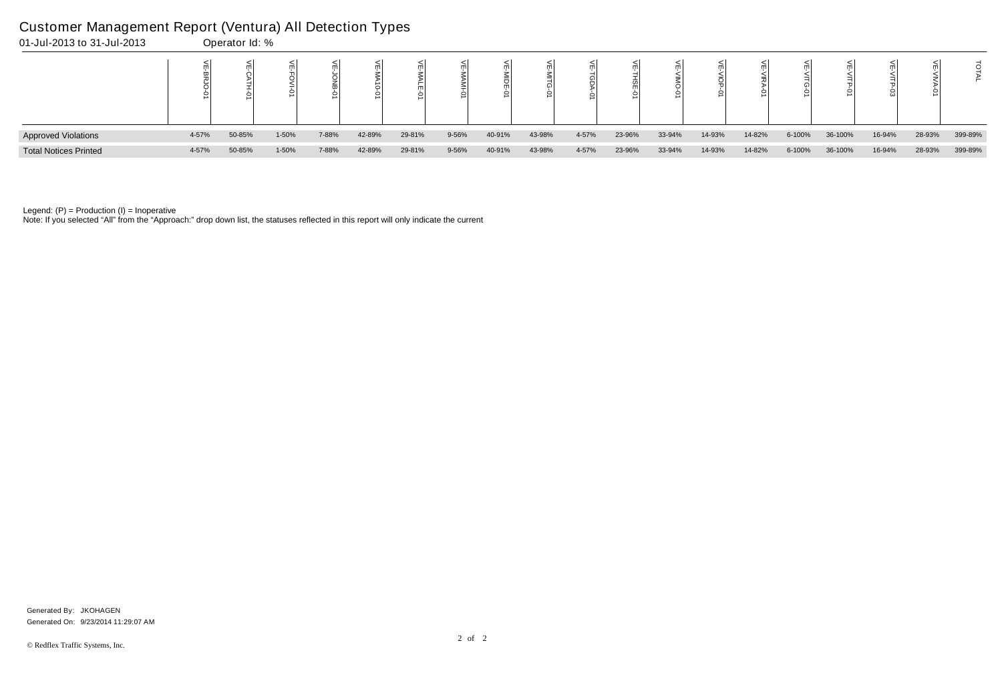| 01-Jul-2013 to 31-Jul-2013   |       | Operator Id: % |       |       |        |        |       |        |        |       |        |        |        |        |        |         |        |        |         |
|------------------------------|-------|----------------|-------|-------|--------|--------|-------|--------|--------|-------|--------|--------|--------|--------|--------|---------|--------|--------|---------|
|                              |       |                |       |       |        |        |       |        |        |       |        |        |        |        |        |         |        |        |         |
| <b>Approved Violations</b>   | 4-57% | 50-85%         | 1-50% | 7-88% | 42-89% | 29-81% | 9-56% | 40-91% | 43-98% | 4-57% | 23-96% | 33-94% | 14-93% | 14-82% | 6-100% | 36-100% | 16-94% | 28-93% | 399-89% |
| <b>Total Notices Printed</b> | 4-57% | 50-85%         | 1-50% | 7-88% | 42-89% | 29-81% | 9-56% | 40-91% | 43-98% | 4-57% | 23-96% | 33-94% | 14-93% | 14-82% | 6-100% | 36-100% | 16-94% | 28-93% | 399-89% |

Note: If you selected "All" from the "Approach:" drop down list, the statuses reflected in this report will only indicate the current

# Customer Management Report (Ventura) All Detection Types

Generated On: 9/23/2014 11:29:07 AM Generated By: JKOHAGEN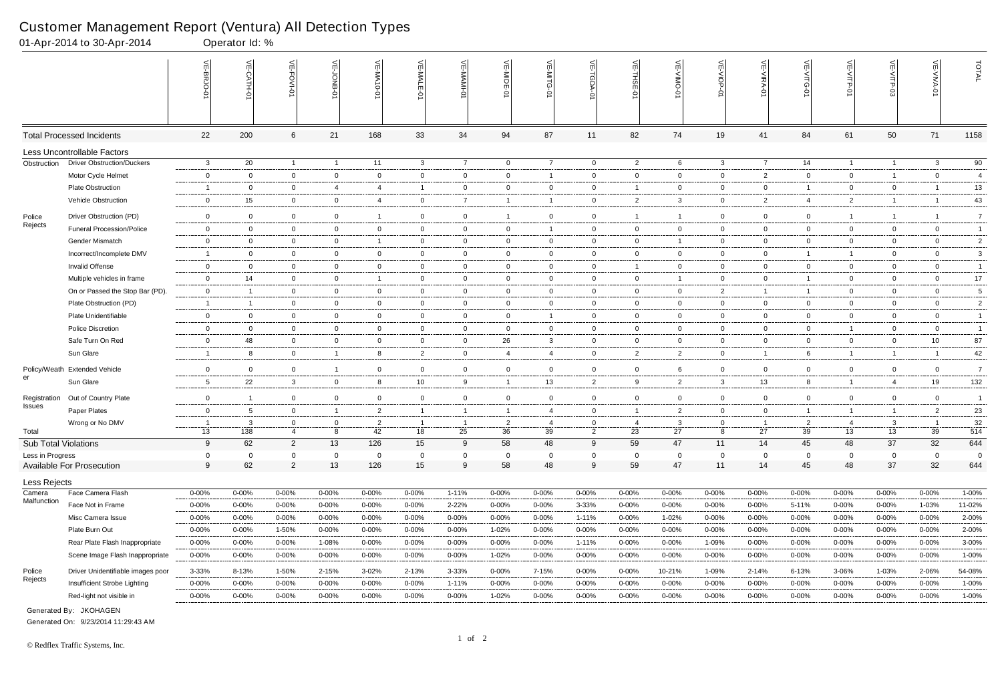|                             | 01-Apr-2014 to 30-Apr-2014        |                 | Operator Id: % |                |                  |                         |                 |                |                          |                |                |                |                |                |                |                    |                |                          |                |                |
|-----------------------------|-----------------------------------|-----------------|----------------|----------------|------------------|-------------------------|-----------------|----------------|--------------------------|----------------|----------------|----------------|----------------|----------------|----------------|--------------------|----------------|--------------------------|----------------|----------------|
|                             |                                   |                 | VE-CATH-0      | VE-FOVI-01     | 늦<br><b>SNOL</b> | VE-MA10-01              | VE-MALE<br>ò    | 늦              | VE-MIDE-01               | $\leq$         | LGDA-0         | 븻<br>ş         | ے              | VE-VIOP<br>Q   | VE-VIRA-0      | 늰<br>$\frac{1}{5}$ | VE-VITP-01     |                          | VE-VIVA-0      | TOTAL          |
|                             | <b>Total Processed Incidents</b>  | 22              | 200            | 6              | 21               | 168                     | 33              | 34             | 94                       | 87             | 11             | 82             | 74             | 19             | 41             | 84                 | 61             | 50                       | 71             | 1158           |
|                             | Less Uncontrollable Factors       |                 |                |                |                  |                         |                 |                |                          |                |                |                |                |                |                |                    |                |                          |                |                |
| Obstruction                 | <b>Driver Obstruction/Duckers</b> | $\mathbf{3}$    | 20             | $\overline{1}$ | $\overline{1}$   | 11                      | $\mathbf{3}$    | $\overline{7}$ | $\overline{0}$           | $\overline{7}$ | $\overline{0}$ | $\overline{2}$ | 6              | $\mathbf{3}$   | $\overline{7}$ | 14                 | $\overline{1}$ | $\overline{1}$           | $\mathbf{3}$   | 90             |
|                             | Motor Cycle Helmet                | $\mathbf 0$     | $\overline{0}$ | $\mathbf 0$    | $\mathbf 0$      | $\overline{0}$          | $\overline{0}$  | $\overline{0}$ | $\overline{0}$           | -1             | $\mathbf 0$    | $\mathbf 0$    | $\mathbf 0$    | $\overline{0}$ | $\overline{2}$ | $\overline{0}$     | $\overline{0}$ | $\overline{\phantom{0}}$ | $\mathbf{0}$   | $\overline{4}$ |
|                             | <b>Plate Obstruction</b>          | -1              | 0              | $\mathbf 0$    | $\overline{4}$   | 4                       | $\mathbf{1}$    | $\overline{0}$ | 0                        | $\mathbf 0$    | $\overline{0}$ | -1             | 0              | $\overline{0}$ | $\mathbf 0$    |                    | $\overline{0}$ | $\mathbf{0}$             |                | 13             |
|                             | Vehicle Obstruction               | $\mathbf 0$     | 15             | $\overline{0}$ | $\overline{0}$   | $\overline{4}$          | $\overline{0}$  | $\overline{7}$ | $\overline{\mathbf{1}}$  | $\overline{1}$ | $\overline{0}$ | $\overline{2}$ | 3              | $\overline{0}$ | $\overline{2}$ | 4                  | $\overline{2}$ | $\overline{\mathbf{1}}$  | -1             | 43             |
| Police                      | Driver Obstruction (PD)           | $\mathbf 0$     | $\overline{0}$ | $\mathbf 0$    | $\overline{0}$   | $\overline{\mathbf{1}}$ | $\overline{0}$  | $\overline{0}$ | $\overline{1}$           | $\overline{0}$ | $\overline{0}$ | $\overline{1}$ |                | $\overline{0}$ | $\Omega$       | $\overline{0}$     | $\overline{1}$ | $\overline{\mathbf{1}}$  |                | $\overline{7}$ |
| Rejects                     | <b>Funeral Procession/Police</b>  | $\mathbf 0$     | $\overline{0}$ | $\overline{0}$ | $\mathbf{0}$     | $\overline{0}$          | $\overline{0}$  | $\mathbf 0$    | $\overline{0}$           | $\overline{1}$ | $\overline{0}$ | $\mathbf 0$    | 0              | $\overline{0}$ | $\overline{0}$ | $\overline{0}$     | $\overline{0}$ | $\mathbf 0$              | $\overline{0}$ | $\overline{1}$ |
|                             | <b>Gender Mismatch</b>            | $\mathbf{0}$    | $\Omega$       | $\overline{0}$ | $\overline{0}$   | -1                      | $\mathbf 0$     | $\overline{0}$ | $\mathbf 0$              | $\mathbf 0$    | $\overline{0}$ | $\mathbf 0$    |                | $\overline{0}$ | $\Omega$       | $\overline{0}$     | $\overline{0}$ | 0                        | $\mathbf{0}$   | $\overline{2}$ |
|                             | Incorrect/Incomplete DMV          | -1              | $\mathbf 0$    | $\overline{0}$ | $\overline{0}$   | $\overline{0}$          | $\overline{0}$  | $\overline{0}$ | $\overline{0}$           | $\overline{0}$ | $\overline{0}$ | $\mathbf 0$    | 0              | $\overline{0}$ | $\overline{0}$ |                    | $\overline{1}$ | $\mathbf{0}$             | $\mathbf{0}$   | $\mathbf{3}$   |
|                             | <b>Invalid Offense</b>            | $\mathbf 0$     | $\overline{0}$ | $\mathbf 0$    | $\overline{0}$   | $\overline{0}$          | $\overline{0}$  | $\overline{0}$ | $\overline{0}$           | $\overline{0}$ | $\mathbf 0$    | $\overline{1}$ | 0              | $\overline{0}$ | $\mathbf 0$    | $\overline{0}$     | $\overline{0}$ | $\mathbf 0$              | $\mathbf 0$    | $\overline{1}$ |
|                             | Multiple vehicles in frame        | $\mathbf 0$     | 14             | $\overline{0}$ | $\overline{0}$   | $\overline{\mathbf{1}}$ | $\overline{0}$  | $\mathbf 0$    | $\mathbf 0$              | $\mathbf 0$    | $\mathbf 0$    | $\mathbf 0$    |                | $\overline{0}$ | $\mathbf 0$    |                    | $\mathbf{0}$   | 0                        | $\mathbf{0}$   | $17$           |
|                             | On or Passed the Stop Bar (PD).   | $\overline{0}$  | $\overline{1}$ | $\overline{0}$ | $\overline{0}$   | $\overline{0}$          | $\overline{0}$  | $\overline{0}$ | $\overline{0}$           | $\overline{0}$ | $\overline{0}$ | $\mathbf 0$    | $\mathbf 0$    | $\overline{2}$ | $\overline{1}$ |                    | $\overline{0}$ | $\mathbf 0$              | $\overline{0}$ | 5              |
|                             | Plate Obstruction (PD)            | $\overline{1}$  | $\overline{1}$ | $\mathbf 0$    | $\overline{0}$   | $\overline{0}$          | $\mathbf 0$     | $\overline{0}$ | $\overline{0}$           | $\overline{0}$ | $\mathbf 0$    | $\mathbf 0$    | $\mathbf 0$    | $\overline{0}$ | $\mathbf 0$    | $\overline{0}$     | $\overline{0}$ | $\mathbf 0$              | $\mathbf{0}$   | $\overline{c}$ |
|                             | Plate Unidentifiable              | $\mathbf 0$     | $\overline{0}$ | $\overline{0}$ | $\overline{0}$   | $\mathbf 0$             | $\mathbf 0$     | $\overline{0}$ | $\overline{0}$           | -1             | $\overline{0}$ | $\mathbf 0$    | 0              | $\overline{0}$ | $\overline{0}$ | $\overline{0}$     | $\overline{0}$ | $\mathbf 0$              | $\mathbf{0}$   | $\overline{1}$ |
|                             | <b>Police Discretion</b>          | $\mathbf 0$     | $\overline{0}$ | $\overline{0}$ | $\mathbf{0}$     | $\overline{0}$          | $\overline{0}$  | $\mathbf 0$    | $\overline{0}$           | $\overline{0}$ | $\overline{0}$ | $\mathbf 0$    | 0              | $\overline{0}$ | $\mathbf 0$    | $\overline{0}$     | $\overline{1}$ | $\mathbf 0$              | $\overline{0}$ | $\overline{1}$ |
|                             | Safe Turn On Red                  | $\mathbf 0$     | 48             | $\overline{0}$ | $\mathbf 0$      | $\overline{0}$          | $\overline{0}$  | $\mathbf 0$    | 26                       | $\mathbf{3}$   | $\mathbf 0$    | $\overline{0}$ | 0              | $\overline{0}$ | $\mathbf 0$    | $\overline{0}$     | $\mathbf{0}$   | $\mathbf{0}$             | 10             | 87             |
|                             | Sun Glare                         | -1              | 8              | $\overline{0}$ | $\overline{1}$   | 8                       | $\overline{2}$  | $\overline{0}$ | $\overline{4}$           | $\overline{4}$ | $\overline{0}$ | $\overline{2}$ | $\overline{2}$ | $\overline{0}$ | $\overline{1}$ | 6                  | $\overline{1}$ | -1                       | $\overline{1}$ | 42             |
|                             | Policy/Weath Extended Vehicle     | $\mathbf 0$     | $\overline{0}$ | $\overline{0}$ | $\overline{1}$   | $\overline{0}$          | $\overline{0}$  | $\overline{0}$ | $\mathbf 0$              | $\overline{0}$ | $\mathbf 0$    | $\mathbf 0$    | 6              | $\overline{0}$ | $\overline{0}$ | $\overline{0}$     | $\overline{0}$ | $\mathbf 0$              | $\overline{0}$ | $\overline{7}$ |
| er                          | Sun Glare                         | $5\overline{)}$ | 22             | $\mathbf{3}$   | $\overline{0}$   | 8                       | 10 <sup>°</sup> | 9              | $\overline{\phantom{0}}$ | 13             | $\overline{2}$ | 9              | $\overline{2}$ | $\mathbf{3}$   | 13             | 8                  | $\overline{1}$ | $\overline{4}$           | 19             | 132            |
| Registration                | Out of Country Plate              | $\mathbf 0$     | $\overline{1}$ | $\overline{0}$ | $\overline{0}$   | $\overline{0}$          | $\overline{0}$  | $\overline{0}$ | $\mathbf 0$              | $\overline{0}$ | $\overline{0}$ | $\mathbf 0$    | 0              | $\overline{0}$ | $\overline{0}$ | $\overline{0}$     | $\overline{0}$ | $\mathbf 0$              | $\overline{0}$ | $\overline{1}$ |
| Issues                      | Paper Plates                      | $\mathbf 0$     | -5             | $\mathbf 0$    | $\overline{1}$   | $\overline{2}$          | $\overline{1}$  | $\overline{1}$ | -1                       | 4              | $\mathbf 0$    | $\overline{1}$ | $\overline{2}$ | $\overline{0}$ | $\Omega$       |                    | $\overline{1}$ | $\overline{\mathbf{1}}$  | 2              | 23             |
|                             | Wrong or No DMV                   | - 1             | 3              | 0              | $\mathbf{0}$     | 2                       |                 |                | -2                       | 4              | $\mathbf{0}$   | -4             | 3              | $\mathbf{0}$   |                | 2                  | 4              | 3                        |                | 32             |
| Total                       |                                   | 13              | 138            | $\overline{4}$ | 8                | 42                      | 18              | 25             | 36                       | 39             | $\overline{2}$ | 23             | 27             | 8              | 27             | 39                 | 13             | 13                       | 39             | 514            |
| <b>Sub Total Violations</b> |                                   | 9               | 62             | $\overline{2}$ | 13               | 126                     | 15              | 9              | 58                       | 48             | 9              | 59             | 47             | 11             | 14             | 45                 | 48             | 37                       | 32             | 644            |
| Less in Progress            |                                   | 0               | $\overline{0}$ | $\mathbf 0$    | $\overline{0}$   | $\overline{0}$          | 0               | $\overline{0}$ | $\overline{0}$           | $\mathbf 0$    | $\mathbf 0$    | $\mathbf 0$    | $\mathbf 0$    | $\mathbf 0$    | $\overline{0}$ | $\mathbf{0}$       | $\overline{0}$ | $\mathbf{0}$             | $\mathbf{0}$   | $\overline{0}$ |
|                             | Available For Prosecution         | 9               | 62             | $\overline{2}$ | 13               | 126                     | 15 <sub>1</sub> | 9              | 58                       | 48             | 9              | 59             | 47             | 11             | 14             | 45                 | 48             | 37                       | 32             | 644            |
| Less Rejects                |                                   |                 |                |                |                  |                         |                 |                |                          |                |                |                |                |                |                |                    |                |                          |                |                |
| Camera                      | Face Camera Flash                 | $0 - 00\%$      | $0 - 00%$      | $0 - 00%$      | $0 - 00%$        | 0-00%                   | $0 - 00\%$      | $1 - 11%$      | 0-00%                    | $0 - 00\%$     | $0 - 00\%$     | $0 - 00%$      | $0 - 00%$      | 0-00%          | $0 - 00\%$     | $0 - 00%$          | $0 - 00%$      | 0-00%                    | $0 - 00%$      | 1-00%          |
| Malfunction                 | Face Not in Frame                 | $0 - 00%$       | $0 - 00\%$     | $0 - 00\%$     | $0 - 00\%$       | $0 - 00%$               | $0 - 00\%$      | 2-22%          | $0 - 00%$                | $0 - 00%$      | $3 - 33%$      | $0 - 00%$      | 0-00%          | $0 - 00\%$     | $0 - 00\%$     | 5-11%              | $0 - 00\%$     | 0-00%                    | 1-03%          | 11-02%         |
|                             | Misc Camera Issue                 | $0 - 00%$       | $0 - 00%$      | $0 - 00%$      | $0 - 00%$        | $0 - 00%$               | $0 - 00\%$      | $0 - 00%$      | $0 - 00%$                | $0 - 00%$      | $1 - 11%$      | $0 - 00%$      | 1-02%          | $0 - 00\%$     | $0 - 00\%$     | $0 - 00\%$         | $0 - 00%$      | $0 - 00%$                | $0 - 00%$      | 2-00%          |
|                             | Plate Burn Out                    | $0 - 00%$       | $0 - 00%$      | 1-50%          | $0 - 00\%$       | $0 - 00%$               | $0 - 00\%$      | 0-00%          | 1-02%                    | $0 - 00%$      | 0-00%          | $0 - 00%$      | $0 - 00%$      | 0-00%          | 0-00%          | $0 - 00\%$         | $0 - 00%$      | 0-00%                    | $0 - 00\%$     | 2-00%          |
|                             | Rear Plate Flash Inappropriate    | $0 - 00%$       | $0 - 00%$      | $0 - 00\%$     | 1-08%            | $0 - 00%$               | $0 - 00\%$      | $0 - 00%$      | 0-00%                    | $0 - 00%$      | $1 - 11%$      | $0 - 00%$      | $0 - 00%$      | 1-09%          | $0 - 00\%$     | $0 - 00%$          | $0 - 00%$      | $0 - 00%$                | $0 - 00%$      | $3 - 00\%$     |
|                             | Scene Image Flash Inappropriate   | $0 - 00%$       | $0 - 00\%$     | $0 - 00\%$     | $0 - 00\%$       | $0 - 00\%$              | $0 - 00\%$      | $0 - 00%$      | 1-02%                    | $0 - 00\%$     | $0 - 00\%$     | $0 - 00\%$     | $0 - 00%$      | $0 - 00\%$     | $0 - 00\%$     | $0 - 00%$          | $0 - 00\%$     | $0 - 00\%$               | $0 - 00\%$     | 1-00%          |
| Police                      | Driver Unidentifiable images poor | 3-33%           | 8-13%          | 1-50%          | 2-15%            | 3-02%                   | 2-13%           | 3-33%          | $0 - 00%$                | 7-15%          | $0 - 00\%$     | $0 - 00%$      | 10-21%         | 1-09%          | 2-14%          | $6 - 13%$          | 3-06%          | 1-03%                    | 2-06%          | 54-08%         |
| Rejects                     | Insufficient Strobe Lighting      | $0 - 00\%$      | $0 - 00\%$     | $0 - 00%$      | $0 - 00%$        | $0 - 00%$               | $0 - 00\%$      | $1 - 11%$      | $0 - 00%$                | $0 - 00%$      | $0 - 00\%$     | $0 - 00%$      | 0-00%          | $0 - 00\%$     | $0 - 00\%$     | $0 - 00%$          | $0 - 00%$      | 0-00%                    | $0 - 00%$      | 1-00%          |
|                             | Red-light not visible in          | $0 - 00%$       | $0 - 00\%$     | $0 - 00\%$     | $0 - 00\%$       | $0 - 00%$               | $0 - 00\%$      | $0 - 00%$      | 1-02%                    | $0 - 00\%$     | $0 - 00\%$     | $0 - 00%$      | $0 - 00%$      | $0 - 00\%$     | $0 - 00\%$     | 0-00%              | $0 - 00\%$     | 0-00%                    | $0 - 00\%$     | 1-00%          |

Generated On: 9/23/2014 11:29:43 AM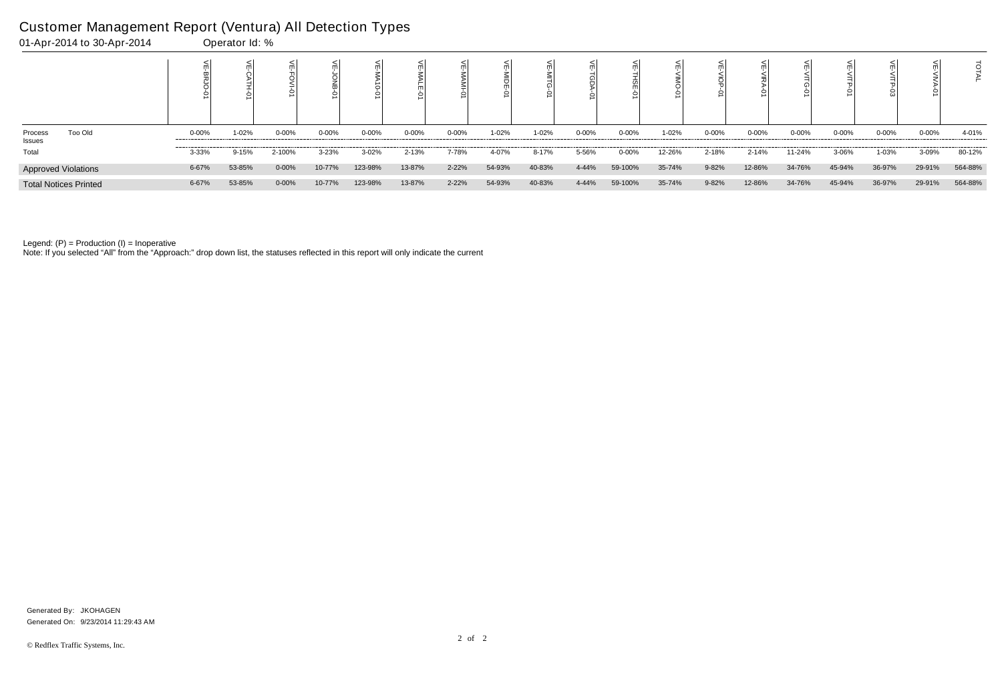| Too Old<br>Process<br>Issues | $0 - 00\%$ | 1-02%     | $0 - 00%$ | $0 - 00\%$ | $0 - 00%$ | $0 - 00%$ | 0-00% | 1-02%  | 1-02%  | $0 - 00%$ | $0 - 00%$ | 1-02%  | $0 - 00%$ | $0 - 00%$ | $0 - 00%$ | $0 - 00\%$ | $0 - 00%$ | $0 - 00\%$ | 4-01%   |
|------------------------------|------------|-----------|-----------|------------|-----------|-----------|-------|--------|--------|-----------|-----------|--------|-----------|-----------|-----------|------------|-----------|------------|---------|
| Total                        | 3-33%      | $9 - 15%$ | 2-100%    | $3 - 23%$  | $3 - 02%$ | 2-13%     | 7-78% | 4-07%  | 8-17%  | 5-56%     | $0 - 00%$ | 12-26% | 2-18%     | $2 - 14%$ | 11-24%    | 3-06%      | 1-03%     | 3-09%      | 80-12%  |
| Approved Violations          | 6-67%      | 53-85%    | $0 - 00%$ | 10-77%     | 123-98%   | 13-87%    | 2-22% | 54-93% | 40-83% | 4-44%     | 59-100%   | 35-74% | 9-82%     | 12-86%    | 34-76%    | 45-94%     | 36-97%    | 29-91%     | 564-88% |
| <b>Total Notices Printed</b> | 6-67%      | 53-85%    | $0 - 00%$ | 10-77%     | 123-98%   | 13-87%    | 2-22% | 54-93% | 40-83% | 4-44%     | 59-100%   | 35-74% | 9-82%     | 12-86%    | 34-76%    | 45-94%     | 36-97%    | 29-91%     | 564-88% |

Note: If you selected "All" from the "Approach:" drop down list, the statuses reflected in this report will only indicate the current

# Customer Management Report (Ventura) All Detection Types

01-Apr-2014 to 30-Apr-2014 Operator Id: %

Generated On: 9/23/2014 11:29:43 AM Generated By: JKOHAGEN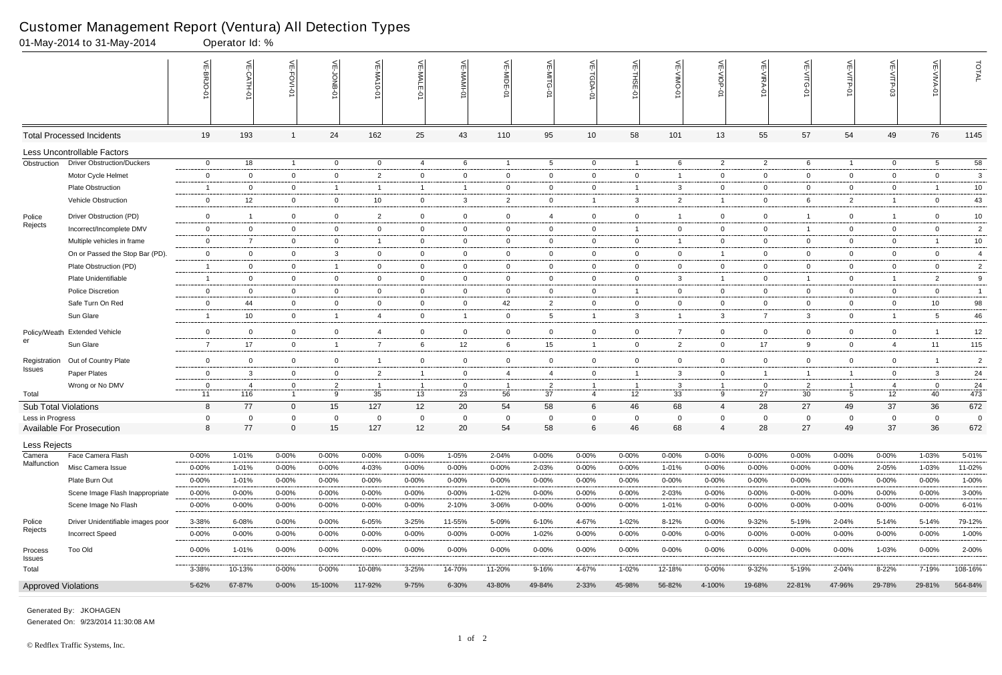|                               | 01-May-2014 to 31-May-2014         |                      | Operator Id: %            |                                |                     |                         |                |                      |                |                      |                                    |                |                |                   |                      |                      |                       |                |                   |                 |
|-------------------------------|------------------------------------|----------------------|---------------------------|--------------------------------|---------------------|-------------------------|----------------|----------------------|----------------|----------------------|------------------------------------|----------------|----------------|-------------------|----------------------|----------------------|-----------------------|----------------|-------------------|-----------------|
|                               |                                    |                      | $\widetilde{E}$<br>CATH-0 | VE-FOVI-01                     | 늦                   | VE-MA<br>$10 - 01$      | VE-MALE        |                      | VE-MIDE-01     |                      | $\widetilde{\mathbb{F}}$<br>TGDA-0 | VE-THSE-01     | VE-VIMO-0      | VE-VIOP-<br>ė     | VE-VIRA-01           | VE-VITG-01           | VE-VITP-01            | VE-VITP-03     | VE-VIVA-01        | TOTAL           |
|                               | <b>Total Processed Incidents</b>   | 19                   | 193                       |                                | 24                  | 162                     | 25             | 43                   | 110            | 95                   | 10 <sup>1</sup>                    | 58             | 101            | 13                | 55                   | 57                   | 54                    | 49             | 76                | 1145            |
|                               | <b>Less Uncontrollable Factors</b> |                      |                           |                                |                     |                         |                |                      |                |                      |                                    |                |                |                   |                      |                      |                       |                |                   |                 |
| Obstruction                   | <b>Driver Obstruction/Duckers</b>  | $\overline{0}$       | 18                        | $\overline{1}$                 | $\overline{0}$      | $\overline{0}$          | $\overline{4}$ | 6                    | $\overline{1}$ | $5\overline{)}$      | $\overline{0}$                     | $\overline{1}$ | 6              | $\overline{2}$    | $\overline{2}$       | 6                    | $\mathbf{1}$          | $\overline{0}$ | 5                 | $\overline{58}$ |
|                               | Motor Cycle Helmet                 | $\mathbf 0$          | $\overline{0}$            | $\mathbf 0$                    | $\mathbf 0$         | $\overline{2}$          | $\overline{0}$ | $\overline{0}$       | $\mathbf 0$    | $\mathbf 0$          | $\mathbf 0$                        | $\overline{0}$ |                | $\overline{0}$    | $\overline{0}$       | $\overline{0}$       | $\mathbf 0$           | $\overline{0}$ | $\mathbf 0$       | $\mathbf{3}$    |
|                               | <b>Plate Obstruction</b>           | -1                   | $\Omega$                  | $\overline{0}$                 | $\overline{1}$      | - 1                     | $\mathbf{1}$   | $\overline{1}$       | $\overline{0}$ | $\mathbf{0}$         | $\mathbf{0}$                       |                | 3              | $\overline{0}$    | $\mathbf 0$          | $\overline{0}$       | $\overline{0}$        | $\overline{0}$ |                   | 10              |
|                               | Vehicle Obstruction                | $\overline{0}$       | 12                        | $\overline{0}$                 | $\mathbf 0$         | 10                      | $\overline{0}$ | $\mathbf{3}$         | $\overline{2}$ | $\overline{0}$       | $\overline{1}$                     | $\mathbf{3}$   | $\overline{2}$ | $\overline{1}$    | $\mathbf 0$          | 6                    | $\overline{2}$        | $\overline{1}$ | $\mathbf 0$       | 43              |
| Police                        | Driver Obstruction (PD)            | $\overline{0}$       | $\overline{1}$            | $\mathbf 0$                    | $\mathbf 0$         | $\overline{2}$          | $\mathbf 0$    | $\overline{0}$       | $\overline{0}$ | $\overline{4}$       | $\mathbf 0$                        | $\overline{0}$ |                | $\overline{0}$    | $\mathbf 0$          |                      | $\mathbf 0$           | $\overline{1}$ | $\mathbf 0$       | $10$            |
| Rejects                       | Incorrect/Incomplete DMV           | $\overline{0}$       | $\overline{0}$            | $\overline{0}$                 | $\overline{0}$      | $\mathbf 0$             | $\mathbf 0$    | $\overline{0}$       | $\overline{0}$ | $\overline{0}$       | $\mathbf{0}$                       | $\overline{1}$ | $\mathbf{0}$   | $\overline{0}$    | $\mathbf 0$          | -1                   | $\overline{0}$        | $\mathbf 0$    | $\overline{0}$    | $\overline{2}$  |
|                               | Multiple vehicles in frame         | $\mathbf 0$          | $\overline{7}$            | $\overline{0}$                 | $\mathbf 0$         | $\overline{\mathbf{1}}$ | $\overline{0}$ | $\overline{0}$       | $\mathbf 0$    | $\overline{0}$       | $\mathbf 0$                        | $\mathbf 0$    |                | $\mathbf 0$       | $\overline{0}$       | $\mathbf 0$          | $\mathbf 0$           | $\mathbf 0$    |                   | $10$            |
|                               | On or Passed the Stop Bar (PD).    | $\mathbf 0$          | $\overline{0}$            | $\overline{0}$                 | $\mathbf{3}$        | $\mathbf{0}$            | $\overline{0}$ | $\overline{0}$       | $\overline{0}$ | $\overline{0}$       | $\overline{0}$                     | $\overline{0}$ | $\mathbf{0}$   | $\overline{1}$    | $\overline{0}$       | $\overline{0}$       | $\overline{0}$        | $\mathbf{0}$   | $\overline{0}$    | $\overline{4}$  |
|                               | Plate Obstruction (PD)             | -1                   | $\overline{0}$            | $\overline{0}$                 | $\overline{1}$      | $\mathbf{0}$            | $\overline{0}$ | $\overline{0}$       | $\overline{0}$ | $\overline{0}$       | $\mathbf{0}$                       | $\overline{0}$ | $\overline{0}$ | $\overline{0}$    | $\overline{0}$       | $\overline{0}$       | $\overline{0}$        | $\mathbf{0}$   | $\overline{0}$    | $\overline{2}$  |
|                               | Plate Unidentifiable               | $\overline{1}$       | $\Omega$                  | $\mathbf 0$                    | $\mathbf 0$         | $\mathbf{0}$            | $\mathbf 0$    | $\overline{0}$       | $\mathbf 0$    | $\overline{0}$       | $\overline{0}$                     | $\overline{0}$ | 3              | $\mathbf{1}$      | $\mathbf 0$          |                      | $\overline{0}$        | $\overline{1}$ | $\overline{2}$    | 9               |
|                               | <b>Police Discretion</b>           | $\overline{0}$       | $\overline{0}$            | $\overline{0}$                 | $\overline{0}$      | $\overline{0}$          | $\overline{0}$ | $\overline{0}$       | $\overline{0}$ | $\overline{0}$       | $\overline{0}$                     | $\overline{1}$ | $\mathbf{0}$   | $\overline{0}$    | $\overline{0}$       | $\overline{0}$       | $\overline{0}$        | $\overline{0}$ | $\overline{0}$    | $\overline{1}$  |
|                               | Safe Turn On Red                   | $\overline{0}$       | 44                        | $\overline{0}$                 | $\overline{0}$      | $\mathbf{0}$            | $\overline{0}$ | $\overline{0}$       | 42             | $\overline{2}$       | $\overline{0}$                     | $\mathbf 0$    | $\mathbf{0}$   | $\overline{0}$    | $\overline{0}$       | $\overline{0}$       | $\overline{0}$        | $\overline{0}$ | 10                | 98              |
|                               | Sun Glare                          | $\overline{1}$       | 10                        | $\mathbf 0$                    | $\overline{1}$      | 4                       | $\overline{0}$ | $\overline{1}$       | $\mathbf 0$    | $5^{\circ}$          | $\overline{1}$                     | $\mathbf{3}$   |                | $\mathbf{3}$      | $\overline{7}$       | $\mathbf{3}$         | $\overline{0}$        | $\overline{1}$ | 5                 | 46              |
| Policy/Weath                  | <b>Extended Vehicle</b>            | $\mathbf 0$          | $\Omega$                  | $\mathbf 0$                    | $\mathbf 0$         | 4                       | $\overline{0}$ | $\overline{0}$       | $\mathbf 0$    | $\overline{0}$       | $\mathbf 0$                        | $\mathbf 0$    | $\overline{7}$ | $\overline{0}$    | $\overline{0}$       | $\mathbf 0$          | $\overline{0}$        | 0              |                   |                 |
| er                            | Sun Glare                          | $\overline{7}$       | 17                        | $\overline{0}$                 | $\overline{1}$      | 7                       | 6              | 12                   | 6              | 15 <sub>1</sub>      | $\overline{1}$                     | $\overline{0}$ | $\overline{2}$ | $\overline{0}$    | 17                   | 9                    | $\mathbf 0$           | $\overline{4}$ | 11                | 12<br>115       |
|                               |                                    |                      |                           |                                |                     |                         |                |                      |                |                      |                                    |                |                |                   |                      |                      |                       |                |                   |                 |
| Registration<br><b>Issues</b> | Out of Country Plate               | $\mathbf 0$          | $\mathbf 0$               | $\overline{0}$                 | $\mathbf 0$         | -1                      | $\mathbf 0$    | $\overline{0}$       | $\mathbf 0$    | 0                    | $\mathbf 0$                        | $\overline{0}$ | $\mathbf{0}$   | $\mathbf 0$       | $\overline{0}$       | $\mathbf{0}$         | $\mathbf 0$           | $\mathbf{0}$   |                   | $\overline{2}$  |
|                               | Paper Plates                       | $\mathbf 0$          | 3                         | $\overline{0}$                 | $\mathbf 0$         | $\overline{2}$          | $\overline{1}$ | $\overline{0}$       | $\overline{4}$ | $\overline{4}$       | $\mathbf 0$                        |                | 3              | $\overline{0}$    | $\overline{1}$       | $\overline{1}$       | $\mathbf{1}$          | 0              | $\mathbf{3}$      | 24              |
| Total                         | Wrong or No DMV                    | $\overline{0}$<br>11 | 4<br>116                  | $\mathbf{0}$<br>$\overline{1}$ | $\overline{2}$<br>9 | - 1<br>35               | 13             | $\overline{0}$<br>23 | 56             | $\overline{2}$<br>37 | $\overline{4}$                     | 12             | 3<br>33        | $\mathbf{1}$<br>9 | $\overline{0}$<br>27 | $\overline{2}$<br>30 | -1<br>$5\overline{)}$ | -4<br>12       | $\mathbf 0$<br>40 | 24<br>473       |
| <b>Sub Total Violations</b>   |                                    | 8                    | 77                        | $\mathbf 0$                    | 15                  | 127                     | 12             | 20                   | 54             | 58                   | 6                                  | 46             | 68             | $\overline{4}$    | 28                   | 27                   | 49                    | 37             | 36                | 672             |
| Less in Progress              |                                    | $\overline{0}$       | $\Omega$                  | $\Omega$                       | $\Omega$            | $\Omega$                | $\Omega$       | $\mathbf 0$          | $\Omega$       | $\Omega$             | $\Omega$                           | $\Omega$       | $\Omega$       | $\Omega$          | $\Omega$             | $\Omega$             | $\overline{0}$        | $\Omega$       | $\Omega$          | $\Omega$        |
|                               | Available For Prosecution          | 8                    | 77                        | $\Omega$                       | 15                  | 127                     | 12             | 20                   | 54             | 58                   |                                    | 46             | 68             |                   | 28                   | 27                   | 49                    | 37             | 36                | 672             |
| Less Rejects                  |                                    |                      |                           |                                |                     |                         |                |                      |                |                      |                                    |                |                |                   |                      |                      |                       |                |                   |                 |
| Camera                        | Face Camera Flash                  | $0 - 00%$            | 1-01%                     | $0 - 00%$                      | $0 - 00%$           | $0 - 00%$               | $0 - 00\%$     | $1 - 05%$            | 2-04%          | $0 - 00\%$           | $0 - 00%$                          | $0 - 00%$      | $0 - 00%$      | $0 - 00%$         | 0-00%                | $0 - 00%$            | $0 - 00%$             | 0-00%          | 1-03%             | 5-01%           |
| Malfunction                   | Misc Camera Issue                  | $0 - 00%$            | 1-01%                     | $0 - 00\%$                     | 0-00%               | 4-03%                   | $0 - 00\%$     | $0 - 00%$            | 0-00%          | 2-03%                | $0 - 00\%$                         | $0 - 00%$      | 1-01%          | $0 - 00%$         | 0-00%                | $0 - 00%$            | $0 - 00%$             | 2-05%          | 1-03%             | 11-02%          |
|                               | Plate Burn Out                     | $0 - 00%$            | 1-01%                     | $0 - 00%$                      | $0 - 00\%$          | $0 - 00%$               | $0 - 00\%$     | 0-00%                | $0 - 00%$      | $0 - 00\%$           | 0-00%                              | $0 - 00%$      | $0 - 00%$      | $0 - 00\%$        | $0 - 00\%$           | $0 - 00%$            | $0 - 00%$             | $0 - 00\%$     | $0 - 00\%$        | 1-00%           |
|                               | Scene Image Flash Inappropriate    | $0 - 00%$            | $0 - 00%$                 | $0 - 00\%$                     | 0-00%               | $0 - 00\%$              | $0 - 00\%$     | $0 - 00%$            | 1-02%          | $0 - 00\%$           | $0 - 00\%$                         | $0 - 00%$      | 2-03%          | $0 - 00\%$        | $0 - 00\%$           | $0 - 00%$            | $0 - 00%$             | $0 - 00%$      | $0 - 00\%$        | $3 - 00\%$      |
|                               | Scene Image No Flash               | $0 - 00%$            | $0 - 00%$                 | $0 - 00\%$                     | $0 - 00\%$          | $0 - 00%$               | $0 - 00\%$     | 2-10%                | 3-06%          | $0 - 00\%$           | $0 - 00\%$                         | $0 - 00\%$     | 1-01%          | $0 - 00\%$        | $0 - 00\%$           | $0 - 00%$            | $0 - 00%$             | $0 - 00%$      | $0 - 00\%$        | 6-01%           |
| Police                        | Driver Unidentifiable images poor  | 3-38%                | 6-08%                     | $0 - 00\%$                     | $0 - 00%$           | 6-05%                   | $3 - 25%$      | 11-55%               | 5-09%          | 6-10%                | 4-67%                              | 1-02%          | 8-12%          | $0 - 00\%$        | $9 - 32%$            | 5-19%                | 2-04%                 | 5-14%          | 5-14%             | 79-12%          |
| Rejects                       | <b>Incorrect Speed</b>             | $0 - 00\%$           | $0 - 00%$                 | $0 - 00\%$                     | $0 - 00%$           | $0 - 00\%$              | $0 - 00\%$     | $0 - 00%$            | $0 - 00%$      | 1-02%                | $0 - 00\%$                         | $0 - 00%$      | $0 - 00%$      | $0 - 00\%$        | 0-00%                | $0 - 00%$            | $0 - 00%$             | $0 - 00\%$     | $0 - 00\%$        | 1-00%           |
|                               |                                    |                      |                           |                                |                     |                         |                |                      |                |                      |                                    |                |                |                   |                      |                      |                       |                |                   |                 |
| Process<br>Issues             | Too Old                            | $0 - 00\%$           | 1-01%                     | $0 - 00\%$                     | $0 - 00\%$          | $0 - 00%$               | $0 - 00\%$     | $0 - 00\%$           | $0 - 00%$      | $0 - 00\%$           | $0 - 00\%$                         | $0 - 00%$      | $0 - 00%$      | $0 - 00\%$        | 0-00%                | $0 - 00\%$           | $0 - 00%$             | 1-03%          | $0 - 00\%$        | 2-00%           |
| Total                         |                                    | 3-38%                | 10-13%                    | $0 - 00\%$                     | $0 - 00\%$          | 10-08%                  | $3 - 25%$      | 14-70%               | 11-20%         | 9-16%                | 4-67%                              | 1-02%          | 12-18%         | $0 - 00\%$        | 9-32%                | 5-19%                | 2-04%                 | 8-22%          | 7-19%             | 108-16%         |
| <b>Approved Violations</b>    |                                    | 5-62%                | 67-87%                    | $0 - 00\%$                     | 15-100%             | 117-92%                 | 9-75%          | $6 - 30%$            | 43-80%         | 49-84%               | 2-33%                              | 45-98%         | 56-82%         | 4-100%            | 19-68%               | 22-81%               | 47-96%                | 29-78%         | 29-81%            | 564-84%         |

Generated On: 9/23/2014 11:30:08 AM Generated By: JKOHAGEN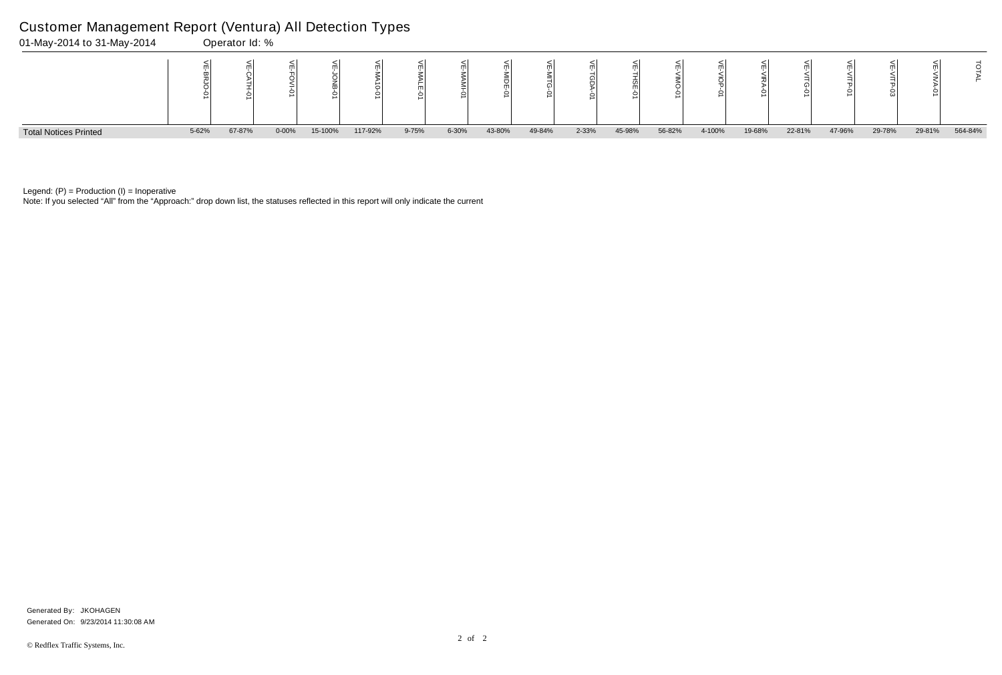Note: If you selected "All" from the "Approach:" drop down list, the statuses reflected in this report will only indicate the current



Legend:  $(P)$  = Production  $(I)$  = Inoperative

### Customer Management Report (Ventura) All Detection Types

|   | ₹<br>≤<br>TG-01 | ⋚<br>꼬<br>Ż | ≦<br>m<br>Α<br>ΕΡ<br>Š | т<br>≂ | Σ       |
|---|-----------------|-------------|------------------------|--------|---------|
| 6 | 22-81%          | 47-96%      | 29-78%                 | 29-81% | 564-84% |

Generated On: 9/23/2014 11:30:08 AM Generated By: JKOHAGEN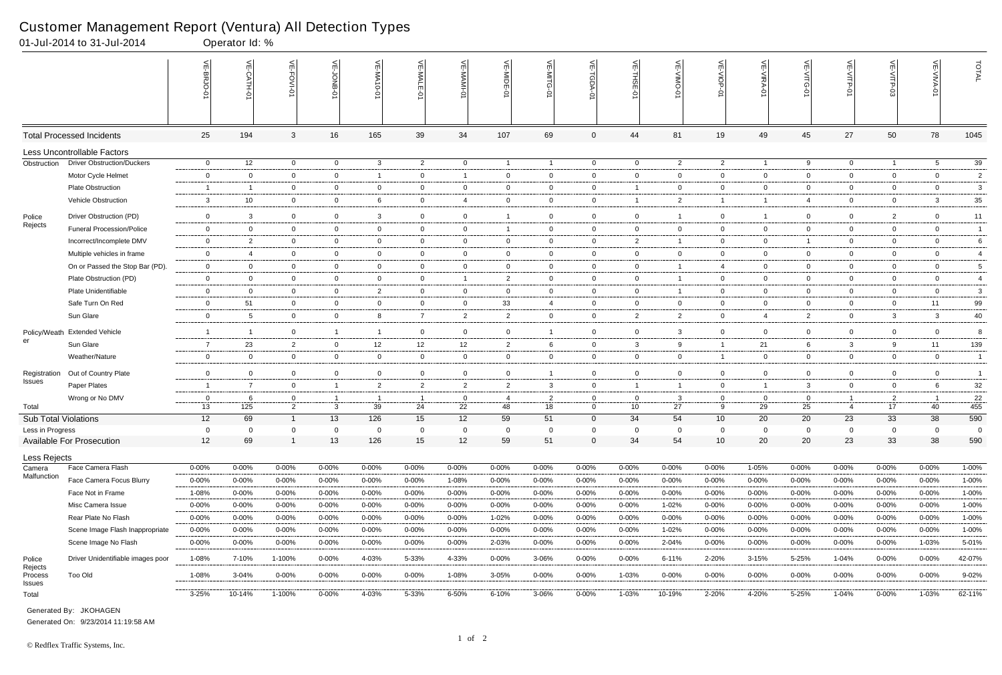|                                     | 01-Jul-2014 to 31-Jul-2014         |                      | Operator Id: % |                                  |                                |                |                    |                      |                |                      |                               |                         |                |                     |                      |                                                        |                                  |                      |                |                         |
|-------------------------------------|------------------------------------|----------------------|----------------|----------------------------------|--------------------------------|----------------|--------------------|----------------------|----------------|----------------------|-------------------------------|-------------------------|----------------|---------------------|----------------------|--------------------------------------------------------|----------------------------------|----------------------|----------------|-------------------------|
|                                     |                                    |                      | $\frac{1}{2}$  | 늰<br>FOVI-01                     | 늦                              | VE-MA10-01     | VE-MALE<br>ò       | ۴                    | VE-MIDE-01     | VE-MITG-0            | VE-TGDA-0                     | VE-THSE-01              | VE-VIMO-01     | VE-VIOP-01          | VE-VIRA-01           | $\stackrel{\textstyle<}{\scriptstyle\rm m}$<br>VITG-01 | VE-VITP-01                       | VE-VITP-03           | 늰              | TOTAL                   |
|                                     | <b>Total Processed Incidents</b>   | 25                   | 194            | $\mathbf{3}$                     | 16                             | 165            | 39                 | 34                   | 107            | 69                   | $\mathbf 0$                   | 44                      | 81             | 19                  | 49                   | 45                                                     | 27                               | 50                   | 78             | 1045                    |
|                                     | <b>Less Uncontrollable Factors</b> |                      |                |                                  |                                |                |                    |                      |                |                      |                               |                         |                |                     |                      |                                                        |                                  |                      |                |                         |
| Obstruction                         | <b>Driver Obstruction/Duckers</b>  | $\mathbf 0$          | 12             | $\overline{0}$                   | $\overline{0}$                 | $\mathbf{3}$   | $\overline{2}$     | $\overline{0}$       | $\overline{1}$ | $\overline{1}$       | $\overline{0}$                | $\overline{0}$          | $\overline{2}$ | $\overline{2}$      | $\overline{1}$       | 9                                                      | $\overline{0}$                   | $\overline{1}$       | 5 <sup>5</sup> | 39                      |
|                                     | Motor Cycle Helmet                 | $\mathbf 0$          | $\Omega$       | $\overline{0}$                   | $\mathbf 0$                    | -1             | $\mathbf{0}$       | $\overline{1}$       | $\mathbf{0}$   | $\overline{0}$       | $\mathbf 0$                   | $\overline{0}$          | $\mathbf{0}$   | $\overline{0}$      | $\mathbf 0$          | $\mathbf 0$                                            | $\overline{0}$                   | $\mathbf 0$          | $\mathbf 0$    | $\overline{\mathbf{c}}$ |
|                                     | <b>Plate Obstruction</b>           | -1                   | -1             | $\overline{0}$                   | $\overline{0}$                 | $\mathbf{0}$   | $\mathbf{0}$       | $\overline{0}$       | 0              | $\mathbf{0}$         | $\mathbf 0$                   | -1                      | $\mathbf 0$    | $\overline{0}$      | $\overline{0}$       | $\mathbf 0$                                            | $\overline{0}$                   | $\overline{0}$       | $\mathbf 0$    | 3                       |
|                                     | Vehicle Obstruction                | $\mathbf{3}$         | 10             | $\overline{0}$                   | $\mathbf 0$                    | 6              | $\mathbf{0}$       | $\overline{4}$       | $\mathbf 0$    | $\overline{0}$       | $\mathbf 0$                   | $\overline{\mathbf{1}}$ | $\overline{2}$ | $\overline{1}$      |                      | 4                                                      | $\overline{0}$                   | $\mathbf 0$          | 3              | 35                      |
| Police                              | Driver Obstruction (PD)            | $\overline{0}$       | 3              | $\mathbf 0$                      | $\mathbf 0$                    | 3              | $\mathbf 0$        | $\overline{0}$       |                | $\overline{0}$       | $\overline{0}$                | $\overline{0}$          | $\mathbf 1$    | $\overline{0}$      | $\overline{1}$       | $\mathbf 0$                                            | $\overline{0}$                   | $\overline{2}$       | $\mathbf 0$    | 11                      |
| Rejects                             | <b>Funeral Procession/Police</b>   | $\overline{0}$       | $\overline{0}$ | $\overline{0}$                   | $\overline{0}$                 | $\mathbf{0}$   | $\mathbf{0}$       | $\overline{0}$       | -1             | $\mathbf{0}$         | $\overline{0}$                | $\overline{0}$          | $\mathbf{0}$   | $\overline{0}$      | $\overline{0}$       | $\mathbf 0$                                            | $\overline{0}$                   | $\overline{0}$       | $\overline{0}$ | $\overline{1}$          |
|                                     | Incorrect/Incomplete DMV           | $\overline{0}$       | $\overline{2}$ | $\overline{0}$                   | $\mathbf 0$                    | 0              | $\mathbf{0}$       | $\overline{0}$       | $\mathbf 0$    | $\overline{0}$       | $\mathbf 0$                   | $\overline{2}$          |                | $\mathbf{0}$        | $\mathbf 0$          |                                                        | $\overline{0}$                   | $\mathbf 0$          | $\mathbf 0$    | 6                       |
|                                     | Multiple vehicles in frame         | $\overline{0}$       | $\overline{4}$ | $\overline{0}$                   | $\overline{0}$                 | $\overline{0}$ | $\mathbf 0$        | $\overline{0}$       | $\overline{0}$ | $\overline{0}$       | $\mathbf{0}$                  | $\overline{0}$          | $\overline{0}$ | $\overline{0}$      | $\overline{0}$       | $\overline{0}$                                         | $\overline{0}$                   | $\overline{0}$       | $\overline{0}$ | 4                       |
|                                     | On or Passed the Stop Bar (PD).    | $\mathbf 0$          | $\overline{0}$ | $\overline{0}$                   | $\overline{0}$                 | $\overline{0}$ | $\overline{0}$     | $\overline{0}$       | $\overline{0}$ | $\overline{0}$       | $\mathbf{0}$                  | $\overline{0}$          | $\mathbf{1}$   | $\overline{4}$      | $\overline{0}$       | $\overline{0}$                                         | $\overline{0}$                   | $\mathbf{0}$         | $\overline{0}$ | 5                       |
|                                     | Plate Obstruction (PD)             | $\mathbf 0$          | $\overline{0}$ | $\mathbf 0$                      | $\mathbf 0$                    | 0              | $\mathbf 0$        | $\overline{1}$       | $\overline{2}$ | $\overline{0}$       | $\mathbf{0}$                  | $\overline{0}$          | $\mathbf{1}$   | $\overline{0}$      | $\mathbf 0$          | $\mathbf 0$                                            | $\mathbf 0$                      | $\mathbf 0$          | $\overline{0}$ | $\overline{4}$          |
|                                     | Plate Unidentifiable               | $\overline{0}$       | $\overline{0}$ | $\overline{0}$                   | $\overline{0}$                 | $\overline{2}$ | $\mathbf{0}$       | $\overline{0}$       | $\overline{0}$ | $\overline{0}$       | $\overline{0}$                | $\overline{0}$          | -1             | $\overline{0}$      | $\overline{0}$       | $\overline{0}$                                         | $\overline{0}$                   | $\mathbf 0$          | $\overline{0}$ | 3                       |
|                                     | Safe Turn On Red                   | $\overline{0}$       | 51             | $\overline{0}$                   | $\overline{0}$                 | 0              | $\mathbf{0}$       | $\overline{0}$       | 33             | 4                    | $\overline{0}$                | $\overline{0}$          | $\mathbf{0}$   | $\overline{0}$      | $\mathbf 0$          | $\overline{0}$                                         | $\overline{0}$                   | $\mathbf 0$          | 11             | 99                      |
|                                     | Sun Glare                          | $\overline{0}$       | -5             | $\overline{0}$                   | $\overline{0}$                 | 8              | $\overline{7}$     | $\overline{2}$       | $\overline{2}$ | $\overline{0}$       | $\overline{0}$                | $\overline{2}$          | $\overline{2}$ | $\mathbf 0$         | $\overline{4}$       | 2                                                      | $\mathbf 0$                      | $\mathbf{3}$         | $\mathbf{3}$   | 40                      |
| Policy/Weath                        | <b>Extended Vehicle</b>            | $\overline{1}$       | - 1            | $\overline{0}$                   | $\overline{1}$                 | - 1            | $\mathbf{0}$       | $\overline{0}$       | $\mathbf 0$    | -1                   | $\mathbf 0$                   | $\overline{0}$          | 3              | $\overline{0}$      | $\mathbf 0$          | $\overline{0}$                                         | $\overline{0}$                   | $\mathbf 0$          | $\overline{0}$ | 8                       |
| er                                  | Sun Glare                          | $\overline{7}$       | 23             | $\overline{2}$                   | $\overline{0}$                 | 12             | 12                 | 12                   | $\overline{2}$ | 6                    | $\overline{0}$                | $\mathbf{3}$            | 9              | $\mathbf{1}$        | 21                   | 6                                                      | 3                                | 9                    | 11             | 139                     |
|                                     | Weather/Nature                     | $\overline{0}$       | $\Omega$       | $\overline{0}$                   | $\mathbf 0$                    | $\mathbf 0$    | $\overline{0}$     | $\mathbf 0$          | $\overline{0}$ | $\overline{0}$       | $\overline{0}$                | $\overline{0}$          | $\overline{0}$ | $\overline{1}$      | $\mathbf 0$          | $\overline{0}$                                         | $\mathbf 0$                      | $\mathbf 0$          | $\overline{0}$ | $\overline{1}$          |
|                                     |                                    |                      |                |                                  |                                |                |                    |                      |                |                      |                               |                         |                |                     |                      |                                                        |                                  |                      |                |                         |
| Registration<br>Issues              | Out of Country Plate               | $\mathbf 0$          | $\overline{0}$ | $\overline{0}$                   | 0                              | $\mathbf 0$    | $\mathbf{0}$       | $\mathbf 0$          | $\overline{0}$ | $\mathbf{1}$         | $\mathbf 0$                   | $\overline{0}$          | $\mathbf{0}$   | $\overline{0}$      | $\mathbf 0$          | 0                                                      | $\overline{0}$                   | $\mathbf 0$          | $\overline{0}$ | $\overline{1}$          |
|                                     | Paper Plates                       | $\overline{1}$       | $\overline{7}$ | $\overline{0}$                   | $\overline{1}$                 | $\overline{2}$ | $\overline{2}$     | $\overline{2}$       | $\overline{2}$ | $\mathbf{3}$         | $\mathbf{0}$                  | -1                      | 1              | $\overline{0}$      | $\overline{1}$       | 3                                                      | $\overline{0}$                   | $\mathbf 0$          | 6              | 32                      |
| Total                               | Wrong or No DMV                    | $\overline{0}$<br>13 | -6<br>125      | $\overline{0}$<br>$\overline{2}$ | $\overline{1}$<br>$\mathbf{3}$ | - 1<br>39      | $\mathbf{1}$<br>24 | $\overline{0}$<br>22 | -4<br>48       | $\overline{2}$<br>18 | $\overline{0}$<br>$\mathbf 0$ | $\overline{0}$<br>10    | 3<br>27        | $\overline{0}$<br>9 | $\overline{0}$<br>29 | $\overline{0}$<br>25                                   | $\overline{1}$<br>$\overline{4}$ | $\overline{2}$<br>17 | 40             | 22<br>455               |
| <b>Sub Total Violations</b>         |                                    | 12                   | 69             |                                  | 13                             | 126            | 15                 | 12                   | 59             | 51                   | $\overline{0}$                | 34                      | 54             | 10 <sup>1</sup>     | 20                   | 20                                                     | 23                               | 33                   | 38             | 590                     |
| Less in Progress                    |                                    | $\overline{0}$       | $\Omega$       | $\mathbf 0$                      | $\mathbf 0$                    | $\Omega$       | $\Omega$           | $\mathbf 0$          | 0              | $\mathbf 0$          | $\mathbf 0$                   | $\mathbf 0$             | $\Omega$       | $\mathbf 0$         | $\Omega$             | $\mathbf 0$                                            | $\mathbf 0$                      | 0                    | $\mathbf 0$    | 0                       |
|                                     | <b>Available For Prosecution</b>   | 12                   | 69             | $\overline{1}$                   | 13                             | 126            | 15                 | 12                   | 59             | 51                   | $\overline{0}$                | 34                      | 54             | 10 <sup>°</sup>     | 20                   | 20                                                     | 23                               | 33                   | 38             | 590                     |
| Less Rejects                        |                                    |                      |                |                                  |                                |                |                    |                      |                |                      |                               |                         |                |                     |                      |                                                        |                                  |                      |                |                         |
| Camera                              | Face Camera Flash                  | $0 - 00\%$           | $0 - 00%$      | $0 - 00%$                        | $0 - 00\%$                     | 0-00%          | $0 - 00\%$         | $0 - 00\%$           | 0-00%          | $0 - 00%$            | $0 - 00\%$                    | $0 - 00%$               | $0 - 00%$      | $0 - 00\%$          | 1-05%                | 0-00%                                                  | $0 - 00%$                        | $0 - 00%$            | $0 - 00\%$     | 1-00%                   |
| Malfunction                         | Face Camera Focus Blurry           | $0 - 00\%$           | $0 - 00\%$     | $0 - 00\%$                       | $0 - 00%$                      | $0 - 00%$      | 0-00%              | 1-08%                | $0 - 00%$      | $0 - 00\%$           | 0-00%                         | $0 - 00%$               | $0 - 00%$      | $0 - 00\%$          | $0 - 00\%$           | $0 - 00%$                                              | $0 - 00\%$                       | 0-00%                | $0 - 00\%$     | 1-00%                   |
|                                     | Face Not in Frame                  | 1-08%                | $0 - 00%$      | $0 - 00\%$                       | $0 - 00%$                      | $0 - 00\%$     | $0 - 00\%$         | $0 - 00%$            | $0 - 00%$      | 0-00%                | $0 - 00\%$                    | $0 - 00%$               | $0 - 00%$      | $0 - 00\%$          | $0 - 00\%$           | $0 - 00%$                                              | 0-00%                            | $0 - 00%$            | $0 - 00\%$     | $1 - 00%$               |
|                                     | Misc Camera Issue                  | $0 - 00%$            | $0 - 00%$      | $0 - 00\%$                       | $0 - 00%$                      | $0 - 00%$      | $0 - 00\%$         | $0 - 00%$            | $0 - 00%$      | $0 - 00\%$           | 0-00%                         | $0 - 00%$               | 1-02%          | $0 - 00\%$          | $0 - 00\%$           | 0-00%                                                  | 0-00%                            | $0 - 00\%$           | $0 - 00\%$     | 1-00%                   |
|                                     | Rear Plate No Flash                | $0 - 00%$            | $0 - 00%$      | $0 - 00%$                        | $0 - 00%$                      | $0 - 00%$      | $0 - 00\%$         | $0 - 00\%$           | $1 - 02%$      | $0 - 00\%$           | 0-00%                         | $0 - 00%$               | $0 - 00%$      | $0 - 00\%$          | $0 - 00\%$           | $0 - 00%$                                              | $0 - 00%$                        | $0 - 00%$            | $0 - 00\%$     | 1-00%                   |
|                                     | Scene Image Flash Inappropriate    | $0 - 00%$            | $0 - 00%$      | 0-00%                            | $0 - 00%$                      | $0 - 00%$      | 0-00%              | 0-00%                | $0 - 00%$      | $0 - 00%$            | 0-00%                         | $0 - 00%$               | 1-02%          | $0 - 00\%$          | $0 - 00%$            | $0 - 00%$                                              | $0 - 00%$                        | $0 - 00\%$           | $0 - 00%$      | 1-00%                   |
|                                     | Scene Image No Flash               | $0 - 00%$            | $0 - 00%$      | $0 - 00\%$                       | $0 - 00%$                      | $0 - 00%$      | $0 - 00\%$         | 0-00%                | 2-03%          | $0 - 00%$            | $0 - 00\%$                    | $0 - 00%$               | 2-04%          | $0 - 00%$           | $0 - 00\%$           | $0 - 00%$                                              | 0-00%                            | $0 - 00\%$           | 1-03%          | 5-01%                   |
| Police                              | Driver Unidentifiable images poor  | 1-08%                | 7-10%          | 1-100%                           | $0 - 00%$                      | 4-03%          | 5-33%              | 4-33%                | $0 - 00%$      | 3-06%                | $0 - 00\%$                    | $0 - 00%$               | $6 - 11%$      | 2-20%               | $3 - 15%$            | 5-25%                                                  | 1-04%                            | $0 - 00\%$           | $0 - 00\%$     | 42-07%                  |
| Rejects<br>Process<br><b>Issues</b> | Too Old                            | 1-08%                | $3 - 04%$      | $0 - 00\%$                       | $0 - 00%$                      | $0 - 00\%$     | $0 - 00\%$         | 1-08%                | 3-05%          | $0 - 00\%$           | $0 - 00\%$                    | 1-03%                   | $0 - 00%$      | $0 - 00\%$          | $0 - 00\%$           | $0 - 00%$                                              | $0 - 00%$                        | $0 - 00\%$           | $0 - 00\%$     | 9-02%                   |
| Total                               |                                    | $3 - 25%$            | 10-14%         | 1-100%                           | $0 - 00\%$                     | 4-03%          | 5-33%              | 6-50%                | 6-10%          | 3-06%                | $0 - 00\%$                    | 1-03%                   | 10-19%         | 2-20%               | 4-20%                | 5-25%                                                  | $1 - 04%$                        | $0 - 00\%$           | 1-03%          | 62-11%                  |

Generated On: 9/23/2014 11:19:58 AM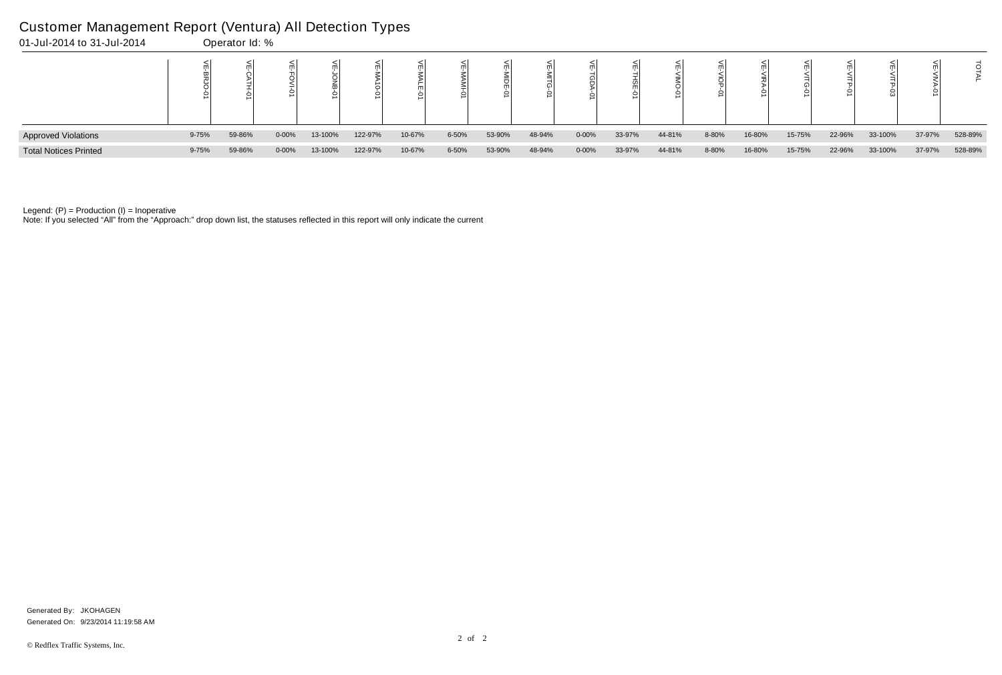| 01-Jul-2014 to 31-Jul-2014   |           | Operator Id: % |            |         |         |        |       |        |        |            |        |        |       |        |        |        |         |        |         |
|------------------------------|-----------|----------------|------------|---------|---------|--------|-------|--------|--------|------------|--------|--------|-------|--------|--------|--------|---------|--------|---------|
|                              |           |                |            |         |         |        |       |        |        |            |        |        |       |        |        |        |         |        |         |
| <b>Approved Violations</b>   | 9-75%     | 59-86%         | $0 - 00\%$ | 13-100% | 122-97% | 10-67% | 6-50% | 53-90% | 48-94% | $0 - 00\%$ | 33-97% | 44-81% | 8-80% | 16-80% | 15-75% | 22-96% | 33-100% | 37-97% | 528-89% |
| <b>Total Notices Printed</b> | $9 - 75%$ | 59-86%         | $0 - 00%$  | 13-100% | 122-97% | 10-67% | 6-50% | 53-90% | 48-94% | $0 - 00\%$ | 33-97% | 44-81% | 8-80% | 16-80% | 15-75% | 22-96% | 33-100% | 37-97% | 528-89% |

Note: If you selected "All" from the "Approach:" drop down list, the statuses reflected in this report will only indicate the current

# Customer Management Report (Ventura) All Detection Types

Generated On: 9/23/2014 11:19:58 AM Generated By: JKOHAGEN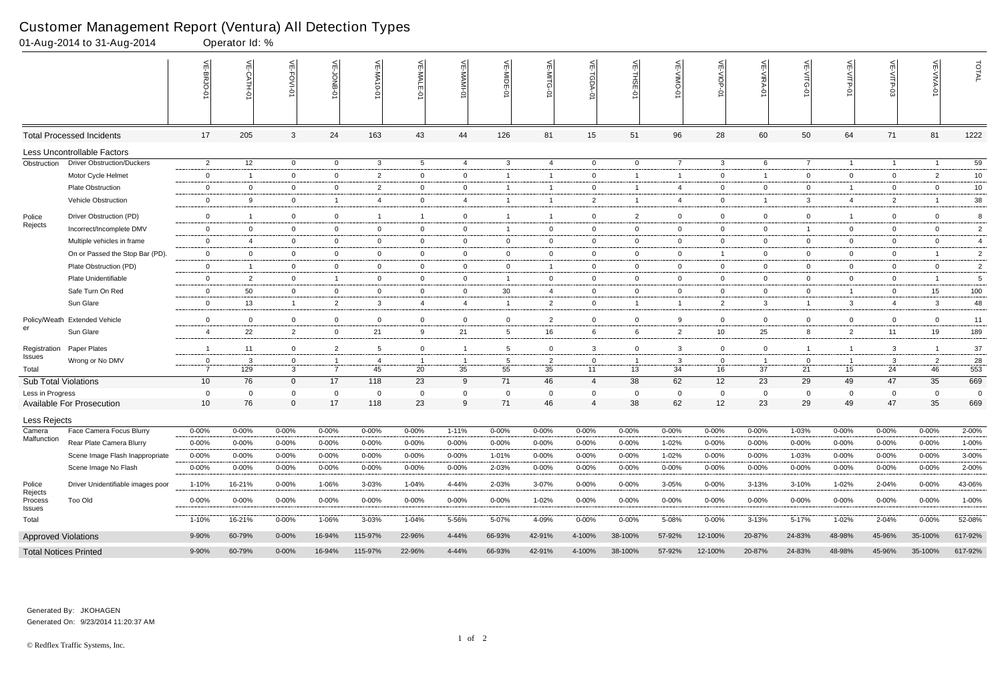|                                        | 01-Aug-2014 to 31-Aug-2014         |                                | Operator Id: % |                                |                                        |                 |                 |                      |                 |                      |                    |                         |                |                    |                |                 |                |                |                      |                |
|----------------------------------------|------------------------------------|--------------------------------|----------------|--------------------------------|----------------------------------------|-----------------|-----------------|----------------------|-----------------|----------------------|--------------------|-------------------------|----------------|--------------------|----------------|-----------------|----------------|----------------|----------------------|----------------|
|                                        |                                    |                                | 닞<br>CATH-0    | VE-FOVI-0                      | $\mathrel{\mathop{\leq_{\mathrm{m}}}}$ | VE-MA10-01      | VE-MALE-0       | VE-MAMI-0            | VE-MIDE-01      | VE-MITG-01           | VE-TGDA-0          | VE-THSE-01              | 븻              | VE-VIOP<br>ò       | VE-VIRA-01     | 늦               | VE-VITP        | VE-VITP-03     | 븻                    | TOTAL          |
|                                        | <b>Total Processed Incidents</b>   | 17                             | 205            | 3                              | 24                                     | 163             | 43              | 44                   | 126             | 81                   | 15                 | 51                      | 96             | 28                 | 60             | 50              | 64             | 71             | 81                   | 1222           |
|                                        | <b>Less Uncontrollable Factors</b> |                                |                |                                |                                        |                 |                 |                      |                 |                      |                    |                         |                |                    |                |                 |                |                |                      |                |
| Obstruction                            | <b>Driver Obstruction/Duckers</b>  | $\overline{2}$                 | 12             | $\overline{0}$                 | $\overline{0}$                         | $\mathbf{3}$    | $5\overline{)}$ | 4                    | $\mathbf{3}$    | 4                    | $\overline{0}$     | $\overline{0}$          | $\overline{7}$ | $\mathbf{3}$       | 6              | $7\overline{ }$ | $\overline{1}$ | $\overline{1}$ | $\overline{1}$       | 59             |
|                                        | Motor Cycle Helmet                 | $\mathbf 0$                    | $\overline{1}$ | $\mathbf 0$                    | $\mathbf{0}$                           | 2               | $\mathbf 0$     | $\overline{0}$       | $\overline{1}$  | $\mathbf{1}$         | $\overline{0}$     | $\overline{\mathbf{1}}$ | $\overline{1}$ | $\overline{0}$     | $\overline{1}$ | $\mathbf 0$     | $\mathbf{0}$   | $\mathbf 0$    | $\overline{2}$       | 10             |
|                                        | <b>Plate Obstruction</b>           | $\overline{0}$                 | $\mathbf 0$    | $\overline{0}$                 | $\overline{0}$                         | $\overline{2}$  | $\mathbf 0$     | $\overline{0}$       | $\overline{1}$  | -1                   | $\overline{0}$     | $\overline{\mathbf{1}}$ | 4              | $\overline{0}$     | $\mathbf 0$    | $\mathbf 0$     | $\overline{1}$ | $\mathbf{0}$   | $\overline{0}$       | 10             |
|                                        | Vehicle Obstruction                | $\mathbf 0$                    | 9              | $\overline{0}$                 | $\overline{1}$                         | 4               | $\mathbf 0$     | $\overline{4}$       | $\overline{1}$  | $\mathbf{1}$         | $\overline{2}$     | $\overline{1}$          | 4              | $\mathbf 0$        | $\overline{1}$ | 3               | $\overline{4}$ | $\overline{2}$ |                      | 38             |
| Police<br>Rejects                      | Driver Obstruction (PD)            | $\overline{0}$                 | $\overline{1}$ | $\overline{0}$                 | $\overline{0}$                         | -1              | $\overline{1}$  | $\mathbf 0$          | $\overline{1}$  | $\mathbf{1}$         | $\mathbf 0$        | $\overline{2}$          | $\mathbf 0$    | $\mathbf 0$        | $\mathbf 0$    | $\mathbf{0}$    | $\overline{1}$ | $\mathbf 0$    | $\overline{0}$       | 8              |
|                                        | Incorrect/Incomplete DMV           | $\overline{0}$                 | $\overline{0}$ | $\overline{0}$                 | $\overline{0}$                         | $\mathbf 0$     | $\overline{0}$  | $\overline{0}$       | $\mathbf 1$     | $\mathbf{0}$         | $\mathbf{0}$       | $\overline{0}$          | $\mathbf{0}$   | $\overline{0}$     | $\mathbf 0$    | $\mathbf{1}$    | $\overline{0}$ | $\mathbf{0}$   | $\overline{0}$       | $\overline{2}$ |
|                                        | Multiple vehicles in frame         | $\overline{0}$                 | $\overline{4}$ | $\mathbf 0$                    | $\mathbf 0$                            | $\mathbf 0$     | $\mathbf 0$     | $\mathbf 0$          | $\overline{0}$  | $\overline{0}$       | $\overline{0}$     | $\overline{0}$          | $\overline{0}$ | $\mathbf 0$        | $\mathbf 0$    | $\mathbf 0$     | $\mathbf 0$    | $\mathbf 0$    | $\mathbf 0$          | $\overline{4}$ |
|                                        | On or Passed the Stop Bar (PD).    | $\mathbf 0$                    | $\overline{0}$ | $\overline{0}$                 | $\overline{0}$                         | $\overline{0}$  | $\overline{0}$  | $\overline{0}$       | $\overline{0}$  | $\overline{0}$       | $\overline{0}$     | $\overline{0}$          | $\overline{0}$ | $\overline{1}$     | $\mathbf{0}$   | $\overline{0}$  | $\overline{0}$ | $\mathbf{0}$   |                      | $\overline{2}$ |
|                                        | Plate Obstruction (PD)             | $\overline{0}$                 | $\overline{1}$ | $\overline{0}$                 | $\mathbf{0}$                           | $\overline{0}$  | $\overline{0}$  | $\overline{0}$       | $\overline{0}$  | $\mathbf{1}$         | $\overline{0}$     | $\overline{0}$          | $\overline{0}$ | $\overline{0}$     | $\overline{0}$ | $\overline{0}$  | $\overline{0}$ | $\mathbf{0}$   | $\overline{0}$       | $\overline{2}$ |
|                                        | Plate Unidentifiable               | $\mathbf 0$                    | $\overline{2}$ | $\mathbf 0$                    | $\overline{1}$                         | $\mathbf 0$     | $\mathbf 0$     | $\overline{0}$       | $\overline{1}$  | $\mathbf 0$          | $\mathbf 0$        | $\mathbf{0}$            | $\overline{0}$ | $\mathbf 0$        | $\mathbf 0$    | $\mathbf 0$     | $\mathbf{0}$   | $\mathbf 0$    |                      | 5              |
|                                        | Safe Turn On Red                   | $\overline{0}$                 | 50             | $\overline{0}$                 | $\overline{0}$                         | $\overline{0}$  | $\overline{0}$  | $\overline{0}$       | 30              | 4                    | $\overline{0}$     | $\overline{0}$          | $\overline{0}$ | $\overline{0}$     | $\overline{0}$ | $\overline{0}$  | $\overline{1}$ | $\mathbf 0$    | 15                   | 100            |
|                                        | Sun Glare                          | $\mathbf 0$                    | 13             | $\overline{1}$                 | $\overline{2}$                         | $\mathbf{3}$    | $\overline{4}$  | $\overline{4}$       | $\overline{1}$  | $\overline{2}$       | $\overline{0}$     | $\overline{1}$          | $\overline{1}$ | $\overline{2}$     | $\mathbf{3}$   | $\overline{1}$  | $\mathbf{3}$   | $\overline{4}$ | $\mathbf{3}$         | 48             |
| Policy/Weath<br>er                     | <b>Extended Vehicle</b>            | $\mathbf 0$                    | $\Omega$       | $\overline{0}$                 | $\mathbf 0$                            | $\mathbf 0$     | $\mathbf 0$     | $\mathsf 0$          | $\mathbf 0$     | $\overline{2}$       | $\mathsf 0$        | $\overline{0}$          | 9              | $\mathbf 0$        | $\mathbf 0$    | 0               | $\mathbf{0}$   | $\overline{0}$ | $\mathbf{0}$         | 11             |
|                                        | Sun Glare                          | 4                              | 22             | $\overline{2}$                 | $\mathbf{0}$                           | 21              | 9               | 21                   | $5^{\circ}$     | 16                   | 6                  | 6                       | $\overline{2}$ | 10                 | 25             | 8               | $\overline{2}$ | 11             | 19                   | 189            |
|                                        |                                    |                                |                |                                |                                        |                 |                 |                      |                 |                      |                    |                         |                |                    |                |                 |                |                |                      |                |
| Registration<br>Issues<br>Total        | Paper Plates                       | $\overline{1}$                 | 11             | $\overline{0}$                 | $\overline{2}$                         | $5\overline{)}$ | $\mathbf 0$     | $\overline{1}$       | $5\overline{)}$ | $\overline{0}$       | $\mathbf{3}$       | $\overline{0}$          | $\mathbf{3}$   | $\mathbf 0$        | $\overline{0}$ | $\mathbf{1}$    | $\overline{1}$ | 3              |                      | 37             |
|                                        | Wrong or No DMV                    | $\mathbf{0}$<br>$\overline{7}$ | 3<br>129       | $\overline{0}$<br>$\mathbf{3}$ | $\overline{1}$<br>$\overline{7}$       | -4<br>45        | -1<br>20        | $\overline{1}$<br>35 | -5<br>55        | $\overline{2}$<br>35 | $\mathbf{0}$<br>11 | - 1<br>13               | 3<br>34        | $\mathbf{0}$<br>16 | -1<br>37       | 0<br>21         | - 1<br>15      | 3<br>24        | $\overline{2}$<br>46 | 28<br>553      |
| <b>Sub Total Violations</b>            |                                    | 10 <sup>°</sup>                | 76             | $\overline{0}$                 | 17                                     | 118             | 23              | 9                    | 71              | 46                   | $\overline{4}$     | 38                      | 62             | 12                 | 23             | 29              | 49             | 47             | 35                   | 669            |
| Less in Progress                       |                                    | $\overline{0}$                 | $\overline{0}$ | $\mathbf 0$                    | $\mathbf 0$                            | $\overline{0}$  | $\overline{0}$  | $\mathbf 0$          | $\mathbf 0$     | $\Omega$             | $\mathbf{0}$       | $\overline{0}$          | $\overline{0}$ | $\overline{0}$     | 0              | $\mathbf 0$     | $\mathbf{0}$   | $\Omega$       | $\mathbf 0$          | $\mathbf 0$    |
|                                        | Available For Prosecution          | 10 <sup>°</sup>                | 76             | $\mathbf 0$                    | 17                                     | 118             | 23              | 9                    | 71              | 46                   | $\overline{4}$     | 38                      | 62             | 12                 | 23             | 29              | 49             | 47             | 35                   | 669            |
| Less Rejects                           |                                    |                                |                |                                |                                        |                 |                 |                      |                 |                      |                    |                         |                |                    |                |                 |                |                |                      |                |
| Camera<br>Malfunction                  | Face Camera Focus Blurry           | $0 - 00%$                      | 0-00%          | $0 - 00%$                      | $0 - 00%$                              | $0 - 00%$       | $0 - 00\%$      | $1 - 11%$            | $0 - 00%$       | $0 - 00%$            | $0 - 00%$          | 0-00%                   | $0 - 00%$      | $0 - 00%$          | $0 - 00%$      | 1-03%           | $0 - 00%$      | $0 - 00%$      | $0 - 00%$            | 2-00%          |
|                                        | Rear Plate Camera Blurry           | $0 - 00%$                      | $0 - 00\%$     | $0 - 00%$                      | $0 - 00%$                              | $0 - 00%$       | $0 - 00\%$      | $0 - 00%$            | $0 - 00%$       | $0 - 00\%$           | $0 - 00\%$         | 0-00%                   | 1-02%          | $0 - 00\%$         | $0 - 00\%$     | 0-00%           | $0 - 00\%$     | 0-00%          | $0 - 00%$            | 1-00%          |
|                                        | Scene Image Flash Inappropriate    | $0 - 00%$                      | $0 - 00\%$     | 0-00%                          | $0 - 00%$                              | $0 - 00%$       | $0 - 00\%$      | 0-00%                | 1-01%           | $0 - 00%$            | $0 - 00\%$         | $0 - 00%$               | 1-02%          | $0 - 00\%$         | $0 - 00\%$     | 1-03%           | $0 - 00%$      | 0-00%          | $0 - 00%$            | 3-00%          |
|                                        | Scene Image No Flash               | $0 - 00%$                      | $0 - 00\%$     | 0-00%                          | $0 - 00%$                              | $0 - 00\%$      | $0 - 00\%$      | 0-00%                | 2-03%           | $0 - 00\%$           | $0 - 00\%$         | 0-00%                   | 0-00%          | $0 - 00\%$         | $0 - 00\%$     | 0-00%           | 0-00%          | $0 - 00\%$     | $0 - 00\%$           | 2-00%          |
| Police<br>Rejects<br>Process<br>Issues | Driver Unidentifiable images poor  | 1-10%                          | 16-21%         | $0 - 00\%$                     | 1-06%                                  | 3-03%           | 1-04%           | 4-44%                | 2-03%           | 3-07%                | $0 - 00\%$         | $0 - 00%$               | $3 - 05%$      | $0 - 00\%$         | $3 - 13%$      | 3-10%           | 1-02%          | 2-04%          | $0 - 00%$            | 43-06%         |
|                                        | Too Old                            | 0-00%                          | $0 - 00\%$     | $0 - 00\%$                     | $0 - 00\%$                             | $0 - 00\%$      | $0 - 00\%$      | $0 - 00\%$           | $0 - 00%$       | $1 - 02%$            | $0 - 00\%$         | $0 - 00%$               | $0 - 00\%$     | $0 - 00\%$         | $0 - 00\%$     | $0 - 00\%$      | $0 - 00\%$     | 0-00%          | $0 - 00\%$           | 1-00%          |
| Total                                  |                                    | $1 - 10%$                      | 16-21%         | $0 - 00\%$                     | 1-06%                                  | 3-03%           | 1-04%           | 5-56%                | 5-07%           | 4-09%                | $0 - 00\%$         | 0-00%                   | 5-08%          | $0 - 00\%$         | 3-13%          | 5-17%           | 1-02%          | 2-04%          | $0 - 00\%$           | 52-08%         |
| <b>Approved Violations</b>             |                                    | 9-90%                          | 60-79%         | $0 - 00\%$                     | 16-94%                                 | 115-97%         | 22-96%          | 4-44%                | 66-93%          | 42-91%               | 4-100%             | 38-100%                 | 57-92%         | 12-100%            | 20-87%         | 24-83%          | 48-98%         | 45-96%         | 35-100%              | 617-92%        |
| <b>Total Notices Printed</b>           |                                    | 9-90%                          | 60-79%         | $0 - 00\%$                     | 16-94%                                 | 115-97%         | 22-96%          | 4-44%                | 66-93%          | 42-91%               | 4-100%             | 38-100%                 | 57-92%         | 12-100%            | 20-87%         | 24-83%          | 48-98%         | 45-96%         | 35-100%              | 617-92%        |

Generated On: 9/23/2014 11:20:37 AM Generated By: JKOHAGEN